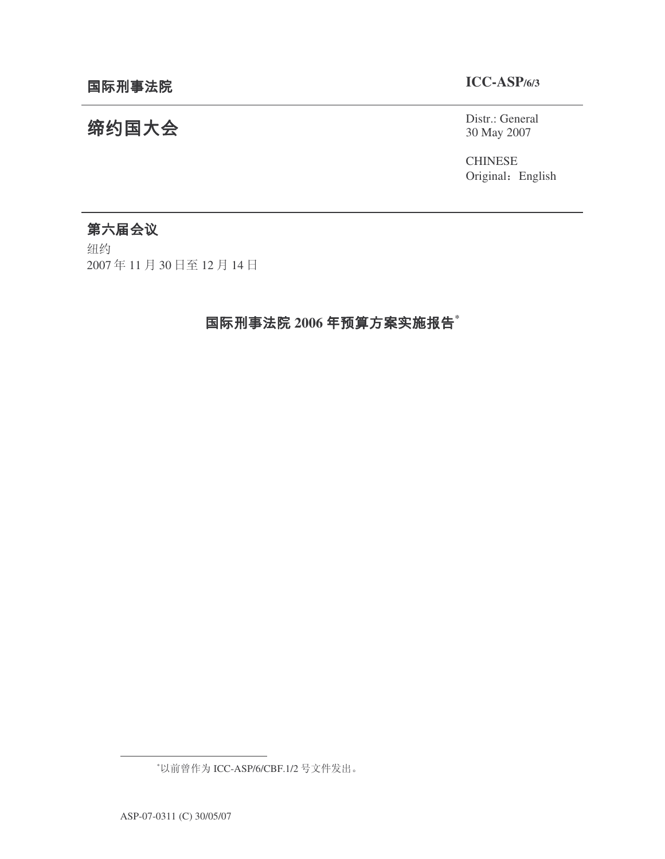缔约国大会

# **ICC-ASP/6/3**

## Distr.: General 30 May 2007

CHINESE Original: English

# 第六届会议

纽约 2007年11月30日至12月14日

# $2006$  年预算方案实施报告 $^{\ast}$

<sup>\*</sup>以前曾作为 ICC-ASP/6/CBF.1/2 号文件发出。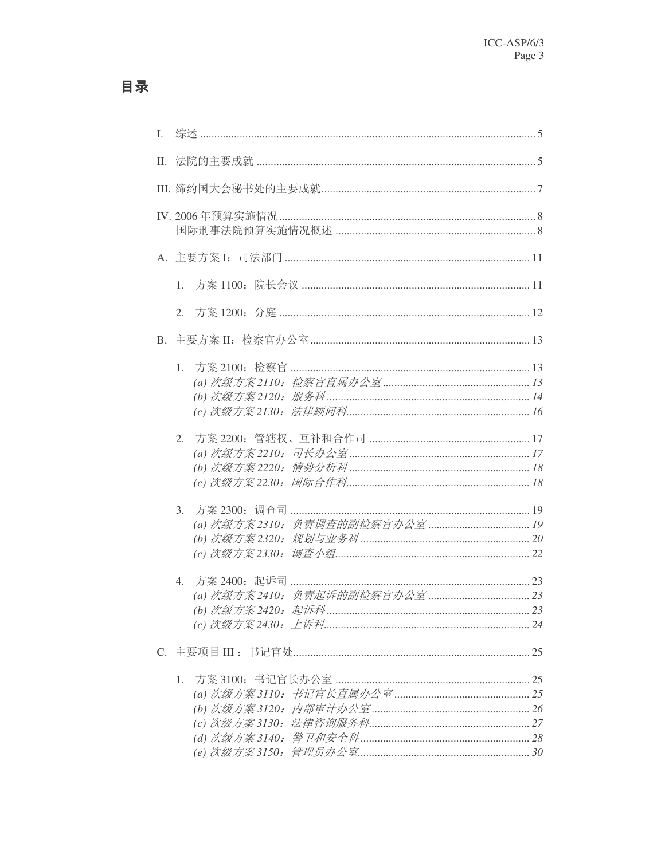| L |                  |  |
|---|------------------|--|
|   | П.               |  |
|   |                  |  |
|   |                  |  |
|   |                  |  |
|   | 1.               |  |
|   | 2.               |  |
|   |                  |  |
|   | 1.               |  |
|   | 2.               |  |
|   | 3.               |  |
|   | $\overline{4}$ . |  |
|   |                  |  |
|   | 1.               |  |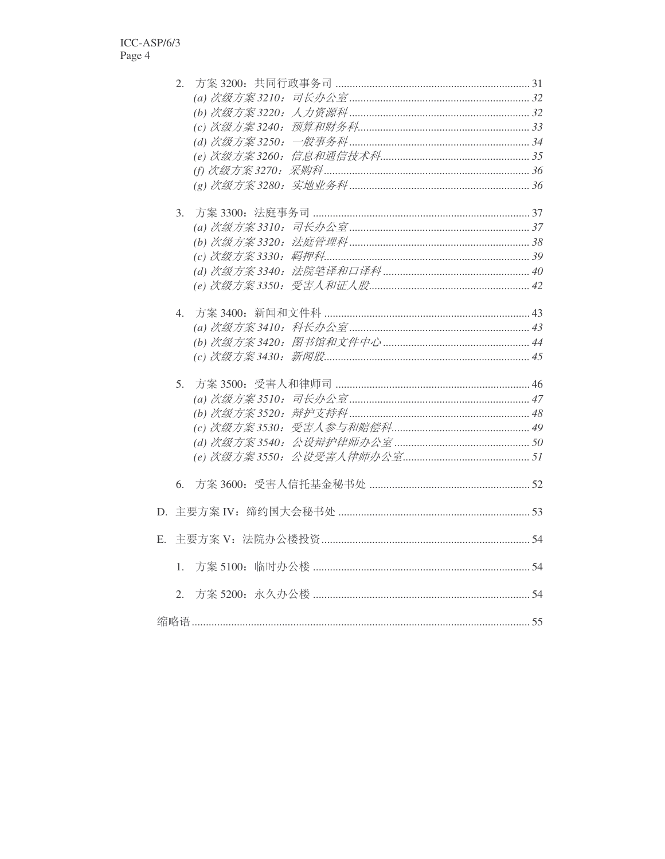|    | 2. |  |
|----|----|--|
|    |    |  |
|    |    |  |
|    |    |  |
|    |    |  |
|    |    |  |
|    |    |  |
|    |    |  |
|    | 3. |  |
|    |    |  |
|    |    |  |
|    |    |  |
|    |    |  |
|    |    |  |
|    | 4. |  |
|    |    |  |
|    |    |  |
|    |    |  |
|    | 5. |  |
|    |    |  |
|    |    |  |
|    |    |  |
|    |    |  |
|    |    |  |
|    | 6. |  |
|    |    |  |
|    |    |  |
| E. |    |  |
|    | 1. |  |
|    | 2. |  |
|    |    |  |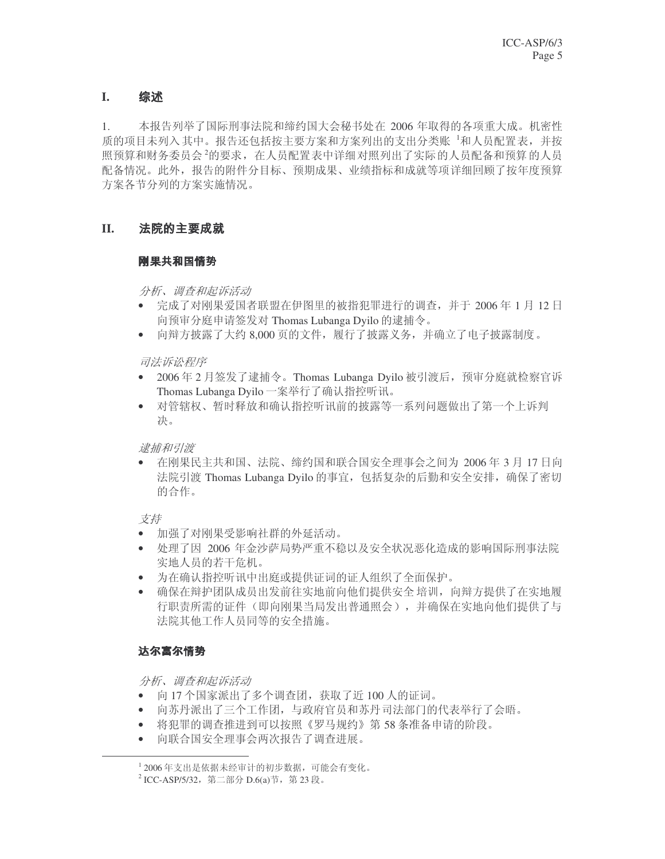#### 综述 **I.**

1. 本报告列举了国际刑事法院和缔约国大会秘书处在 2006 年取得的各项重大成。机密性 质的项目未列入其中。报告还包括按主要方案和方案列出的支出分类账 1和人员配置表, 并按 照预算和财务委员会2的要求,在人员配置表中详细对照列出了实际的人员配备和预算的人员 配备情况。此外,报告的附件分目标、预期成果、业绩指标和成就等项详细回顾了按年度预算 方案各节分列的方案实施情况。

#### 法院的主要成就 **II.**

## \_ \_ \_ \_ \_ \_ \_ \_ \_

分析、调查和起诉活动

- 完成了对刚果爱国者联盟在伊图里的被指犯罪进行的调查,并于2006年1月12日 向预审分庭申请签发对 Thomas Lubanga Dyilo 的逮捕令。
- 向辩方披露了大约 8,000 页的文件, 履行了披露义务, 并确立了电子披露制度。

司法诉讼程序

- 2006年2月签发了逮捕令。Thomas Lubanga Dyilo 被引渡后, 预审分庭就检察官诉 Thomas Lubanga Dyilo 一案举行了确认指控听讯。
- 对管辖权、暂时释放和确认指控听讯前的披露等一系列问题做出了第一个上诉判 决。

逮捕和引渡

• 在刚果民主共和国、法院、缔约国和联合国安全理事会之间为 2006 年 3 月 17 日向 法院引渡 Thomas Lubanga Dyilo 的事宜, 包括复杂的后勤和安全安排, 确保了密切 的合作。

支持

- 加强了对刚果受影响社群的外延活动。
- 处理了因 2006 年金沙萨局势严重不稳以及安全状况恶化造成的影响国际刑事法院 实地人员的若干危机。
- 为在确认指控听讯中出庭或提供证词的证人组织了全面保护。
- 确保在辩护团队成员出发前往实地前向他们提供安全培训, 向辩方提供了在实地履 行职责所需的证件(即向刚果当局发出普通照会),并确保在实地向他们提供了与 法院其他工作人员同等的安全措施。

## 达尔富尔情势

分析、调查和起诉活动

- 向17个国家派出了多个调查团, 获取了近100人的证词。
- 向苏丹派出了三个工作团, 与政府官员和苏丹司法部门的代表举行了会晤。
- 将犯罪的调杳推进到可以按照《罗马规约》第58条准备申请的阶段。
- 向联合国安全理事会两次报告了调查进展。

 $^1$  2006年支出是依据未经审计的初步数据, 可能会有变化。  $^2$ ICC-ASP/5/32,第二部分 D.6(a)节,第23段。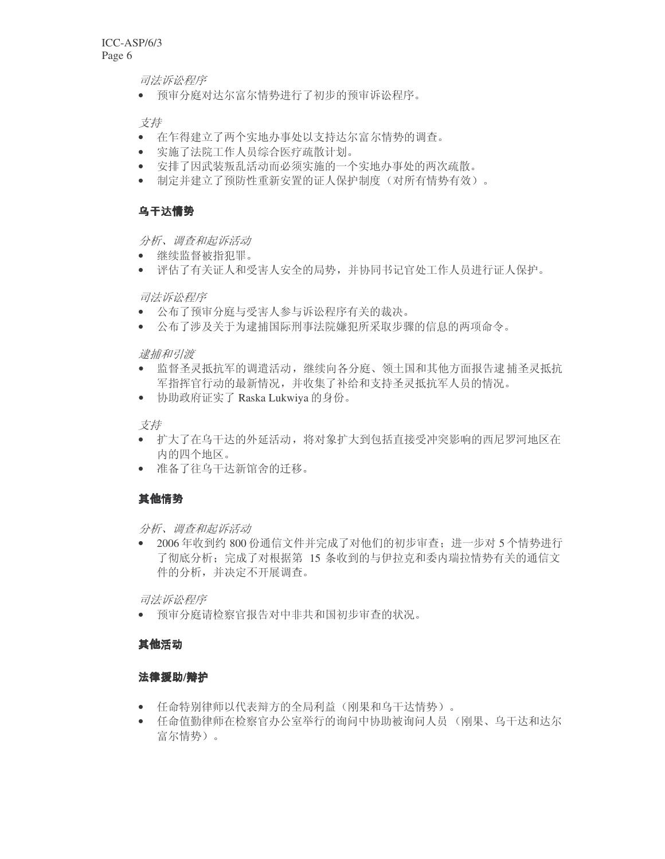司法诉讼程序

• 预审分庭对达尔富尔情势进行了初步的预审诉讼程序。

支持

- 在乍得建立了两个实地办事处以支持达尔富尔情势的调查。
- ⊵实施了法院工作人员综合医疗疏散计划。
- 安排了因武装叛乱活动而必须实施的一个实地办事处的两次疏散。
- 制定并建立了预防性重新安置的证人保护制度(对所有情势有效)。

## 乌干达情势

分析、调查和起诉活动

- 继续监督被指犯罪。
- 评估了有关证人和受害人安全的局势,并协同书记官处工作人员进行证人保护。

### 司法诉讼程序

- 公布了预审分庭与受害人参与诉讼程序有关的裁决。
- 公布了涉及关于为逮捕国际刑事法院嫌犯所采取步骤的信息的两项命令。

逮捕和引渡

- 监督圣灵抵抗军的调遣活动,继续向各分庭、领土国和其他方面报告逮捕圣灵抵抗 军指挥官行动的最新情况,并收集了补给和支持圣灵抵抗军人员的情况。
- 协助政府证实了 Raska Lukwiya 的身份。

支持

- 扩大了在乌干达的外延活动,将对象扩大到包括直接受冲突影响的西尼罗河地区在 内的四个地区。
- 准备了往乌干达新馆舍的迁移。

## 其他情势

分析、调查和起诉活动

• 2006 年收到约 800 份通信文件并完成了对他们的初步审查; 进一步对 5 个情势进行 了彻底分析: 完成了对根据第 15 条收到的与伊拉克和委内瑞拉情势有关的通信文 件的分析,并决定不开展调查。

司法诉讼程序

• 预审分庭请检察官报告对中非共和国初步审查的状况。

## 其他活动

## 法律援助/辩护

- 任命特别律师以代表辩方的全局利益(刚果和乌干达情势)。
- 任命值勤律师在检察官办公室举行的询问中协助被询问人员(刚果、乌干达和达尔 富尔情势)。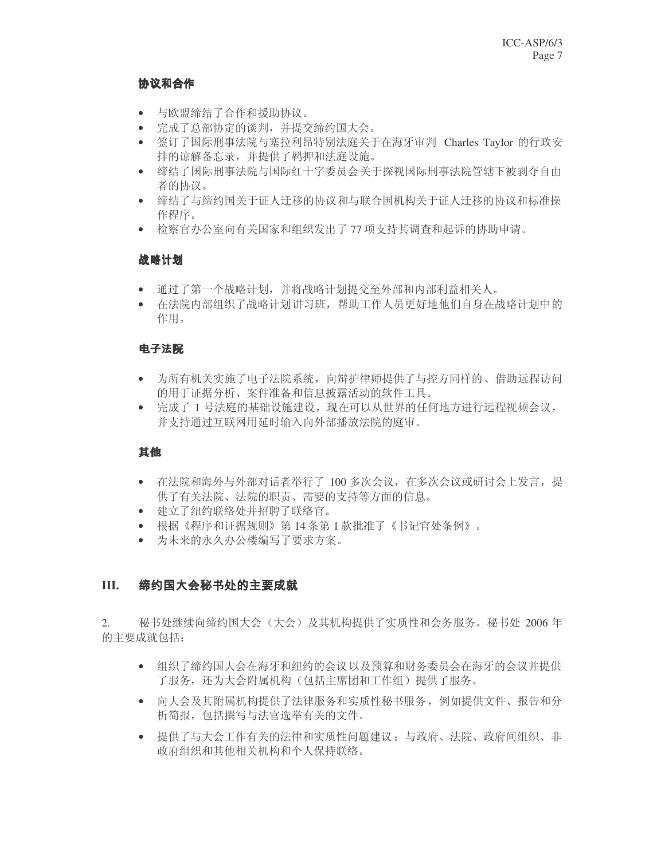## -

- 与欧盟缔结了合作和援助协议。
- 完成了总部协定的谈判,并提交缔约国大会。
- 签订了国际刑事法院与塞拉利昂特别法庭关于在海牙审判 Charles Taylor 的行政安 排的谅解备忘录,并提供了羁押和法庭设施。
- 缔结了国际刑事法院与国际红十字委员会关于探视国际刑事法院管辖下被剥夺自由 者的协议。
- 缔结了与缔约国关于证人迁移的协议和与联合国机构关于证人迁移的协议和标准操 作程序。
- 检察官办公室向有关国家和组织发出了77 项支持其调杳和起诉的协助申请。

## 战略计划

- 通过了第一个战略计划,并将战略计划提交至外部和内部利益相关人。
- 在法院内部组织了战略计划讲习班,帮助工作人员更好地他们自身在战略计划中的 作用。

## 电子法院

- 为所有机关实施了电子法院系统, 向辩护律师提供了与控方同样的、借助远程访问 的用于证据分析、案件准备和信息披露活动的软件工具。
- 完成了 1 号法庭的基础设施建设, 现在可以从世界的任何地方进行远程视频会议, 并支持通过互联网用延时输入向外部播放法院的庭审。

## 其他

- 在法院和海外与外部对话者举行了 100 多次会议, 在多次会议或研讨会上发言, 提 供了有关法院、法院的职责、需要的支持等方面的信息。
- 建立了纽约联络处并招聘了联络官。
- 根据《程序和证据规则》第14条第1款批准了《书记官处条例》。
- 为未来的永久办公楼编写了要求方案。

#### **III.** 缔约国大会秘书处的主要成就

2. 秘书处继续向缔约国大会(大会)及其机构提供了实质性和会务服务。秘书处 2006 年 的主要成就包括:

- 组织了缔约国大会在海牙和纽约的会议以及预算和财务委员会在海牙的会议并提供 了服务, 还为大会附属机构(包括主席团和工作组)提供了服务。
- 向大会及其附属机构提供了法律服务和实质性秘书服务, 例如提供文件、报告和分 析简报, 包括撰写与法官选举有关的文件。
- 提供了与大会工作有关的法律和实质性问题建议: 与政府、法院、政府间组织、非 政府组织和其他相关机构和个人保持联络。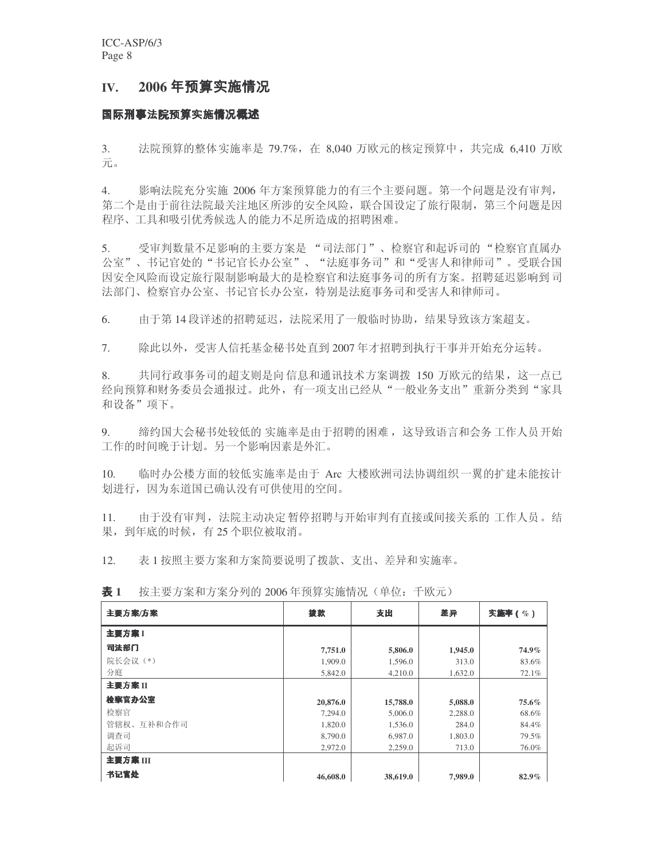# **IV. 2006**

# 国际刑事法**院预算实施情况概述**

3. 法院预算的整体实施率是 79.7%, 在 8.040 万欧元的核定预算中, 共完成 6.410 万欧  $\overline{\pi}_\circ$ 

4. 影响法院充分实施 2006 年方案预算能力的有三个主要问题。第一个问题是没有审判, 第二个是由于前往法院最关注地区所涉的安全风险, 联合国设定了旅行限制, 第三个问题是因 程序、工具和吸引优秀候选人的能力不足所造成的招聘困难。

5. 受审判数量不足影响的主要方案是"司法部门"、检察官和起诉司的"检察官直属办 公室"、书记官处的"书记官长办公室"、"法庭事务司"和"受害人和律师司"。受联合国 因安全风险而设定旅行限制影响最大的是检察官和法庭事务司的所有方案。招聘延迟影响到司 法部门、检察官办公室、书记官长办公室, 特别是法庭事务司和受害人和律师司。

6. 由于第14 段详述的招聘延迟,法院采用了一般临时协助,结果导致该方案超支。

7. 除此以外,受害人信托基金秘书处直到2007年才招聘到执行干事并开始充分运转。

8. 共同行政事务司的超支则是向信息和通讯技术方案调拨 150 万欧元的结果, 这一点已 经向预算和财务委员会通报过。此外,有一项支出已经从"一般业务支出"重新分类到"家具 和设备"项下。

9. 缩约国大会秘书处较低的实施率是由于招聘的困难,这导致语言和会务工作人员开始 工作的时间晚于计划。另一个影响因素是外汇。

10. 临时办公楼方面的较低实施率是由于 Arc 大楼欧洲司法协调组织一翼的扩建未能按计 划进行,因为东道国已确认没有可供使用的空间。

11. 由于没有审判, 法院主动决定暂停招聘与开始审判有直接或间接关系的工作人员。结 果, 到年底的时候, 有25个职位被取消。

12. 表1 按照主要方案和方案简要说明了拨款、支出、差异和实施率。

| 主要方案/方案    | 拨款       | 支出       | 差异      | 实施率(%) |
|------------|----------|----------|---------|--------|
| 主要方案 1     |          |          |         |        |
| 司法部门       | 7,751.0  | 5,806.0  | 1,945.0 | 74.9%  |
| 院长会议(*)    | 1,909.0  | 1,596.0  | 313.0   | 83.6%  |
| 分庭         | 5.842.0  | 4,210.0  | 1.632.0 | 72.1%  |
| 主要方案II     |          |          |         |        |
| 检察官办公室     | 20,876.0 | 15,788.0 | 5,088.0 | 75.6%  |
| 检察官        | 7,294.0  | 5,006.0  | 2,288.0 | 68.6%  |
| 管辖权、互补和合作司 | 1,820.0  | 1,536.0  | 284.0   | 84.4%  |
| 调查司        | 8,790.0  | 6,987.0  | 1,803.0 | 79.5%  |
| 起诉司        | 2,972.0  | 2.259.0  | 713.0   | 76.0%  |
| 主要方案 III   |          |          |         |        |
| 书记官处       | 46,608.0 | 38,619.0 | 7,989.0 | 82.9%  |

表 1 按主要方案和方案分列的 2006 年预算实施情况(单位:千欧元)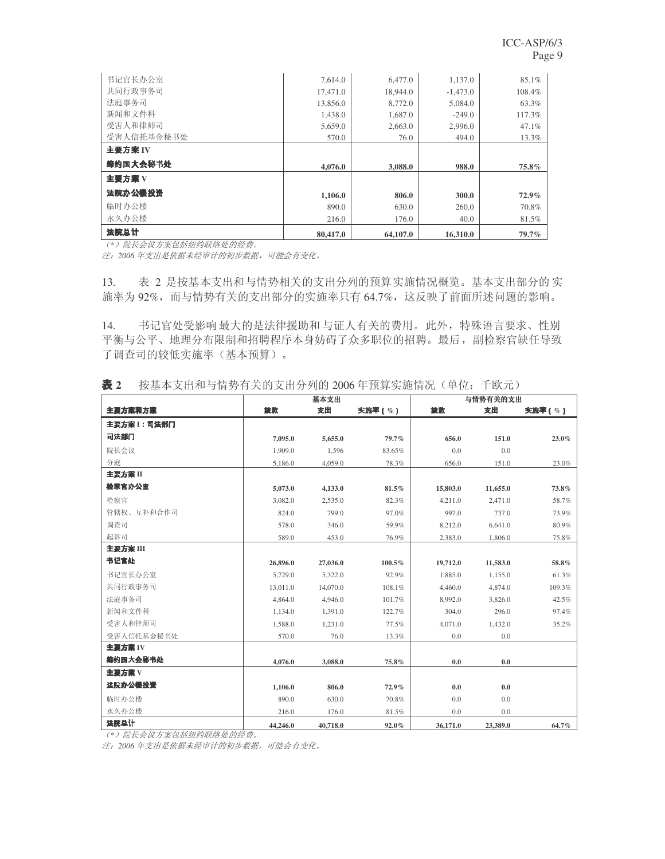| 书记官长办公室    | 7.614.0  | 6,477.0  | 1,137.0    | 85.1%  |
|------------|----------|----------|------------|--------|
| 共同行政事务司    | 17,471.0 | 18,944.0 | $-1,473.0$ | 108.4% |
| 法庭事务司      | 13,856.0 | 8,772.0  | 5,084.0    | 63.3%  |
| 新闻和文件科     | 1.438.0  | 1.687.0  | $-249.0$   | 117.3% |
| 受害人和律师司    | 5,659.0  | 2,663.0  | 2,996.0    | 47.1%  |
| 受害人信托基金秘书处 | 570.0    | 76.0     | 494.0      | 13.3%  |
| 主要方案 IV    |          |          |            |        |
|            |          |          |            |        |
| 缔约国大会秘书处   | 4,076.0  | 3.088.0  | 988.0      | 75.8%  |
| 主要方案V      |          |          |            |        |
| 法院办公楼投资    | 1,106.0  | 806.0    | 300.0      | 72.9%  |
| 临时办公楼      | 890.0    | 630.0    | 260.0      | 70.8%  |
| 永久办公楼      | 216.0    | 176.0    | 40.0       | 81.5%  |

<del>(\*) 院长会议方案包括纽约联络处的经费。</del>

注: 2006年支出是依据未经审计的初步数据,可能会有变化。

13. 表 2 是按基本支出和与情势相关的支出分列的预算实施情况概览。基本支出部分的实 施率为 92%,而与情势有关的支出部分的实施率只有 64.7%,这反映了前面所述问题的影响。

14. 书记官处受影响最大的是法律援助和与证人有关的费用。此外,特殊语言要求、性别 平衡与公平、地理分布限制和招聘程序本身妨碍了众多职位的招聘。最后,副检察官缺任导致 了调查司的较低实施率(基本预算)。

|               |          | 基本支出     |        |          | 与情势有关的支出 |        |
|---------------|----------|----------|--------|----------|----------|--------|
| 主要方案和方案       | 拨款       | 支出       | 实施率(%) | 拨款       | 支出       | 实施率(%) |
| 主要方案 1 : 司法部门 |          |          |        |          |          |        |
| 司法部门          | 7,095.0  | 5,655.0  | 79.7%  | 656.0    | 151.0    | 23.0%  |
| 院长会议          | 1,909.0  | 1,596    | 83.65% | 0.0      | 0.0      |        |
| 分庭            | 5,186.0  | 4,059.0  | 78.3%  | 656.0    | 151.0    | 23.0%  |
| 主要方案 II       |          |          |        |          |          |        |
| 检察官办公室        | 5,073.0  | 4,133.0  | 81.5%  | 15,803.0 | 11,655.0 | 73.8%  |
| 检察官           | 3,082.0  | 2,535.0  | 82.3%  | 4,211.0  | 2,471.0  | 58.7%  |
| 管辖权、互补和合作司    | 824.0    | 799.0    | 97.0%  | 997.0    | 737.0    | 73.9%  |
| 调查司           | 578.0    | 346.0    | 59.9%  | 8,212.0  | 6,641.0  | 80.9%  |
| 起诉司           | 589.0    | 453.0    | 76.9%  | 2,383.0  | 1,806.0  | 75.8%  |
| 主要方案 III      |          |          |        |          |          |        |
| 书记官处          | 26,896.0 | 27,036.0 | 100.5% | 19,712.0 | 11,583.0 | 58.8%  |
| 书记官长办公室       | 5,729.0  | 5,322.0  | 92.9%  | 1,885.0  | 1,155.0  | 61.3%  |
| 共同行政事务司       | 13,011.0 | 14,070.0 | 108.1% | 4,460.0  | 4,874.0  | 109.3% |
| 法庭事务司         | 4,864.0  | 4,946.0  | 101.7% | 8,992.0  | 3,826.0  | 42.5%  |
| 新闻和文件科        | 1,134.0  | 1,391.0  | 122.7% | 304.0    | 296.0    | 97.4%  |
| 受害人和律师司       | 1,588.0  | 1,231.0  | 77.5%  | 4,071.0  | 1,432.0  | 35.2%  |
| 受害人信托基金秘书处    | 570.0    | 76.0     | 13.3%  | 0.0      | 0.0      |        |
| 主要方案 IV       |          |          |        |          |          |        |
| 缔约国大会秘书处      | 4,076.0  | 3,088.0  | 75.8%  | 0.0      | 0.0      |        |
| 主要方案 V        |          |          |        |          |          |        |
| 法院办公楼投资       | 1,106.0  | 806.0    | 72.9%  | 0.0      | 0.0      |        |
| 临时办公楼         | 890.0    | 630.0    | 70.8%  | 0.0      | 0.0      |        |
| 永久办公楼         | 216.0    | 176.0    | 81.5%  | 0.0      | 0.0      |        |
| 法院总计          | 44,246.0 | 40,718.0 | 92.0%  | 36,171.0 | 23,389.0 | 64.7%  |

表 2 按基本支出和与情势有关的支出分列的 2006 年预算实施情况(单位:千欧元)

(\*) 院长会议方案包括纽约联络处的经费。

注: 2006年支出是依据未经审计的初步数据,可能会有变化。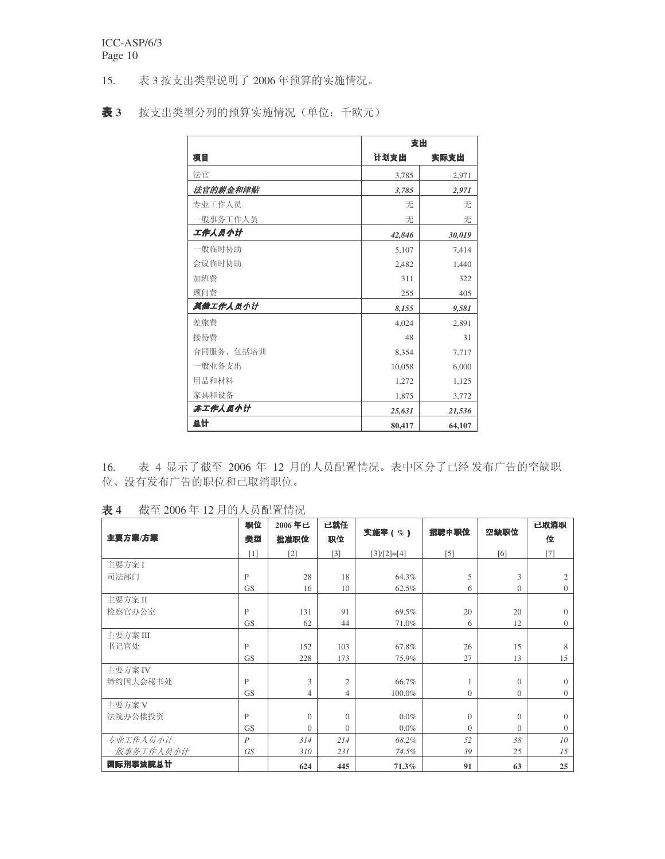15. 表 3 按支出类型说明了 2006 年预算的实施情况。

表 3 按支出类型分列的预算实施情况(单位:千欧元)

|            | 支出     |        |
|------------|--------|--------|
| 项目         | 计划支出   | 实际支出   |
| 法官         | 3,785  | 2,971  |
| 法官的薪金和津贴   | 3,785  | 2,971  |
| 专业工作人员     | 无      | 无      |
| −般事务工作人员   | 无      | 无      |
| 工作人员小计     | 42,846 | 30,019 |
| 一般临时协助     | 5,107  | 7,414  |
| 会议临时协助     | 2,482  | 1,440  |
| 加班费        | 311    | 322    |
| 顾问费        | 255    | 405    |
| 其他工作人员小计   | 8,155  | 9,581  |
| 差旅费        | 4,024  | 2,891  |
| 接待费        | 48     | 31     |
| 合同服务, 包括培训 | 8,354  | 7,717  |
| 一般业务支出     | 10,058 | 6,000  |
| 用品和材料      | 1,272  | 1,125  |
| 家具和设备      | 1,875  | 3,772  |
| 非工作人员小计    | 25,631 | 21,536 |
| 总计         | 80,417 | 64,107 |

16. 表 4 显示了截至 2006 年 12 月的人员配置情况。表中区分了已经发布广告的空缺职 位、没有发布广告的职位和已取消职位。

表 4 截至 2006年 12 月的人员配置情况

|            | 职位           | 2006年已         | 已就任            |               | 招聘中职位          | 空缺职位           | 已取消职            |
|------------|--------------|----------------|----------------|---------------|----------------|----------------|-----------------|
| 主要方案/方案    | 类型           | 批准职位           | 职位             | 实施率(%)        |                |                | 位               |
|            | [1]          | $[2]$          | $[3]$          | $[3]/[2]=[4]$ | $[5]$          | [6]            | $[7]$           |
| 主要方案 I     |              |                |                |               |                |                |                 |
| 司法部门       | $\mathbf{P}$ | 28             | 18             | 64.3%         | 5              | 3              | $\overline{2}$  |
|            | <b>GS</b>    | 16             | 10             | 62.5%         | 6              | $\overline{0}$ | $\overline{0}$  |
| 主要方案 II    |              |                |                |               |                |                |                 |
| 检察官办公室     | $\mathbf{P}$ | 131            | 91             | 69.5%         | 20             | 20             | $\Omega$        |
|            | <b>GS</b>    | 62             | 44             | 71.0%         | 6              | 12             | $\overline{0}$  |
| 主要方案III    |              |                |                |               |                |                |                 |
| 书记官处       | $\mathsf{P}$ | 152            | 103            | 67.8%         | 26             | 15             | 8               |
|            | <b>GS</b>    | 228            | 173            | 75.9%         | 27             | 13             | 15              |
| 主要方案 IV    |              |                |                |               |                |                |                 |
| 缔约国大会秘书处   | $\mathsf{P}$ | 3              | $\overline{2}$ | 66.7%         |                | $\mathbf{0}$   | $\Omega$        |
|            | <b>GS</b>    | $\overline{4}$ | $\overline{4}$ | 100.0%        | $\overline{0}$ | $\overline{0}$ | $\overline{0}$  |
| 主要方案 V     |              |                |                |               |                |                |                 |
| 法院办公楼投资    | P            | $\overline{0}$ | $\theta$       | $0.0\%$       | $\Omega$       | $\overline{0}$ | $\Omega$        |
|            | <b>GS</b>    | $\Omega$       | $\theta$       | $0.0\%$       | $\Omega$       | $\overline{0}$ | $\overline{0}$  |
| 专业工作人员小计   | P            | 314            | 214            | 68.2%         | 52             | 38             | 10 <sup>2</sup> |
| 一般事务工作人员小计 | GS           | 310            | 231            | 74.5%         | 39             | 25             | 15              |
| 国际刑事法院总计   |              | 624            | 445            | $71.3\%$      | 91             | 63             | 25              |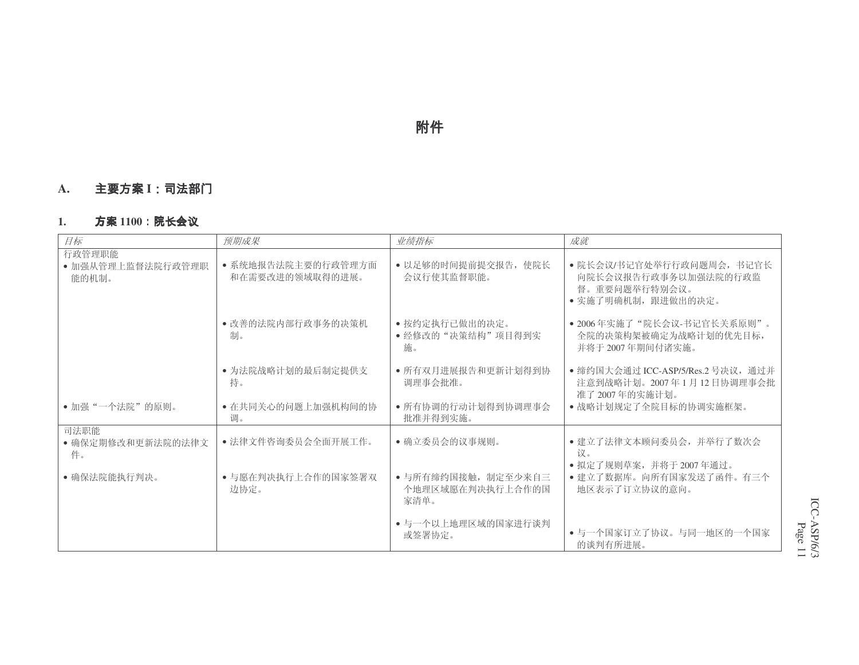# 附件

#### **A.**. 主要方案 I

#### **1.**. 方案 1100:院长会

| 目标                                   | 预期成果                                          | 业绩指标                                                | 成就                                                                                                        |
|--------------------------------------|-----------------------------------------------|-----------------------------------------------------|-----------------------------------------------------------------------------------------------------------|
| 行政管理职能<br>• 加强从管理上监督法院行政管理职<br>能的机制。 | • 系统地报告法院主要的行政管理方面<br>和在需要改进的领域取得的进展。         | • 以足够的时间提前提交报告, 使院长<br>会议行使其监督职能。                   | • 院长会议/书记官处举行行政问题周会, 书记官长<br>向院长会议报告行政事务以加强法院的行政监<br>督。重要问题举行特别会议。<br>• 实施了明确机制, 跟进做出的决定。                 |
|                                      | • 改善的法院内部行政事务的决策机<br>制。                       | • 按约定执行已做出的决定。<br>• 经修改的"决策结构"项目得到实<br>施。           | • 2006年实施了"院长会议-书记官长关系原则"。<br>全院的决策构架被确定为战略计划的优先目标,<br>并将于 2007年期间付诸实施。                                   |
| • 加强"一个法院"的原则。                       | • 为法院战略计划的最后制定提供支<br>持。<br>• 在共同关心的问题上加强机构间的协 | • 所有双月进展报告和更新计划得到协<br>调理事会批准。<br>• 所有协调的行动计划得到协调理事会 | • 缔约国大会通过 ICC-ASP/5/Res.2 号决议, 通过并<br>注意到战略计划。2007年1月12日协调理事会批<br>准了 2007年的实施计划。<br>• 战略计划规定了全院目标的协调实施框架。 |
| 司法职能                                 | 调。                                            | 批准并得到实施。                                            |                                                                                                           |
| • 确保定期修改和更新法院的法律文<br>件。              | • 法律文件咨询委员会全面开展工作。                            | • 确立委员会的议事规则。                                       | • 建立了法律文本顾问委员会, 并举行了数次会<br>议。                                                                             |
| • 确保法院能执行判决。                         | • 与愿在判决执行上合作的国家签署双<br>边协定。                    | • 与所有缔约国接触, 制定至少来自三<br>个地理区域愿在判决执行上合作的国<br>家清单。     | • 拟定了规则草案,并将于 2007 年通过。<br>• 建立了数据库。向所有国家发送了函件。有三个<br>地区表示了订立协议的意向。                                       |
|                                      |                                               | • 与一个以上地理区域的国家进行谈判<br>或签署协定。                        | • 与一个国家订立了协议。与同一地区的一个国家<br>的谈判有所进展。                                                                       |

ICC-ASP/6/3 Page 11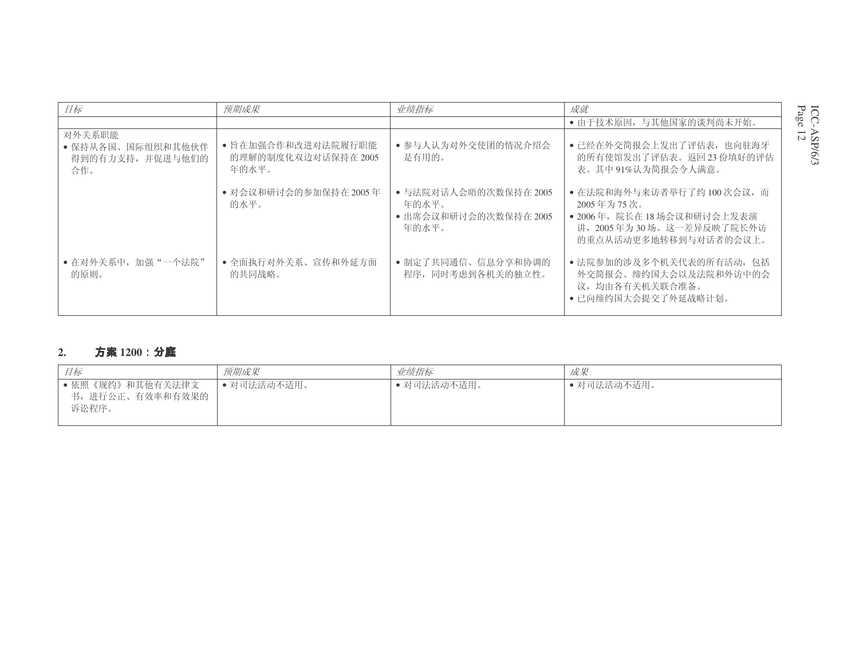| 目标                                                     | 预期成果                                               | 业绩指标                                                             | 成就                                                                                                                          |
|--------------------------------------------------------|----------------------------------------------------|------------------------------------------------------------------|-----------------------------------------------------------------------------------------------------------------------------|
|                                                        |                                                    |                                                                  | • 由于技术原因, 与其他国家的谈判尚未开始。                                                                                                     |
| 对外关系职能<br>• 保持从各国、国际组织和其他伙伴<br>得到的有力支持, 并促进与他们的<br>合作。 | • 旨在加强合作和改进对法院履行职能<br>的理解的制度化双边对话保持在 2005<br>年的水平。 | • 参与人认为对外交使团的情况介绍会<br>是有用的。                                      | • 已经在外交简报会上发出了评估表, 也向驻海牙<br>的所有使馆发出了评估表。返回23份填好的评估<br>表。其中91%认为简报会令人满意。                                                     |
|                                                        | • 对会议和研讨会的参加保持在2005年<br>的水平。                       | • 与法院对话人会晤的次数保持在 2005<br>年的水平。<br>• 出席会议和研讨会的次数保持在 2005<br>年的水平。 | • 在法院和海外与来访者举行了约 100 次会议, 而<br>2005年为75次。<br>• 2006年, 院长在18场会议和研讨会上发表演<br>讲, 2005年为30场。这一差异反映了院长外访<br>的重点从活动更多地转移到与对话者的会议上。 |
| • 在对外关系中, 加强"一个法院"<br>的原则。                             | • 全面执行对外关系、宣传和外延方面<br>的共同战略。                       | • 制定了共同通信、信息分享和协调的<br>程序, 同时考虑到各机关的独立性。                          | • 法院参加的涉及多个机关代表的所有活动, 包括<br>外交简报会、缔约国大会以及法院和外访中的会<br>议,均由各有关机关联合准备。<br>• 已向缔约国大会提交了外延战略计划。                                  |

#### **2.**· 方案 1200:分**庭**

| 目标                                           | 预期成果        | 业绩指标        | 成果          |
|----------------------------------------------|-------------|-------------|-------------|
| • 依照《规约》和其他有关法律文<br>书,进行公正、有效率和有效果的<br>诉讼程序。 | • 对司法活动不适用。 | ● 对司法活动不适用。 | • 对司法活动不适用。 |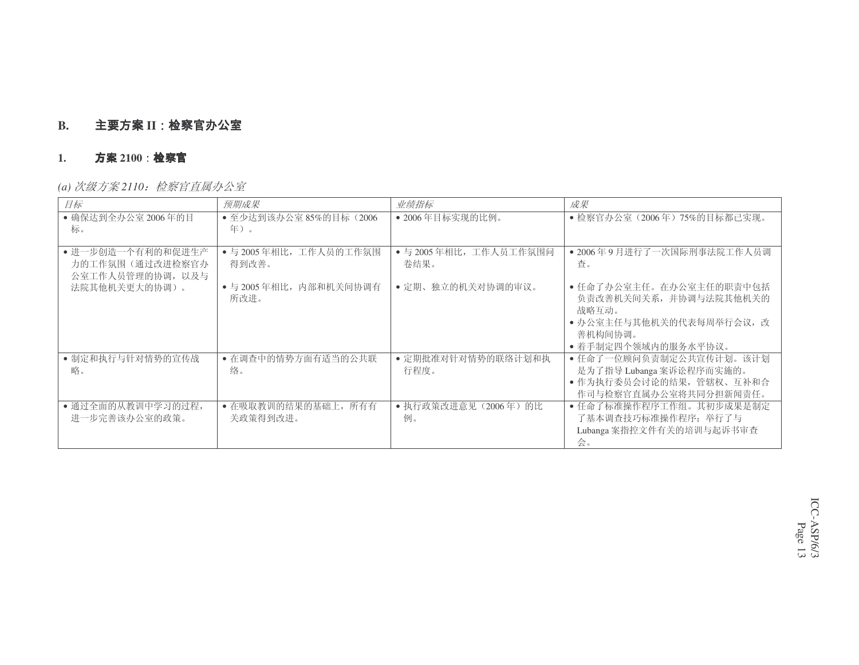#### **B.**. 主要方案 II

#### **1.**. 方案 2100 **· 检察**官

*(a)* 㑻ᮍḜ *<sup>2110</sup>*˖ẔᆳᅬⳈሲࡲ݀ᅸ

| 目标                                                       | 预期成果                            | 业绩指标                           | 成果                                                                                                                       |
|----------------------------------------------------------|---------------------------------|--------------------------------|--------------------------------------------------------------------------------------------------------------------------|
| • 确保达到全办公室 2006年的目                                       | ● 至少达到该办公室 85%的目标(2006          | • 2006年目标实现的比例。                | • 检察官办公室 (2006年) 75%的目标都已实现。                                                                                             |
| 标。                                                       | 年)。                             |                                |                                                                                                                          |
| • 讲一步创造一个有利的和促讲生产<br>力的工作氛围(通过改进检察官办<br>公室工作人员管理的协调, 以及与 | • 与 2005年相比, 工作人员的工作氛围<br>得到改善。 | • 与 2005年相比, 工作人员工作氛围问<br>卷结果。 | • 2006年9月进行了一次国际刑事法院工作人员调<br>査。                                                                                          |
| 法院其他机关更大的协调)。                                            | • 与 2005 年相比, 内部和机关间协调有<br>所改讲。 | • 定期、独立的机关对协调的审议。              | • 任命了办公室主任。在办公室主任的职责中包括<br>负责改善机关间关系, 并协调与法院其他机关的<br>战略互动。<br>• 办公室主任与其他机关的代表每周举行会议, 改<br>善机构间协调。<br>• 着手制定四个领域内的服务水平协议。 |
| • 制定和执行与针对情势的宣传战<br>略。                                   | • 在调查中的情势方面有适当的公共联<br>络。        | • 定期批准对针对情势的联络计划和执<br>行程度。     | • 任命了一位顾问负责制定公共宣传计划。该计划<br>是为了指导 Lubanga 案诉讼程序而实施的。<br>• 作为执行委员会讨论的结果, 管辖权、互补和合<br>作司与检察官直属办公室将共同分担新闻责任。                 |
| • 通过全面的从教训中学习的过程,<br>讲一步完善该办公室的政策。                       | • 在吸取教训的结果的基础上, 所有有<br>关政策得到改讲。 | ● 执行政策改进意见(2006年)的比<br>例。      | • 任命了标准操作程序工作组。其初步成果是制定<br>了基本调查技巧标准操作程序: 举行了与<br>Lubanga 案指控文件有关的培训与起诉书审查<br>会。                                         |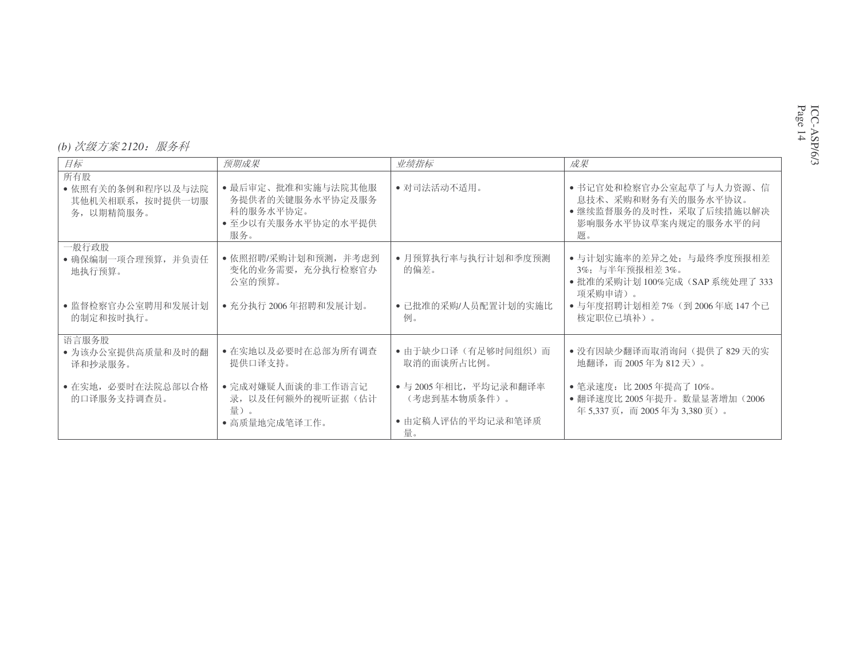## *(b) 次级方案* 2120*:服务科*

| 目标                                                                         | 预期成果                                                                                            | 业绩指标                                                                                                | 成果                                                                                                                                            |
|----------------------------------------------------------------------------|-------------------------------------------------------------------------------------------------|-----------------------------------------------------------------------------------------------------|-----------------------------------------------------------------------------------------------------------------------------------------------|
| 所有股<br>• 依照有关的条例和程序以及与法院<br>其他机关相联系, 按时提供一切服<br>务, 以期精简服务。                 | • 最后审定、批准和实施与法院其他服<br>务提供者的关键服务水平协定及服务<br>科的服务水平协定。<br>• 至少以有关服务水平协定的水平提供<br>服务。                | • 对司法活动不适用。                                                                                         | • 书记官处和检察官办公室起草了与人力资源、信<br>息技术、采购和财务有关的服务水平协议。<br>• 继续监督服务的及时性, 采取了后续措施以解决<br>影响服务水平协议草案内规定的服务水平的问<br>题。                                      |
| 一般行政股<br>• 确保编制一项合理预算, 并负责任<br>地执行预算。<br>• 监督检察官办公室聘用和发展计划<br>的制定和按时执行。    | • 依照招聘/采购计划和预测, 并考虑到<br>变化的业务需要, 充分执行检察官办<br>公室的预算。<br>• 充分执行 2006年招聘和发展计划。                     | • 月预算执行率与执行计划和季度预测<br>的偏差。<br>• 已批准的采购/人员配置计划的实施比<br>例。                                             | • 与计划实施率的差异之处:与最终季度预报相差<br>3%; 与半年预报相差3%。<br>● 批准的采购计划 100%完成 (SAP 系统处理了 333<br>项采购申请)。<br>● 与年度招聘计划相差 7% (到 2006年底 147 个已<br>核定职位已填补)。       |
| 语言服务股<br>• 为该办公室提供高质量和及时的翻<br>译和抄录服务。<br>• 在实地, 必要时在法院总部以合格<br>的口译服务支持调查员。 | • 在实地以及必要时在总部为所有调查<br>提供口译支持。<br>• 完成对嫌疑人面谈的非工作语言记<br>录, 以及任何额外的视听证据(估计<br>量)。<br>• 高质量地完成笔译工作。 | • 由于缺少口译(有足够时间组织)而<br>取消的面谈所占比例。<br>• 与 2005年相比,平均记录和翻译率<br>(考虑到基本物质条件)。<br>• 由定稿人评估的平均记录和笔译质<br>量。 | • 没有因缺少翻译而取消询问 (提供了 829 天的实<br>地翻译, 而 2005年为 812天)。<br>• 笔录速度: 比 2005 年提高了 10%。<br>● 翻译速度比 2005 年提升。数量显著增加 (2006)<br>年5,337页, 而2005年为3,380页)。 |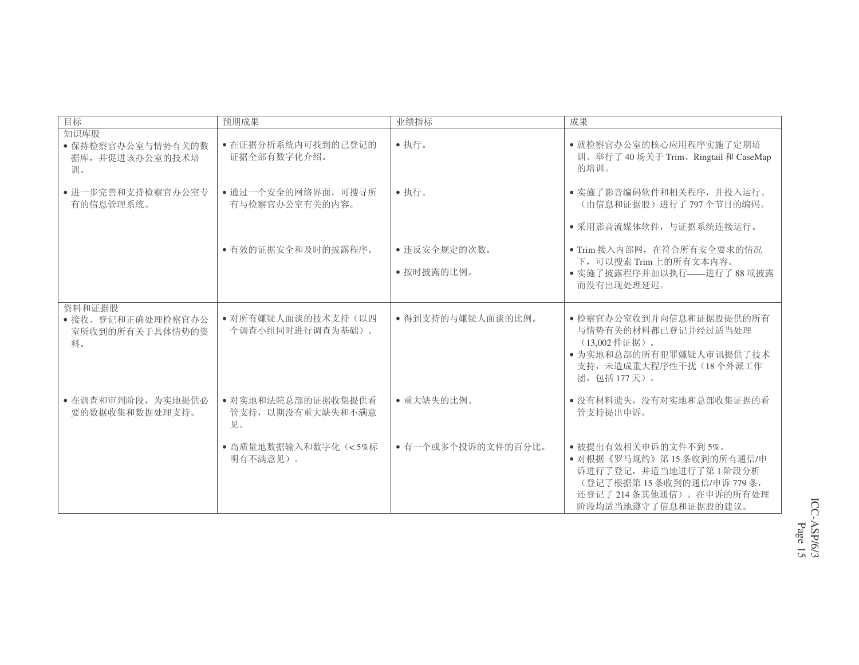| 目标                                                   | 预期成果                                          | 业绩指标               | 成果                                                                                                                                                  |
|------------------------------------------------------|-----------------------------------------------|--------------------|-----------------------------------------------------------------------------------------------------------------------------------------------------|
| 知识库股<br>• 保持检察官办公室与情势有关的数<br>据库,并促进该办公室的技术培<br>训。    | • 在证据分析系统内可找到的已登记的<br>证据全部有数字化介绍。             | •执行。               | • 就检察官办公室的核心应用程序实施了定期培<br>训。举行了40场关于 Trim、Ringtail 和 CaseMap<br>的培训。                                                                                |
| • 进一步完善和支持检察官办公室专<br>有的信息管理系统。                       | • 通过一个安全的网络界面, 可搜寻所<br>有与检察官办公室有关的内容。         | •执行。               | • 实施了影音编码软件和相关程序, 并投入运行。<br>(由信息和证据股) 讲行了797个节目的编码。                                                                                                 |
|                                                      |                                               |                    | • 采用影音流媒体软件, 与证据系统连接运行。                                                                                                                             |
|                                                      | • 有效的证据安全和及时的披露程序。                            | • 违反安全规定的次数。       | · Trim 接入内部网, 在符合所有安全要求的情况<br>下,可以搜索 Trim 上的所有文本内容。                                                                                                 |
|                                                      |                                               | • 按时披露的比例。         | • 实施了披露程序并加以执行——讲行了88项披露<br>而没有出现处理延迟。                                                                                                              |
| 资料和证据股<br>• 接收、登记和正确处理检察官办公<br>室所收到的所有关于具体情势的资<br>料。 | • 对所有嫌疑人面谈的技术支持(以四<br>个调查小组同时进行调查为基础)。        | • 得到支持的与嫌疑人面谈的比例。  | • 检察官办公室收到并向信息和证据股提供的所有<br>与情势有关的材料都已登记并经过适当处理<br>(13,002 件证据)。<br>• 为实地和总部的所有犯罪嫌疑人审讯提供了技术<br>支持, 未造成重大程序性干扰(18个外派工作<br>团, 包括 177天)。                |
| • 在调查和审判阶段, 为实地提供必<br>要的数据收集和数据处理支持。                 | • 对实地和法院总部的证据收集提供看<br>管支持, 以期没有重大缺失和不满意<br>见。 | • 重大缺失的比例。         | • 没有材料遗失, 没有对实地和总部收集证据的看<br>管支持提出申诉。                                                                                                                |
|                                                      | • 高质量地数据输入和数字化 (<5%标<br>明有不满意见)。              | • 有一个或多个投诉的文件的百分比。 | • 被提出有效相关申诉的文件不到5%。<br>• 对根据《罗马规约》第15条收到的所有通信/申<br>诉进行了登记,并适当地进行了第1阶段分析<br>(登记了根据第15条收到的通信/申诉779条,<br>还登记了214条其他通信)。在申诉的所有处理<br>阶段均适当地遵守了信息和证据股的建议。 |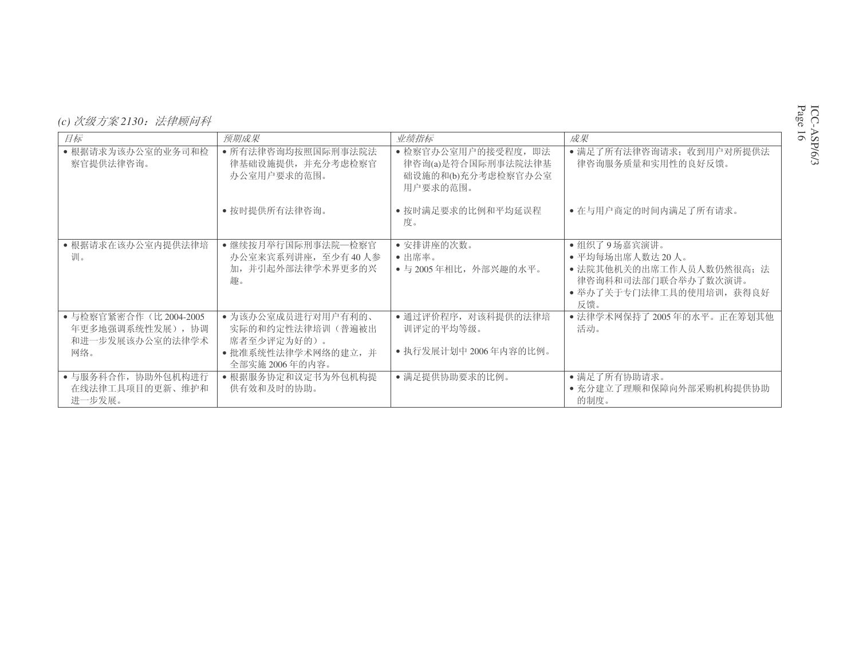| (c) 次级方案 2130: 法律顾问科 |  |
|----------------------|--|
|----------------------|--|

| 目标                                                             | 预期成果                                                   | 业绩指标                                                                        | 成果                                                                          |
|----------------------------------------------------------------|--------------------------------------------------------|-----------------------------------------------------------------------------|-----------------------------------------------------------------------------|
| • 根据请求为该办公室的业务司和检<br>察官提供法律咨询。                                 | • 所有法律咨询均按照国际刑事法院法<br>律基础设施提供, 并充分考虑检察官<br>办公室用户要求的范围。 | • 检察官办公室用户的接受程度, 即法<br>律咨询(a)是符合国际刑事法院法律基<br>础设施的和(b)充分考虑检察官办公室<br>用户要求的范围。 | • 满足了所有法律咨询请求: 收到用户对所提供法<br>律咨询服务质量和实用性的良好反馈。                               |
|                                                                | • 按时提供所有法律咨询。                                          | • 按时满足要求的比例和平均延误程<br>度。                                                     | • 在与用户商定的时间内满足了所有请求。                                                        |
| • 根据请求在该办公室内提供法律培                                              | •继续按月举行国际刑事法院一检察官                                      | • 安排讲座的次数。                                                                  | •组织了9场嘉宾演讲。                                                                 |
| 训。                                                             | 办公室来宾系列讲座, 至少有40人参                                     | • 出席率。                                                                      | •平均每场出席人数达20人。                                                              |
|                                                                | 加,并引起外部法律学术界更多的兴<br>趣。                                 | • 与 2005年相比, 外部兴趣的水平。                                                       | • 法院其他机关的出席工作人员人数仍然很高; 法<br>律咨询科和司法部门联合举办了数次演讲。<br>• 举办了关于专门法律工具的使用培训, 获得良好 |
|                                                                |                                                        |                                                                             | 反馈。                                                                         |
| ● 与检察官紧密合作 (比 2004-2005<br>年更多地强调系统性发展), 协调<br>和进一步发展该办公室的法律学术 | • 为该办公室成员进行对用户有利的、<br>实际的和约定性法律培训(普遍被出<br>席者至少评定为好的)。  | • 通过评价程序, 对该科提供的法律培<br>训评定的平均等级。                                            | • 法律学术网保持了2005年的水平。正在筹划其他<br>活动。                                            |
| 网络。                                                            | • 批准系统性法律学术网络的建立, 并<br>全部实施 2006年的内容。                  | • 执行发展计划中 2006年内容的比例。                                                       |                                                                             |
| • 与服务科合作, 协助外包机构进行                                             | • 根据服务协定和议定书为外包机构提                                     | •满足提供协助要求的比例。                                                               | •满足了所有协助请求。                                                                 |
| 在线法律工具项目的更新、维护和<br>进一步发展。                                      | 供有效和及时的协助。                                             |                                                                             | ● 充分建立了理顺和保障向外部采购机构提供协助<br>的制度。                                             |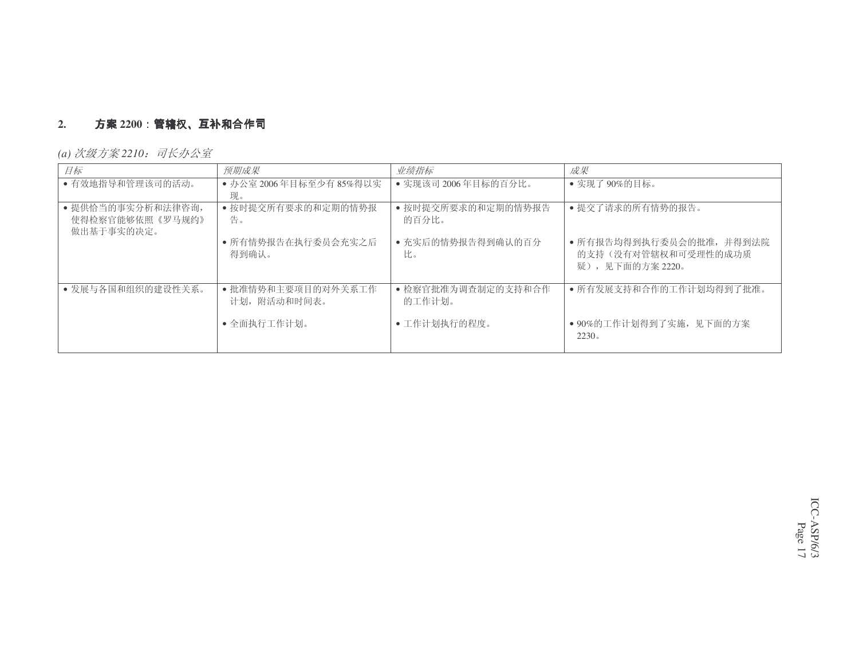# **2.**. **方案 2200:管辖权、互补和合作司**<br>a) *次级方案* 22*10.司长办公室*

*(a) 次级方案* 2210*:司长办公室* 

| 目标                                                 | 预期成果                              | 业绩指标                         | 成果                                                                  |
|----------------------------------------------------|-----------------------------------|------------------------------|---------------------------------------------------------------------|
| • 有效地指导和管理该司的活动。                                   | ● 办公室 2006年目标至少有 85%得以实<br>现。     | • 实现该司 2006年目标的百分比。          | • 实现了90%的目标。                                                        |
| • 提供恰当的事实分析和法律咨询,<br>使得检察官能够依照《罗马规约》<br>做出基于事实的决定。 | • 按时提交所有要求的和定期的情势报<br>告。          | • 按时提交所要求的和定期的情势报告<br>的百分比。  | • 提交了请求的所有情势的报告。                                                    |
|                                                    | • 所有情势报告在执行委员会充实之后<br>得到确认。       | • 充实后的情势报告得到确认的百分<br>比。      | • 所有报告均得到执行委员会的批准, 并得到法院<br>的支持(没有对管辖权和可受理性的成功质<br>疑), 见下面的方案 2220。 |
| • 发展与各国和组织的建设性关系。                                  | •批准情势和主要项目的对外关系工作<br>计划, 附活动和时间表。 | • 检察官批准为调查制定的支持和合作<br>的工作计划。 | • 所有发展支持和合作的工作计划均得到了批准。                                             |
|                                                    | • 全面执行工作计划。                       | • 工作计划执行的程度。                 | • 90%的工作计划得到了实施, 见下面的方案<br>2230.                                    |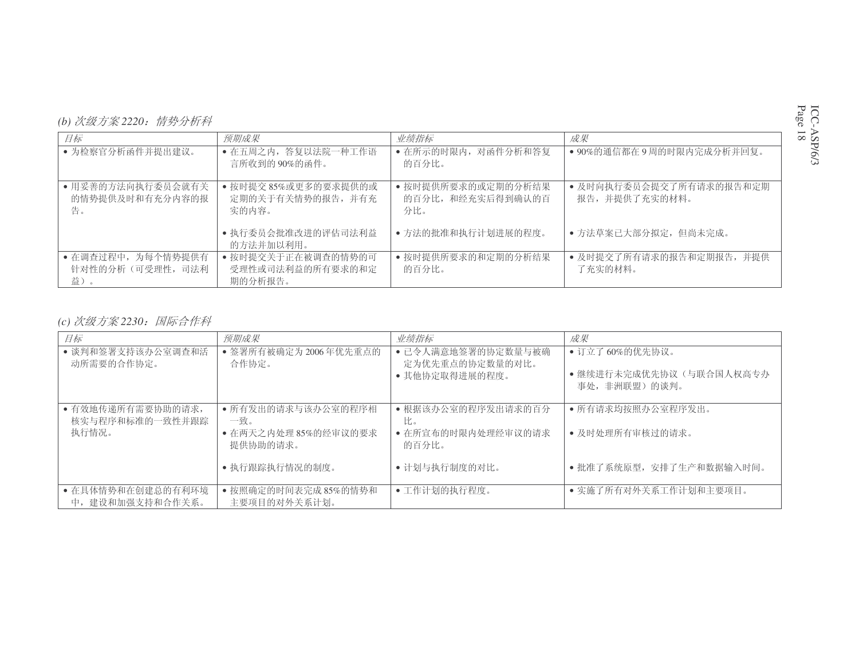| (b) 次级方案 2220: 情势分析科 |  |
|----------------------|--|
|----------------------|--|

| 目标                                           | 预期成果                                               | 业绩指标                                           | 成果                                       |
|----------------------------------------------|----------------------------------------------------|------------------------------------------------|------------------------------------------|
| • 为检察官分析函件并提出建议。                             | • 在五周之内, 答复以法院一种工作语<br>言所收到的90%的函件。                | • 在所示的时限内, 对函件分析和答复<br>的百分比。                   | ● 90%的通信都在9周的时限内完成分析并回复。                 |
| • 用妥善的方法向执行委员会就有关<br>的情势提供及时和有充分内容的报<br>告。   | • 按时提交 85%或更多的要求提供的或<br>定期的关于有关情势的报告, 并有充<br>实的内容。 | • 按时提供所要求的或定期的分析结果<br>的百分比, 和经充实后得到确认的百<br>分比。 | • 及时向执行委员会提交了所有请求的报告和定期<br>报告,并提供了充实的材料。 |
|                                              | • 执行委员会批准改进的评估司法利益<br>的方法并加以利用。                    | • 方法的批准和执行计划进展的程度。                             | • 方法草案已大部分拟定, 但尚未完成。                     |
| • 在调杳过程中, 为每个情势提供有<br>针对性的分析(可受理性,司法利<br>益)。 | • 按时提交关于正在被调查的情势的可<br>受理性或司法利益的所有要求的和定<br>期的分析报告。  | • 按时提供所要求的和定期的分析结果<br>的百分比。                    | • 及时提交了所有请求的报告和定期报告, 并提供<br>了充实的材料。      |

## *(c) 次级方案* 2230*:国际合作科*

| 目标                                    | 预期成果                                 | 业绩指标                                  | 成果                                        |
|---------------------------------------|--------------------------------------|---------------------------------------|-------------------------------------------|
| • 谈判和签署支持该办公室调查和活<br>动所需要的合作协定。       | • 签署所有被确定为 2006年优先重点的<br>合作协定。       | • 已令人满意地签署的协定数量与被确<br>定为优先重点的协定数量的对比。 | • 订立了 60%的优先协议。                           |
|                                       |                                      | • 其他协定取得进展的程度。                        | ● 继续进行未完成优先协议(与联合国人权高专办<br>事处, 非洲联盟) 的谈判。 |
| • 有效地传递所有需要协助的请求,<br>核实与程序和标准的一致性并跟踪  | • 所有发出的请求与该办公室的程序相<br>一致。            | • 根据该办公室的程序发出请求的百分<br>比。              | • 所有请求均按照办公室程序发出。                         |
| 执行情况。                                 | • 在两天之内处理 85%的经审议的要求<br>提供协助的请求。     | • 在所宣布的时限内处理经审议的请求<br>的百分比。           | • 及时处理所有审核过的请求。                           |
|                                       | • 执行跟踪执行情况的制度。                       | • 计划与执行制度的对比。                         | •批准了系统原型,安排了生产和数据输入时间。                    |
| • 在具体情势和在创建总的有利环境<br>中, 建设和加强支持和合作关系。 | • 按照确定的时间表完成 85%的情势和<br>主要项目的对外关系计划。 | • 工作计划的执行程度。                          | • 实施了所有对外关系工作计划和主要项目。                     |

ICC-ASP/6/3 Page 18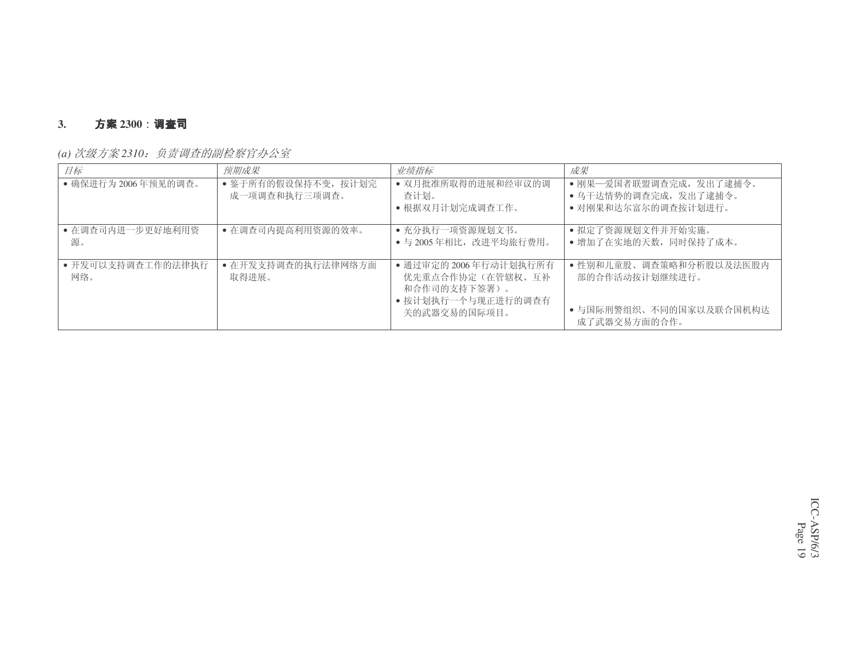#### **3.**. **方案** 2300:调查司

|  | (a) 次级方案 2310: 负责调查的副检察官办公室 |
|--|-----------------------------|
|--|-----------------------------|

| 目标                       | 预期成果                                 | 业绩指标                                                                                            | 成果                                                                                   |
|--------------------------|--------------------------------------|-------------------------------------------------------------------------------------------------|--------------------------------------------------------------------------------------|
| • 确保进行为2006年预见的调查。       | • 鉴于所有的假设保持不变, 按计划完<br>成一项调查和执行三项调查。 | • 双月批准所取得的进展和经审议的调<br>查计划。<br>• 根据双月计划完成调查工作。                                                   | • 刚果--爱国者联盟调查完成, 发出了逮捕令。<br>• 乌干达情势的调查完成, 发出了逮捕令。<br>• 对刚果和达尔富尔的调查按计划进行。             |
| • 在调查司内进一步更好地利用资<br>源。   | • 在调查司内提高利用资源的效率。                    | • 充分执行一项资源规划文书。<br>• 与 2005年相比, 改进平均旅行费用。                                                       | • 拟定了资源规划文件并开始实施。<br>• 增加了在实地的天数, 同时保持了成本。                                           |
| • 开发可以支持调查工作的法律执行<br>网络。 | • 在开发支持调查的执行法律网络方面<br>取得讲展。          | • 通过审定的 2006年行动计划执行所有<br>优先重点合作协定(在管辖权、互补<br>和合作司的支持下签署)。<br>• 按计划执行一个与现正进行的调查有<br>关的武器交易的国际项目。 | • 性别和儿童股、调查策略和分析股以及法医股内<br>部的合作活动按计划继续进行。<br>• 与国际刑警组织、不同的国家以及联合国机构达<br>成了武器交易方面的合作。 |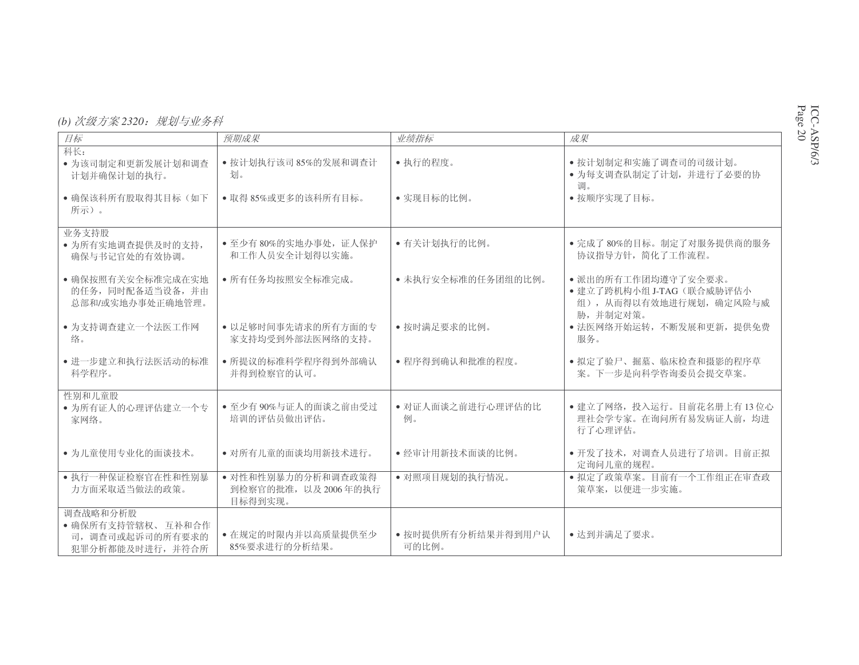| (b) 次级方案 2320: 规划与业务科 |  |
|-----------------------|--|
|-----------------------|--|

| 目标                                                                   | 预期成果                                                 | 业绩指标                        | 成果                                                                          |
|----------------------------------------------------------------------|------------------------------------------------------|-----------------------------|-----------------------------------------------------------------------------|
| 科长:<br>• 为该司制定和更新发展计划和调杳<br>计划并确保计划的执行。                              | • 按计划执行该司 85%的发展和调查计<br>划。                           | • 执行的程度。                    | • 按计划制定和实施了调查司的司级计划。<br>• 为每支调查队制定了计划, 并进行了必要的协                             |
| • 确保该科所有股取得其目标(如下<br>所示)。                                            | • 取得 85%或更多的该科所有目标。                                  | • 实现目标的比例。                  | 调。<br>• 按顺序实现了目标。                                                           |
| 业务支持股<br>• 为所有实地调查提供及时的支持,<br>确保与书记官处的有效协调。                          | • 至少有80%的实地办事处, 证人保护<br>和工作人员安全计划得以实施。               | • 有关计划执行的比例。                | • 完成了80%的目标。制定了对服务提供商的服务<br>协议指导方针, 简化了工作流程。                                |
| • 确保按照有关安全标准完成在实地<br>的任务, 同时配备适当设备, 并由<br>总部和/或实地办事处正确地管理。           | • 所有任务均按照安全标准完成。                                     | • 未执行安全标准的任务团组的比例。          | • 派出的所有工作团均遵守了安全要求。<br>• 建立了跨机构小组 J-TAG (联合威胁评估小<br>组), 从而得以有效地进行规划, 确定风险与威 |
| • 为支持调查建立一个法医工作网<br>络。                                               | • 以足够时间事先请求的所有方面的专<br>家支持均受到外部法医网络的支持。               | • 按时满足要求的比例。                | 胁,并制定对策。<br>• 法医网络开始运转, 不断发展和更新, 提供免费<br>服务。                                |
| • 进一步建立和执行法医活动的标准<br>科学程序。                                           | • 所提议的标准科学程序得到外部确认<br>并得到检察官的认可。                     | • 程序得到确认和批准的程度。             | • 拟定了验尸、掘墓、临床检查和摄影的程序草<br>案。下一步是向科学咨询委员会提交草案。                               |
| 性别和儿童股<br>• 为所有证人的心理评估建立一个专<br>家网络。                                  | • 至少有90%与证人的面谈之前由受过<br>培训的评估员做出评估。                   | • 对证人面谈之前进行心理评估的比<br>例。     | • 建立了网络, 投入运行。目前花名册上有13位心<br>理社会学专家。在询问所有易发病证人前,均进<br>行了心理评估。               |
| • 为儿童使用专业化的面谈技术。                                                     | • 对所有儿童的面谈均用新技术进行。                                   | • 经审计用新技术面谈的比例。             | • 开发了技术, 对调查人员进行了培训。目前正拟<br>定询问儿童的规程。                                       |
| • 执行一种保证检察官在性和性别暴<br>力方面采取适当做法的政策。                                   | • 对性和性别暴力的分析和调查政策得<br>到检察官的批准, 以及2006年的执行<br>目标得到实现。 | • 对照项目规划的执行情况。              | • 拟定了政策草案。目前有一个工作组正在审查政<br>策草案, 以便进一步实施。                                    |
| 调查战略和分析股<br>• 确保所有支持管辖权、互补和合作<br>司, 调查司或起诉司的所有要求的<br>犯罪分析都能及时进行,并符合所 | • 在规定的时限内并以高质量提供至少<br>85%要求进行的分析结果。                  | • 按时提供所有分析结果并得到用户认<br>可的比例。 | •达到并满足了要求。                                                                  |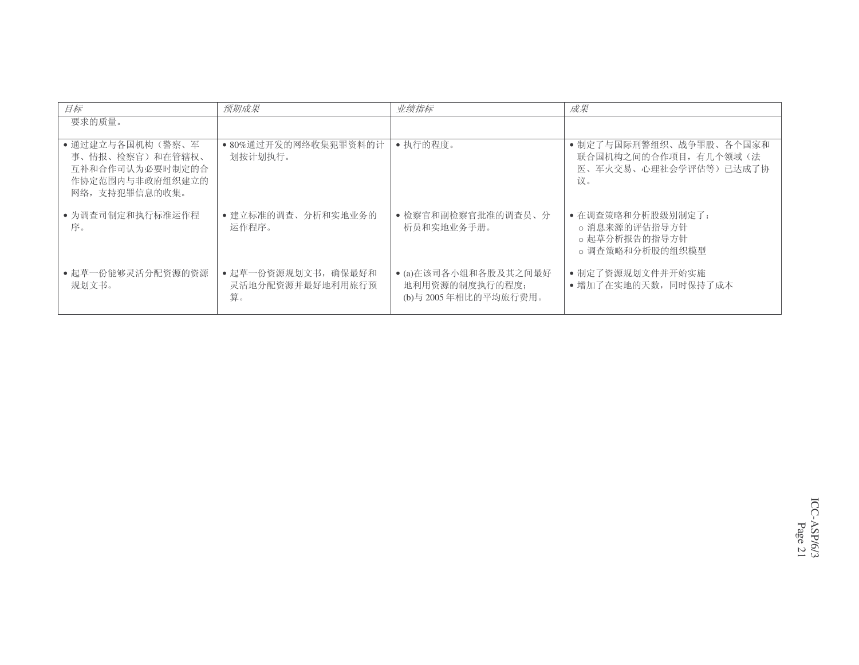| 目标                                                                                          | 预期成果                                          | 业绩指标                                                           | 成果                                                                              |
|---------------------------------------------------------------------------------------------|-----------------------------------------------|----------------------------------------------------------------|---------------------------------------------------------------------------------|
| 要求的质量。                                                                                      |                                               |                                                                |                                                                                 |
| • 通过建立与各国机构(警察、军<br>事、情报、检察官)和在管辖权、<br>互补和合作司认为必要时制定的合<br>作协定范围内与非政府组织建立的<br>网络, 支持犯罪信息的收集。 | • 80%通过开发的网络收集犯罪资料的计<br>划按计划执行。               | • 执行的程度。                                                       | • 制定了与国际刑警组织、战争罪股、各个国家和<br>联合国机构之间的合作项目, 有几个领域(法<br>医、军火交易、心理社会学评估等)已达成了协<br>议。 |
| • 为调查司制定和执行标准运作程<br>序。                                                                      | • 建立标准的调查、分析和实地业务的<br>运作程序。                   | • 检察官和副检察官批准的调查员、分<br>析员和实地业务手册。                               | • 在调查策略和分析股级别制定了:<br>o 消息来源的评估指导方针<br>。起草分析报告的指导方针<br>o 调杳策略和分析股的组织模型           |
| •起草一份能够灵活分配资源的资源<br>规划文书。                                                                   | • 起草一份资源规划文书, 确保最好和<br>灵活地分配资源并最好地利用旅行预<br>算。 | ● (a)在该司各小组和各股及其之间最好<br>地利用资源的制度执行的程度;<br>(b)与 2005年相比的平均旅行费用。 | • 制定了资源规划文件并开始实施<br>• 增加了在实地的天数,同时保持了成本                                         |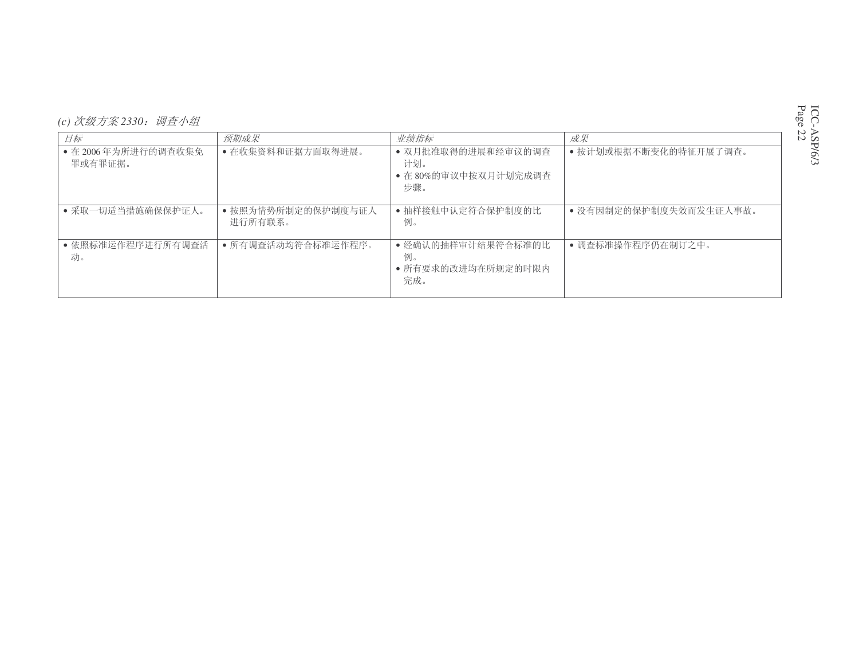| (c) 次级方案 2330: 调查小组 |  |
|---------------------|--|
|---------------------|--|

| 目标                             | 预期成果                          | 业绩指标                                                     | 成果                     |
|--------------------------------|-------------------------------|----------------------------------------------------------|------------------------|
| • 在 2006年为所进行的调查收集免<br>罪或有罪证据。 | • 在收集资料和证据方面取得进展。             | • 双月批准取得的进展和经审议的调查<br>计划。<br>• 在 80%的审议中按双月计划完成调查<br>步骤。 | • 按计划或根据不断变化的特征开展了调查。  |
| • 采取一切适当措施确保保护证人。              | • 按照为情势所制定的保护制度与证人<br>进行所有联系。 | • 抽样接触中认定符合保护制度的比<br>例。                                  | • 没有因制定的保护制度失效而发生证人事故。 |
| • 依照标准运作程序进行所有调查活<br>动。        | • 所有调查活动均符合标准运作程序。            | • 经确认的抽样审计结果符合标准的比<br>例。<br>• 所有要求的改进均在所规定的时限内<br>完成。    | • 调查标准操作程序仍在制订之中。      |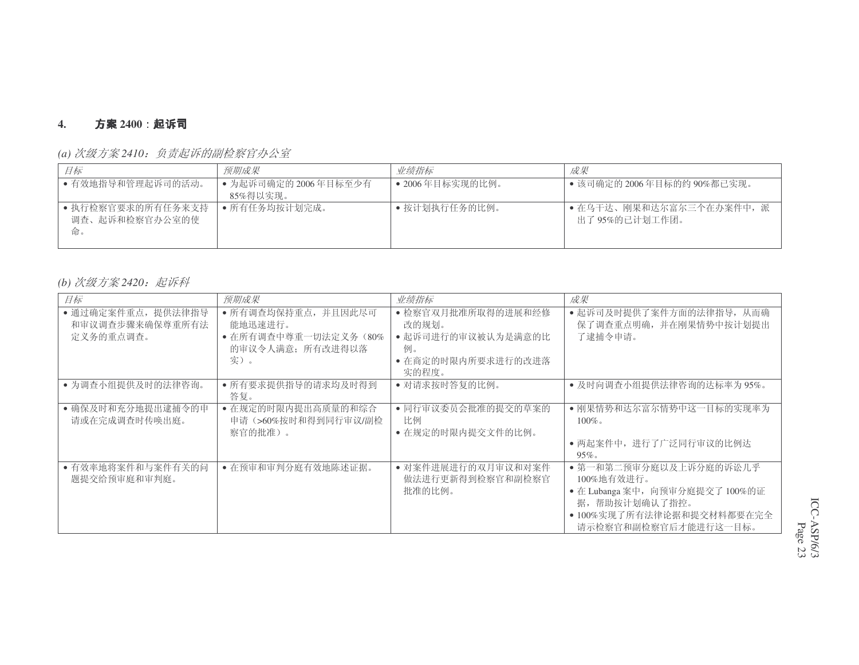#### **4.**. **方案** 2400:起诉司

| 日标                                       | 预期成果                             | 业绩指标            | 成果                                         |
|------------------------------------------|----------------------------------|-----------------|--------------------------------------------|
| • 有效地指导和管理起诉司的活动。                        | • 为起诉司确定的 2006年目标至少有<br>85%得以实现。 | • 2006年目标实现的比例。 | ● 该司确定的 2006年目标的约 90%都已实现。                 |
| • 执行检察官要求的所有任务来支持<br>调查、起诉和检察官办公室的使<br>俞 | • 所有任务均按计划完成。                    | ● 按计划执行任务的比例。   | • 在乌干达、刚果和达尔富尔三个在办案件中, 派<br>出了 95%的已计划工作团。 |

*(a) 次级方案* 2410*:负责起诉的副检察官办公室* 

## *(b) 次级方案* 2420*:起诉科*

| 目标                                                | 预期成果                                                                              | 业绩指标                                                                                   | 成果                                                                                                                                            |
|---------------------------------------------------|-----------------------------------------------------------------------------------|----------------------------------------------------------------------------------------|-----------------------------------------------------------------------------------------------------------------------------------------------|
| • 通过确定案件重点,提供法律指导<br>和审议调查步骤来确保尊重所有法<br>定义务的重点调查。 | • 所有调查均保持重点,并且因此尽可<br>能地迅速讲行。<br>• 在所有调杳中尊重一切法定义务 (80%<br>的审议令人满意; 所有改进得以落<br>实)。 | • 检察官双月批准所取得的进展和经修<br>改的规划。<br>• 起诉司进行的审议被认为是满意的比<br>例。<br>• 在商定的时限内所要求进行的改进落<br>实的程度。 | • 起诉司及时提供了案件方面的法律指导, 从而确<br>保了调查重点明确,并在刚果情势中按计划提出<br>了逮捕令申请。                                                                                  |
| • 为调查小组提供及时的法律咨询。                                 | • 所有要求提供指导的请求均及时得到<br>答复。                                                         | • 对请求按时答复的比例。                                                                          | • 及时向调查小组提供法律咨询的达标率为95%。                                                                                                                      |
| • 确保及时和充分地提出逮捕令的申<br>请或在完成调查时传唤出庭。                | • 在规定的时限内提出高质量的和综合<br>申请(>60%按时和得到同行审议/副检<br>察官的批准)。                              | • 同行审议委员会批准的提交的草案的<br>比例<br>• 在规定的时限内提交文件的比例。                                          | • 刚果情势和达尔富尔情势中这一目标的实现率为<br>$100\%$<br>• 两起案件中, 进行了广泛同行审议的比例达<br>$95\%$                                                                        |
| • 有效率地将案件和与案件有关的问<br>题提交给预审庭和审判庭。                 | • 在预审和审判分庭有效地陈述证据。                                                                | • 对案件进展进行的双月审议和对案件<br>做法进行更新得到检察官和副检察官<br>批准的比例。                                       | • 第一和第二预审分庭以及上诉分庭的诉讼几乎<br>100%地有效进行。<br>· 在 Lubanga 案中, 向预审分庭提交了 100%的证<br>据,帮助按计划确认了指控。<br>• 100%实现了所有法律论据和提交材料都要在完全<br>请示检察官和副检察官后才能进行这一目标。 |

ICC-ASP/6/3 Page 23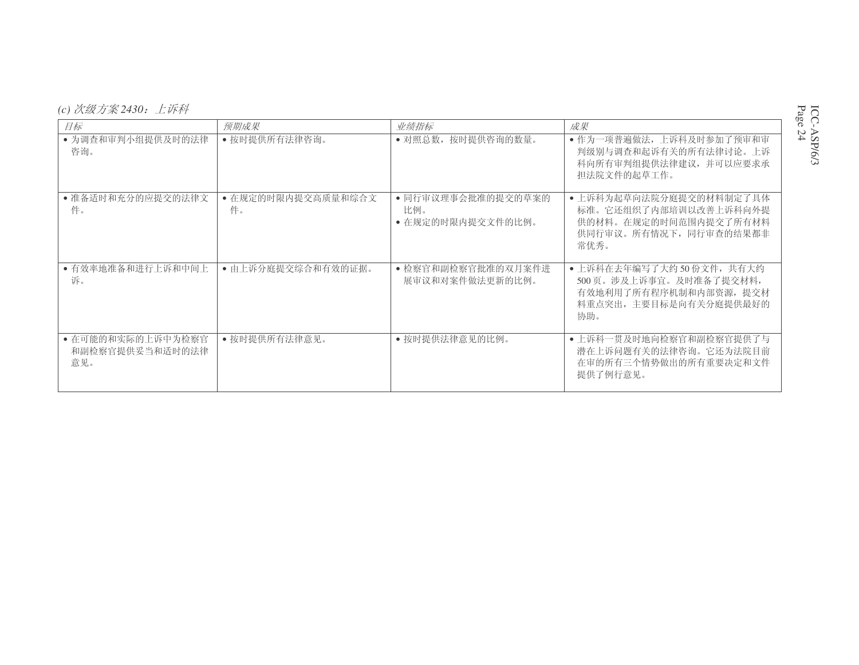| (c) 次级方案 2430: | 上诉科 |
|----------------|-----|
|----------------|-----|

| 目标                                          | 预期成果                     | 业绩指标                                           | 成果                                                                                                            |
|---------------------------------------------|--------------------------|------------------------------------------------|---------------------------------------------------------------------------------------------------------------|
| • 为调查和审判小组提供及时的法律<br>咨询。                    | • 按时提供所有法律咨询。            | • 对照总数,<br>按时提供咨询的数量。                          | • 作为一项普遍做法, 上诉科及时参加了预审和审<br>判级别与调查和起诉有关的所有法律讨论。上诉<br>科向所有审判组提供法律建议, 并可以应要求承<br>担法院文件的起草工作。                    |
| • 准备适时和充分的应提交的法律文<br>件。                     | • 在规定的时限内提交高质量和综合文<br>件。 | • 同行审议理事会批准的提交的草案的<br>比例。<br>• 在规定的时限内提交文件的比例。 | • 上诉科为起草向法院分庭提交的材料制定了具体<br>标准。它还组织了内部培训以改善上诉科向外提<br>供的材料。在规定的时间范围内提交了所有材料<br>供同行审议。所有情况下, 同行审查的结果都非<br>常优秀。   |
| • 有效率地准备和进行上诉和中间上<br>诉。                     | • 由上诉分庭提交综合和有效的证据。       | • 检察官和副检察官批准的双月案件进<br>展审议和对案件做法更新的比例。          | • 上诉科在去年编写了大约50份文件, 共有大约<br>500页。涉及上诉事宜。及时准备了提交材料,<br>有效地利用了所有程序机制和内部资源, 提交材<br>料重点突出, 主要目标是向有关分庭提供最好的<br>协助。 |
| • 在可能的和实际的上诉中为检察官<br>和副检察官提供妥当和适时的法律<br>意见。 | • 按时提供所有法律意见。            | • 按时提供法律意见的比例。                                 | • 上诉科一贯及时地向检察官和副检察官提供了与<br>潜在上诉问题有关的法律咨询。它还为法院目前<br>在审的所有三个情势做出的所有重要决定和文件<br>提供了例行意见。                         |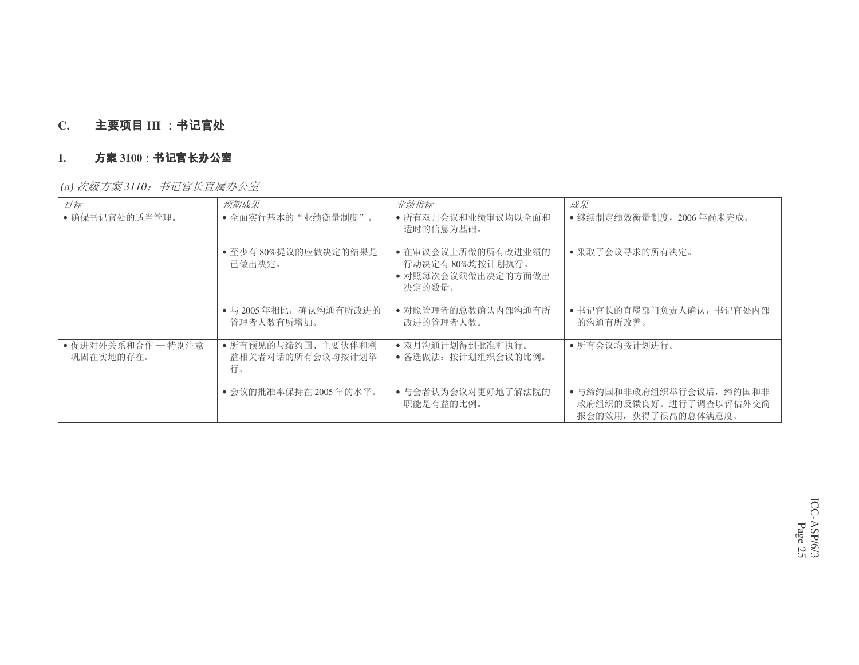#### **C.**. 主要项目 III

#### **1.**<u>. 方案 3100:书记官长办公室</u>

*(a) 次级方案 3110:书记官长直属办公室* 

| 目标                              | 预期成果                                         | 业绩指标                                                                  | 成果                                                                       |
|---------------------------------|----------------------------------------------|-----------------------------------------------------------------------|--------------------------------------------------------------------------|
| • 确保书记官处的适当管理。                  | • 全面实行基本的"业绩衡量制度"。                           | • 所有双月会议和业绩审议均以全面和<br>适时的信息为基础。                                       | • 继续制定绩效衡量制度, 2006年尚未完成。                                                 |
|                                 | • 至少有 80%提议的应做决定的结果是<br>已做出决定。               | • 在审议会议上所做的所有改进业绩的<br>行动决定有80%均按计划执行。<br>• 对照每次会议须做出决定的方面做出<br>决定的数量。 | • 采取了会议寻求的所有决定。                                                          |
|                                 | • 与 2005年相比, 确认沟通有所改进的<br>管理者人数有所增加。         | • 对照管理者的总数确认内部沟通有所<br>改讲的管理者人数。                                       | • 书记官长的直属部门负责人确认, 书记官处内部<br>的沟通有所改善。                                     |
| • 促进对外关系和合作 — 特别注意<br>巩固在实地的存在。 | • 所有预见的与缔约国、主要伙伴和利<br>益相关者对话的所有会议均按计划举<br>行。 | • 双月沟通计划得到批准和执行。<br>• 备选做法: 按计划组织会议的比例。                               | • 所有会议均按计划进行。                                                            |
|                                 | • 会议的批准率保持在 2005 年的水平。                       | • 与会者认为会议对更好地了解法院的<br>职能是有益的比例。                                       | • 与缔约国和非政府组织举行会议后, 缔约国和非<br>政府组织的反馈良好。进行了调查以评估外交简<br>报会的效用, 获得了很高的总体满意度。 |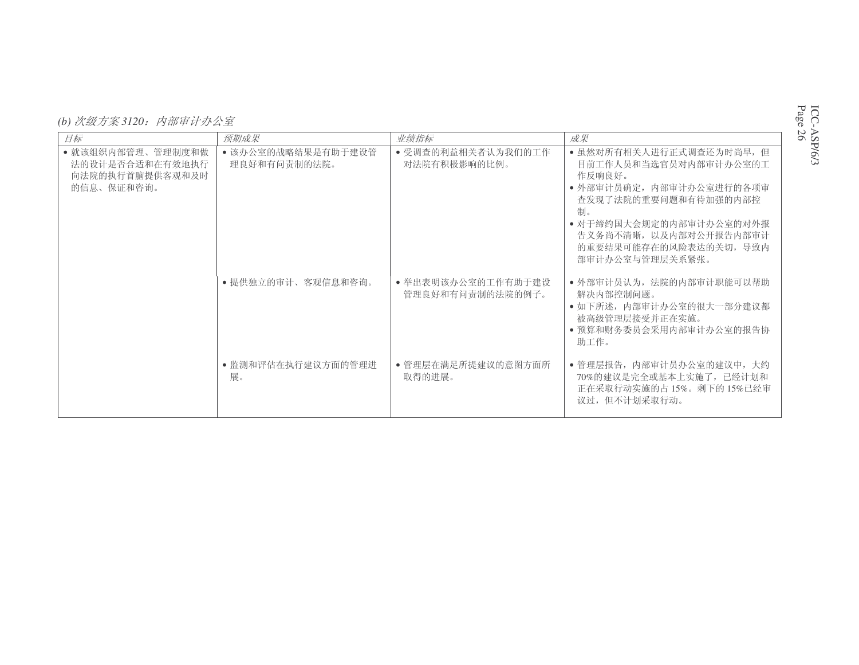(b) 次级方案 3120: 内部审计办公室

| 目标                                                                    | 预期成果                               | 业绩指标                                   | 成果                                                                                                                                                                                                                      |
|-----------------------------------------------------------------------|------------------------------------|----------------------------------------|-------------------------------------------------------------------------------------------------------------------------------------------------------------------------------------------------------------------------|
| • 就该组织内部管理、管理制度和做<br>法的设计是否合适和在有效地执行<br>向法院的执行首脑提供客观和及时<br>的信息、保证和咨询。 | • 该办公室的战略结果是有助于建设管<br>理良好和有问责制的法院。 | • 受调查的利益相关者认为我们的工作<br>对法院有积极影响的比例。     | • 虽然对所有相关人进行正式调查还为时尚早, 但<br>目前工作人员和当选官员对内部审计办公室的工<br>作反响良好。<br>• 外部审计员确定, 内部审计办公室进行的各项审<br>查发现了法院的重要问题和有待加强的内部控<br>制。<br>• 对于缔约国大会规定的内部审计办公室的对外报<br>告义务尚不清晰, 以及内部对公开报告内部审计<br>的重要结果可能存在的风险表达的关切, 导致内<br>部审计办公室与管理层关系紧张。 |
|                                                                       | • 提供独立的审计、客观信息和咨询。                 | • 举出表明该办公室的工作有助于建设<br>管理良好和有间责制的法院的例子。 | • 外部审计员认为, 法院的内部审计职能可以帮助<br>解决内部控制问题。<br>• 如下所述, 内部审计办公室的很大一部分建议都<br>被高级管理层接受并正在实施。<br>• 预算和财务委员会采用内部审计办公室的报告协<br>助工作。                                                                                                  |
|                                                                       | • 监测和评估在执行建议方面的管理进<br>展。           | • 管理层在满足所提建议的意图方面所<br>取得的讲展。           | • 管理层报告, 内部审计员办公室的建议中, 大约<br>70%的建议是完全或基本上实施了, 已经计划和<br>正在采取行动实施的占15%。剩下的15%已经审<br>议过,但不计划采取行动。                                                                                                                         |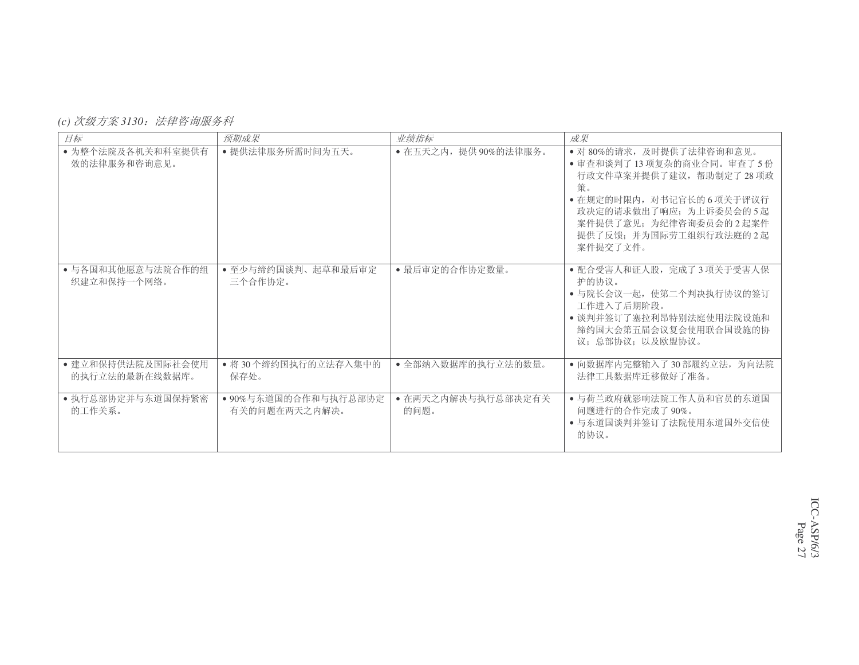## *(c) 次级方案3130:法律咨询服务科*

| 目标                                  | 预期成果                                  | 业绩指标                       | 成果                                                                                                                                                                                                           |
|-------------------------------------|---------------------------------------|----------------------------|--------------------------------------------------------------------------------------------------------------------------------------------------------------------------------------------------------------|
| • 为整个法院及各机关和科室提供有<br>效的法律服务和咨询意见。   | • 提供法律服务所需时间为五天。                      | • 在五天之内, 提供90%的法律服务。       | • 对 80%的请求, 及时提供了法律咨询和意见。<br>• 审查和谈判了13项复杂的商业合同。审查了5份<br>行政文件草案并提供了建议,帮助制定了28项政<br>策。<br>• 在规定的时限内, 对书记官长的 6 项关于评议行<br>政决定的请求做出了响应; 为上诉委员会的5起<br>案件提供了意见: 为纪律咨询委员会的2起案件<br>提供了反馈;并为国际劳工组织行政法庭的2起<br>案件提交了文件。 |
| • 与各国和其他愿意与法院合作的组<br>织建立和保持一个网络。    | • 至少与缔约国谈判、起草和最后审定<br>三个合作协定。         | • 最后审定的合作协定数量。             | • 配合受害人和证人股, 完成了3项关于受害人保<br>护的协议。<br>• 与院长会议一起,使第二个判决执行协议的签订<br>工作讲入了后期阶段。<br>• 谈判并签订了塞拉利昂特别法庭使用法院设施和<br>缔约国大会第五届会议复会使用联合国设施的协<br>议: 总部协议: 以及欧盟协议。                                                           |
| • 建立和保持供法院及国际社会使用<br>的执行立法的最新在线数据库。 | • 将30个缔约国执行的立法存入集中的<br>保存处。           | • 全部纳入数据库的执行立法的数量。         | • 向数据库内完整输入了30部履约立法, 为向法院<br>法律工具数据库迁移做好了准备。                                                                                                                                                                 |
| • 执行总部协定并与东道国保持紧密<br>的工作关系。         | • 90%与东道国的合作和与执行总部协定<br>有关的问题在两天之内解决。 | • 在两天之内解决与执行总部决定有关<br>的问题。 | • 与荷兰政府就影响法院工作人员和官员的东道国<br>问题进行的合作完成了90%。<br>• 与东道国谈判并签订了法院使用东道国外交信使<br>的协议。                                                                                                                                 |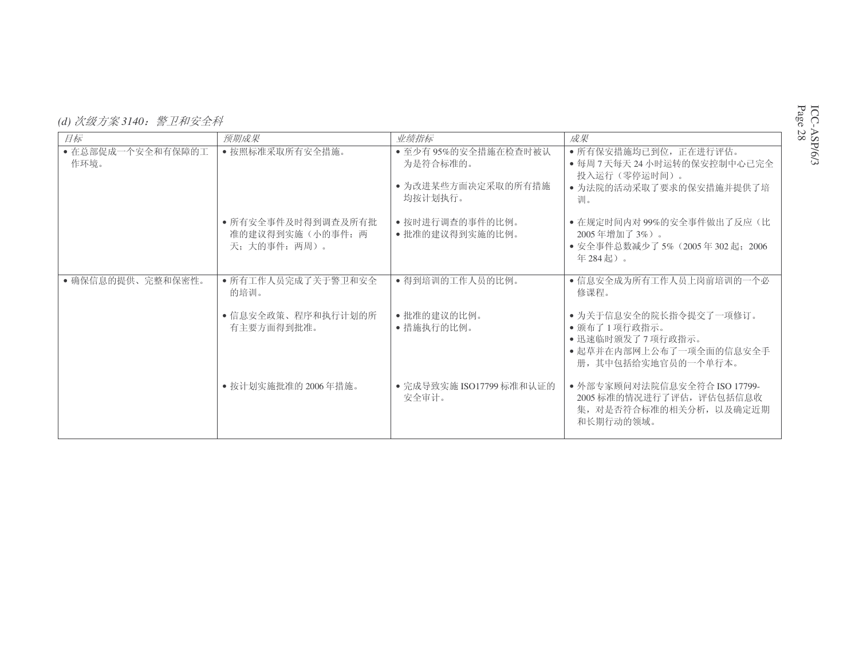*(d) 次级方案 3140:警卫和安全科* 

| 目标                        | 预期成果                                                    | 业绩指标                                                             | 成果                                                                                                          |
|---------------------------|---------------------------------------------------------|------------------------------------------------------------------|-------------------------------------------------------------------------------------------------------------|
| • 在总部促成一个安全和有保障的工<br>作环境。 | • 按照标准采取所有安全措施。                                         | • 至少有95%的安全措施在检查时被认<br>为是符合标准的。<br>• 为改进某些方面决定采取的所有措施<br>均按计划执行。 | • 所有保安措施均已到位, 正在进行评估。<br>● 每周 7 天每天 24 小时运转的保安控制中心已完全<br>投入运行(零停运时间)。<br>• 为法院的活动采取了要求的保安措施并提供了培<br>训。      |
|                           | • 所有安全事件及时得到调查及所有批<br>准的建议得到实施(小的事件: 两<br>天: 大的事件: 两周)。 | • 按时进行调查的事件的比例。<br>• 批准的建议得到实施的比例。                               | • 在规定时间内对99%的安全事件做出了反应(比<br>2005年增加了3%)。<br>• 安全事件总数减少了 5% (2005年 302 起: 2006)<br>年284起)。                   |
| • 确保信息的提供、完整和保密性。         | • 所有工作人员完成了关于警卫和安全<br>的培训。                              | • 得到培训的工作人员的比例。                                                  | • 信息安全成为所有工作人员上岗前培训的一个必<br>修课程。                                                                             |
|                           | • 信息安全政策、程序和执行计划的所<br>有主要方面得到批准。                        | • 批准的建议的比例。<br>• 措施执行的比例。                                        | • 为关于信息安全的院长指令提交了一项修订。<br>• 颁布了1项行政指示。<br>•迅速临时颁发了7项行政指示。<br>• 起草并在内部网上公布了一项全面的信息安全手<br>册, 其中包括给实地官员的一个单行本。 |
|                           | • 按计划实施批准的 2006年措施。                                     | ● 完成导致实施 ISO17799 标准和认证的<br>安全审计。                                | ● 外部专家顾问对法院信息安全符合 ISO 17799-<br>2005 标准的情况进行了评估, 评估包括信息收<br>集, 对是否符合标准的相关分析, 以及确定近期<br>和长期行动的领域。            |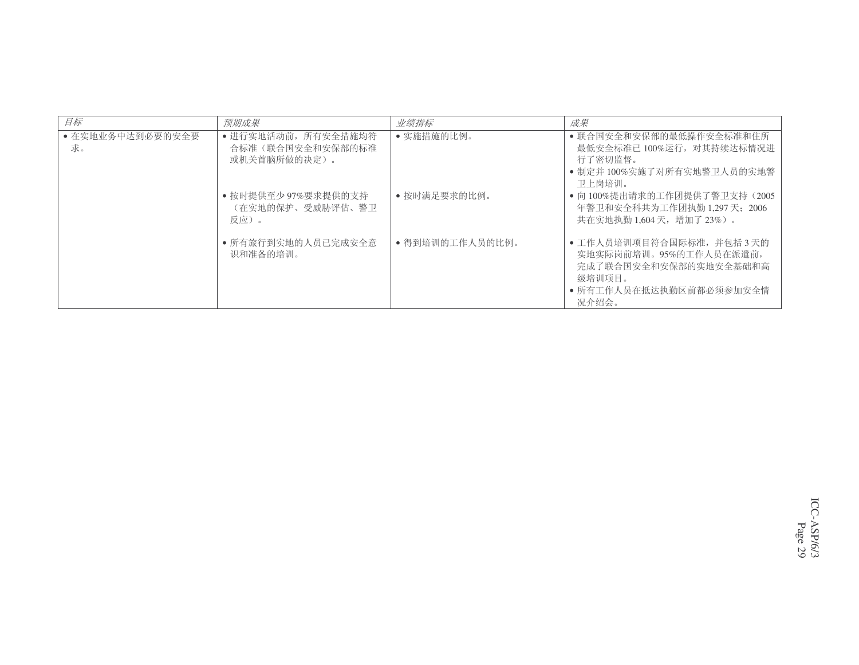| 目标                     | 预期成果                                                    | 业绩指标            | 成果                                                                                                                        |
|------------------------|---------------------------------------------------------|-----------------|---------------------------------------------------------------------------------------------------------------------------|
| • 在实地业务中达到必要的安全要<br>求。 | • 进行实地活动前, 所有安全措施均符<br>合标准(联合国安全和安保部的标准<br>或机关首脑所做的决定)。 | • 实施措施的比例。      | • 联合国安全和安保部的最低操作安全标准和住所<br>最低安全标准已 100%运行, 对其持续达标情况进<br>行了密切监督。<br>• 制定并 100%实施了对所有实地警卫人员的实地警<br>卫上岗培训。                   |
|                        | • 按时提供至少97%要求提供的支持<br>(在实地的保护、受威胁评估、警卫<br>反应)。          | • 按时满足要求的比例。    | • 向 100%提出请求的工作团提供了警卫支持 (2005<br>年警卫和安全科共为工作团执勤 1.297 天: 2006<br>共在实地执勤 1.604 天, 增加了 23%)。                                |
|                        | • 所有旅行到实地的人员已完成安全意<br>识和准备的培训。                          | • 得到培训的工作人员的比例。 | • 工作人员培训项目符合国际标准, 并包括3天的<br>实地实际岗前培训。95%的工作人员在派遣前,<br>完成了联合国安全和安保部的实地安全基础和高<br>级培训项目。<br>• 所有工作人员在抵达执勤区前都必须参加安全情<br>况介绍会。 |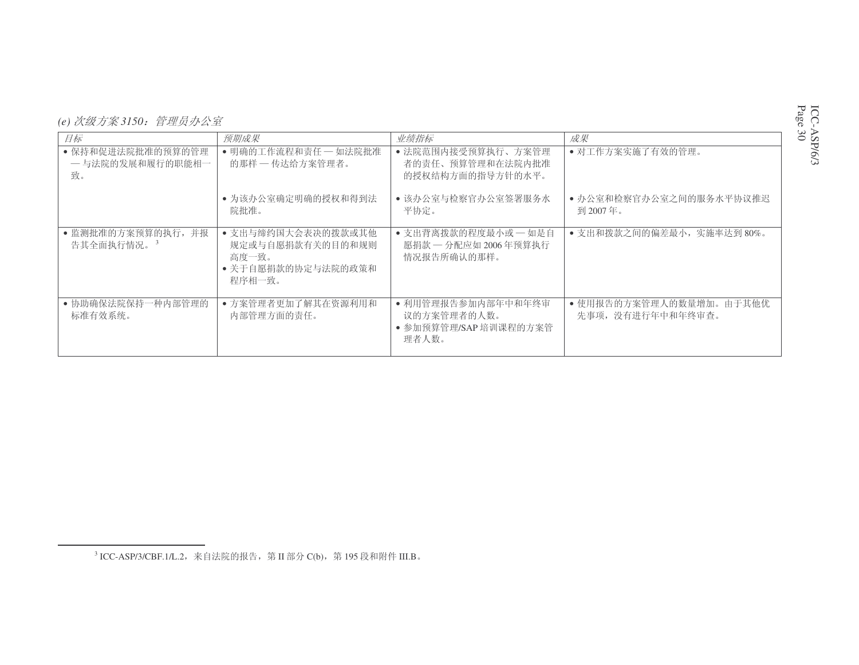| (e) 次级方案 3150: 管理员办公室 |  |
|-----------------------|--|
|-----------------------|--|

| 目标                                           | 预期成果                                                                            | 业绩指标                                                                | 成果                                           |
|----------------------------------------------|---------------------------------------------------------------------------------|---------------------------------------------------------------------|----------------------------------------------|
| • 保持和促进法院批准的预算的管理<br>— 与法院的发展和履行的职能相一<br>致。  | • 明确的工作流程和责任 - 如法院批准<br>的那样 - 传达给方案管理者。                                         | • 法院范围内接受预算执行、方案管理<br>者的责任、预算管理和在法院内批准<br>的授权结构方面的指导方针的水平。          | • 对工作方案实施了有效的管理。                             |
|                                              | • 为该办公室确定明确的授权和得到法<br>院批准。                                                      | • 该办公室与检察官办公室签署服务水<br>平协定。                                          | • 办公室和检察官办公室之间的服务水平协议推迟<br>到 2007年。          |
| • 监测批准的方案预算的执行, 并报<br>告其全面执行情况。 <sup>3</sup> | • 支出与缔约国大会表决的拨款或其他<br>规定或与自愿捐款有关的目的和规则<br>高度一致。<br>• 关于自愿捐款的协定与法院的政策和<br>程序相一致。 | • 支出背离拨款的程度最小或 - 如是自<br>愿捐款 一分配应如 2006年预算执行<br>情况报告所确认的那样。          | • 支出和拨款之间的偏差最小, 实施率达到80%。                    |
| • 协助确保法院保持一种内部管理的<br>标准有效系统。                 | • 方案管理者更加了解其在资源利用和<br>内部管理方面的责任。                                                | • 利用管理报告参加内部年中和年终审<br>议的方案管理者的人数。<br>• 参加预算管理/SAP 培训课程的方案管<br>理者人数。 | • 使用报告的方案管理人的数量增加。由于其他优<br>先事项, 没有进行年中和年终审查。 |

 $^3$ ICC-ASP/3/CBF.1/L.2,来自法院的报告,第 II 部分 C(b),第 195 段和附件 III.B。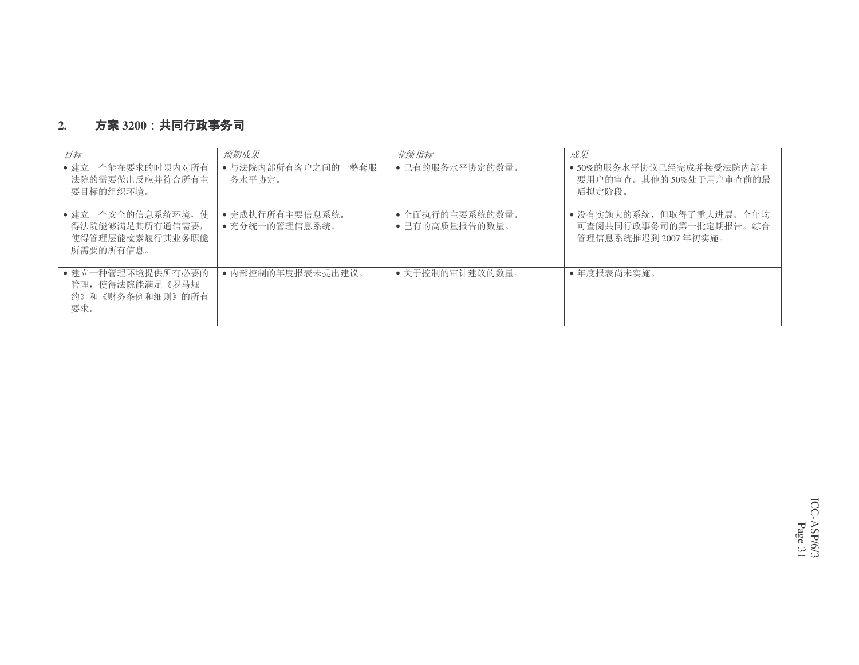#### **2.3200**

| 目标                                                                    | 预期成果                              | 业绩指标                              | 成果                                                                       |
|-----------------------------------------------------------------------|-----------------------------------|-----------------------------------|--------------------------------------------------------------------------|
| • 建立一个能在要求的时限内对所有<br>法院的需要做出反应并符合所有主<br>要目标的组织环境。                     | • 与法院内部所有客户之间的一整套服<br>务水平协定。      | • 已有的服务水平协定的数量。                   | • 50%的服务水平协议已经完成并接受法院内部主<br>要用户的审查。其他的50%处于用户审查前的最<br>后拟定阶段。             |
| • 建立一个安全的信息系统环境, 使<br>得法院能够满足其所有通信需要,<br>使得管理层能检索履行其业务职能<br>所需要的所有信息。 | • 完成执行所有主要信息系统。<br>• 充分统一的管理信息系统。 | • 全面执行的主要系统的数量。<br>• 已有的高质量报告的数量。 | • 没有实施大的系统, 但取得了重大进展。全年均<br>可杳阅共同行政事务司的第一批定期报告。综合<br>管理信息系统推迟到 2007年初实施。 |
| • 建立一种管理环境提供所有必要的<br>管理, 使得法院能满足《罗马规<br>约》和《财务条例和细则》的所有<br>要求。        | • 内部控制的年度报表未提出建议。                 | • 关于控制的审计建议的数量。                   | • 年度报表尚未实施。                                                              |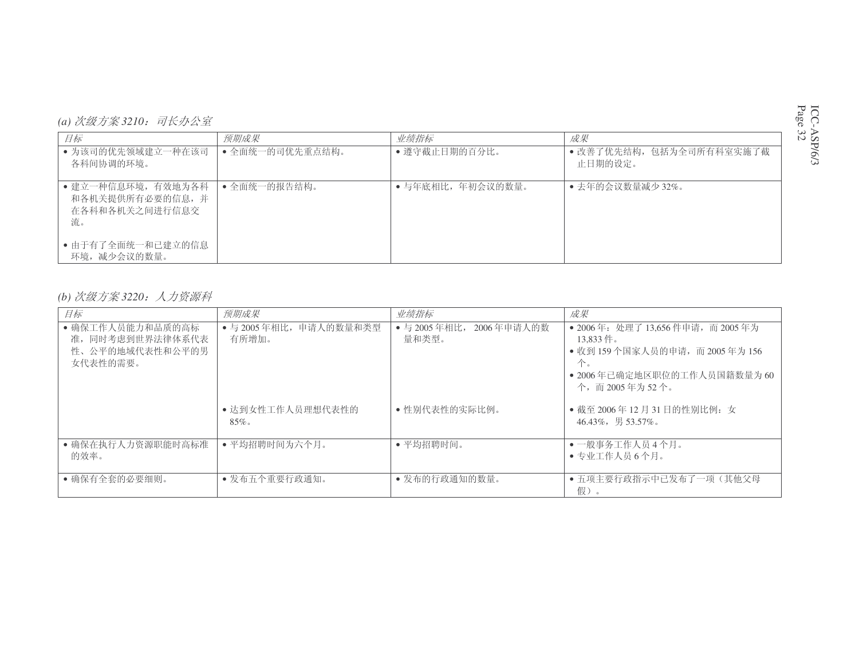| (a) 次级方案 3210: | 司长办公室 |
|----------------|-------|
|----------------|-------|

| 目标                                                           | 预期成果            | 业绩指标              | 成果                                 |
|--------------------------------------------------------------|-----------------|-------------------|------------------------------------|
| • 为该司的优先领域建立一种在该司<br>各科间协调的环境。                               | • 全面统一的司优先重点结构。 | • 遵守截止日期的百分比。     | • 改善了优先结构,包括为全司所有科室实施了截<br>止日期的设定。 |
| • 建立一种信息环境,有效地为各科<br>和各机关提供所有必要的信息,并<br>在各科和各机关之间进行信息交<br>流。 | • 全面统一的报告结构。    | • 与年底相比, 年初会议的数量。 | • 去年的会议数量减少32%。                    |
| • 由于有了全面统一和已建立的信息<br>环境, 减少会议的数量。                            |                 |                   |                                    |

*(b) 次级方案* 3220:人力资源科

| 目标                                                                  | 预期成果                            | 业绩指标                                | 成果                                                                                                                                         |
|---------------------------------------------------------------------|---------------------------------|-------------------------------------|--------------------------------------------------------------------------------------------------------------------------------------------|
| • 确保工作人员能力和品质的高标<br>准, 同时考虑到世界法律体系代表<br>性、公平的地域代表性和公平的男<br>女代表性的需要。 | • 与 2005年相比, 申请人的数量和类型<br>有所增加。 | • 与 2005年相比,<br>2006年申请人的数<br>量和类型。 | • 2006年: 处理了 13,656 件申请, 而 2005 年为<br>13.833 件。<br>• 收到 159个国家人员的申请, 而 2005年为 156<br>个。<br>• 2006年已确定地区职位的工作人员国籍数量为 60<br>个, 而 2005年为 52个。 |
|                                                                     | • 达到女性工作人员理想代表性的<br>$85\%$      | • 性别代表性的实际比例。                       | • 截至 2006年 12月 31日的性别比例: 女<br>$46.43\%$ , 男 53.57%。                                                                                        |
| • 确保在执行人力资源职能时高标准<br>的效率。                                           | • 平均招聘时间为六个月。                   | • 平均招聘时间。                           | • 一般事务工作人员4个月。<br>• 专业工作人员 6 个月。                                                                                                           |
| • 确保有全套的必要细则。                                                       | • 发布五个重要行政通知。                   | • 发布的行政通知的数量。                       | • 五项主要行政指示中已发布了一项(其他父母<br>假)。                                                                                                              |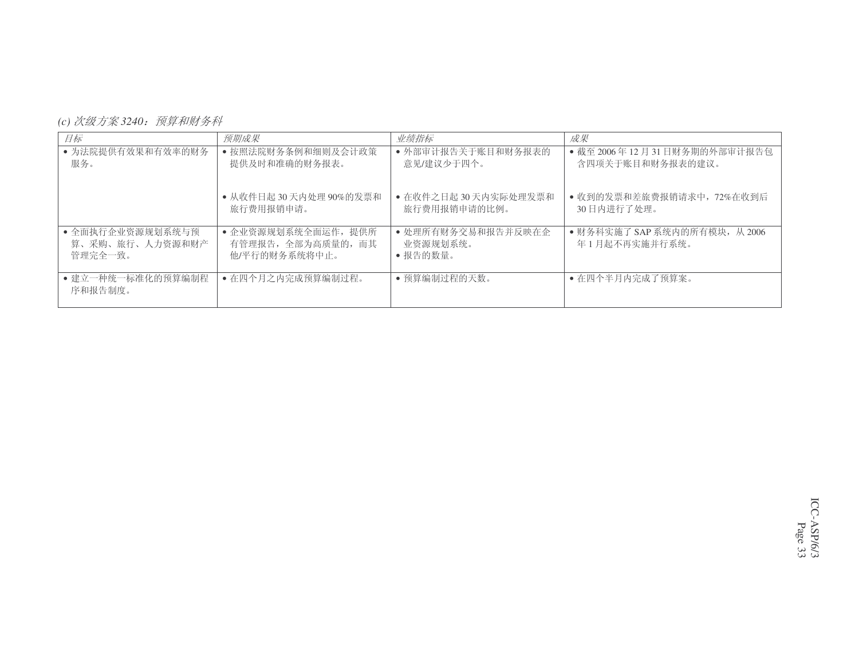*(c) 次级方案 3240:预算和财务科* 

| 目标                                             | 预期成果                                                       | 业绩指标                                      | 成果                                              |
|------------------------------------------------|------------------------------------------------------------|-------------------------------------------|-------------------------------------------------|
| • 为法院提供有效果和有效率的财务<br>服务。                       | • 按照法院财务条例和细则及会计政策<br>提供及时和准确的财务报表。                        | • 外部审计报告关于账目和财务报表的<br>意见/建议少于四个。          | • 截至 2006年12月31日财务期的外部审计报告包<br>含四项关于账目和财务报表的建议。 |
|                                                | • 从收件日起 30 天内处理 90%的发票和<br>旅行费用报销申请。                       | • 在收件之日起 30 天内实际处理发票和<br>旅行费用报销申请的比例。     | • 收到的发票和差旅费报销请求中, 72%在收到后<br>30日内讲行了处理。         |
| • 全面执行企业资源规划系统与预<br>算、采购、旅行、人力资源和财产<br>管理完全一致。 | • 企业资源规划系统全面运作, 提供所<br>有管理报告, 全部为高质量的, 而其<br>他/平行的财务系统将中止。 | • 处理所有财务交易和报告并反映在企<br>业资源规划系统。<br>•报告的数量。 | ● 财务科实施了 SAP 系统内的所有模块, 从 2006<br>年1月起不再实施并行系统。  |
| • 建立一种统一标准化的预算编制程<br>序和报告制度。                   | • 在四个月之内完成预算编制过程。                                          | • 预算编制过程的天数。                              | • 在四个半月内完成了预算案。                                 |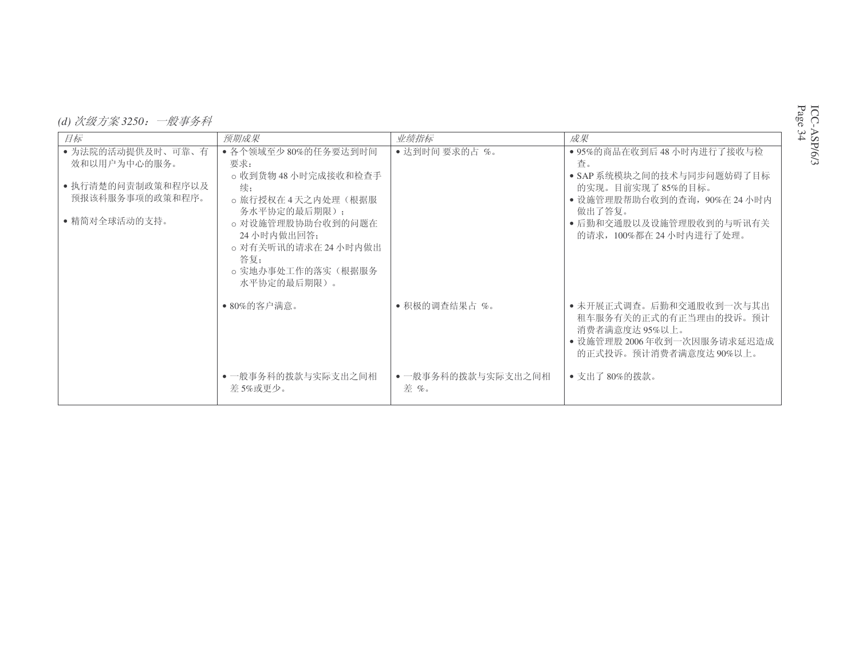| (d) 次级方案 3250: | - 般事务科 |  |
|----------------|--------|--|

| 目标                | 预期成果                 | 业绩指标               | 成果                           |
|-------------------|----------------------|--------------------|------------------------------|
|                   |                      |                    |                              |
| • 为法院的活动提供及时、可靠、有 | • 各个领域至少 80%的任务要达到时间 | • 达到时间 要求的占%。      | • 95%的商品在收到后 48 小时内进行了接收与检   |
| 效和以用户为中心的服务。      | 要求:                  |                    | 杳。                           |
|                   | o 收到货物 48 小时完成接收和检查手 |                    | • SAP 系统模块之间的技术与同步问题妨碍了目标    |
| ● 执行清楚的问责制政策和程序以及 | 续;                   |                    | 的实现。目前实现了85%的目标。             |
| 预报该科服务事项的政策和程序。   | ○ 旅行授权在 4 天之内处理(根据服  |                    | • 设施管理股帮助台收到的查询, 90%在 24 小时内 |
|                   |                      |                    |                              |
|                   | 务水平协定的最后期限):         |                    | 做出了答复。                       |
| • 精简对全球活动的支持。     | o 对设施管理股协助台收到的问题在    |                    | • 后勤和交通股以及设施管理股收到的与听讯有关      |
|                   | 24小时内做出回答:           |                    | 的请求, 100%都在 24 小时内进行了处理。     |
|                   | o 对有关听讯的请求在 24 小时内做出 |                    |                              |
|                   | 答复:                  |                    |                              |
|                   | o 实地办事处工作的落实(根据服务    |                    |                              |
|                   |                      |                    |                              |
|                   | 水平协定的最后期限)。          |                    |                              |
|                   |                      |                    |                              |
|                   | ● 80%的客户满意。          | • 积极的调查结果占 %。      | • 未开展正式调查。后勤和交通股收到一次与其出      |
|                   |                      |                    | 租车服务有关的正式的有正当理由的投诉。预计        |
|                   |                      |                    | 消费者满意度达 95%以上。               |
|                   |                      |                    | • 设施管理股 2006年收到一次因服务请求延迟造成   |
|                   |                      |                    | 的正式投诉。预计消费者满意度达90%以上。        |
|                   |                      |                    |                              |
|                   | • 一般事务科的拨款与实际支出之间相   | • 一般事务科的拨款与实际支出之间相 | • 支出了80%的拨款。                 |
|                   | 差 5%或更少。             | 差%。                |                              |
|                   |                      |                    |                              |
|                   |                      |                    |                              |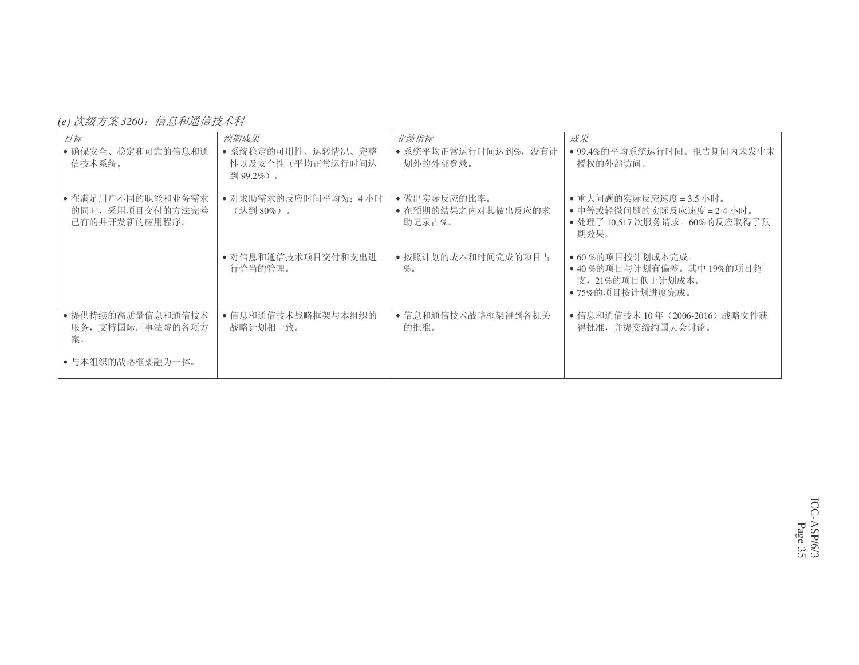(e) 次级方案 3260*:信息和通信技术科* 

| 目标                                                     | 预期成果                                                | 业绩指标                                         | 成果                                                                                             |
|--------------------------------------------------------|-----------------------------------------------------|----------------------------------------------|------------------------------------------------------------------------------------------------|
| • 确保安全、稳定和可靠的信息和通<br>信技术系统。                            | • 系统稳定的可用性、运转情况、完整<br>性以及安全性(平均正常运行时间达<br>到 99.2%)。 | • 系统平均正常运行时间达到%,没有计<br>划外的外部登录。              | • 99.4%的平均系统运行时间。报告期间内未发生未<br>授权的外部访问。                                                         |
| • 在满足用户不同的职能和业务需求<br>的同时, 采用项目交付的方法完善<br>已有的并开发新的应用程序。 | • 对求助需求的反应时间平均为: 4小时<br>(达到80%)。                    | • 做出实际反应的比率。<br>• 在预期的结果之内对其做出反应的求<br>助记录占%。 | • 重大问题的实际反应速度 = 3.5 小时。<br>• 中等或轻微问题的实际反应速度 = 2-4 小时。<br>• 处理了 10.517 次服务请求。60%的反应取得了预<br>期效果。 |
|                                                        | • 对信息和通信技术项目交付和支出进<br>行恰当的管理。                       | • 按照计划的成本和时间完成的项目占<br>$\%$                   | ● 60%的项目按计划成本完成。<br>• 40%的项目与计划有偏差。其中 19%的项目超<br>支, 21%的项目低于计划成本。<br>• 75%的项目按计划进度完成。          |
| • 提供持续的高质量信息和通信技术<br>服务,支持国际刑事法院的各项方<br>案。             | • 信息和通信技术战略框架与本组织的<br>战略计划相一致。                      | • 信息和通信技术战略框架得到各机关<br>的批准。                   | ● 信息和通信技术 10年(2006-2016)战略文件获<br>得批准,并提交缔约国大会讨论。                                               |
| • 与本组织的战略框架融为一体。                                       |                                                     |                                              |                                                                                                |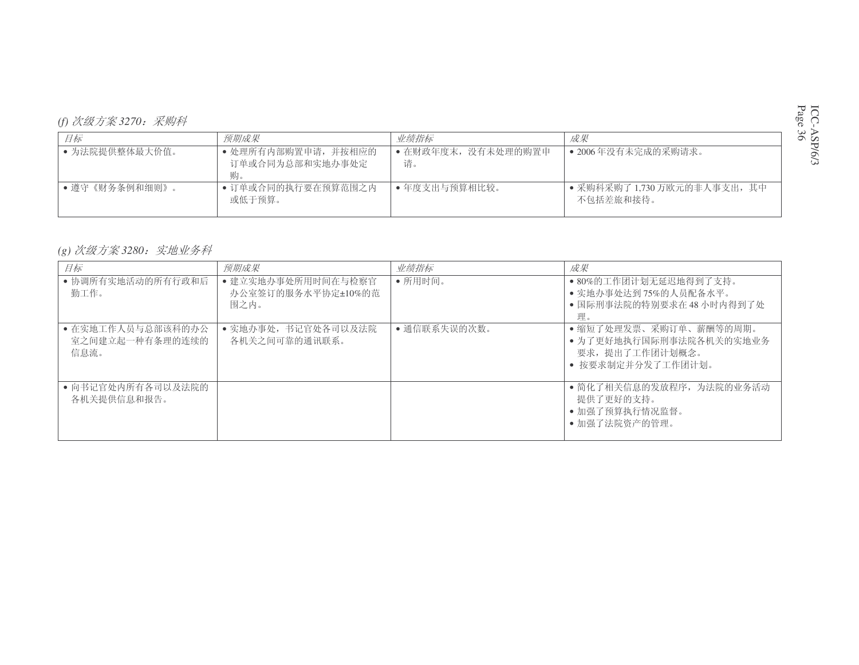| 目标             | 预期成果                                        | 业绩指标                      | 成果                                        |
|----------------|---------------------------------------------|---------------------------|-------------------------------------------|
| • 为法院提供整体最大价值。 | • 处理所有内部购置申请,并按相应的<br>订单或合同为总部和实地办事处定<br>购。 | • 在财政年度末, 没有未处理的购置申<br>请。 | • 2006年没有未完成的采购请求。                        |
| • 遵守《财务条例和细则》。 | • 订单或合同的执行要在预算范围之内<br>或低于预算。                | • 年度支出与预算相比较。             | • 采购科采购了 1,730 万欧元的非人事支出, 其中<br>不包括差旅和接待。 |

# (g) 次级方案 3280*:实地业务科*

| 目标                                           | 预期成果                                             | 业绩指标         | 成果                                                                                       |
|----------------------------------------------|--------------------------------------------------|--------------|------------------------------------------------------------------------------------------|
| • 协调所有实地活动的所有行政和后<br>勤工作。                    | • 建立实地办事处所用时间在与检察官<br>办公室签订的服务水平协定±10%的范<br>围之内。 | • 所用时间。      | • 80%的工作团计划无延迟地得到了支持。<br>• 实地办事处达到75%的人员配备水平。<br>• 国际刑事法院的特别要求在 48 小时内得到了处<br>理。         |
| • 在实地工作人员与总部该科的办公<br>室之间建立起一种有条理的连续的<br>信息流。 | • 实地办事处, 书记官处各司以及法院<br>各机关之间可靠的通讯联系。             | • 通信联系失误的次数。 | •缩短了处理发票、采购订单、薪酬等的周期。<br>• 为了更好地执行国际刑事法院各机关的实地业务<br>要求, 提出了工作团计划概念。<br>• 按要求制定并分发了工作团计划。 |
| • 向书记官处内所有各司以及法院的<br>各机关提供信息和报告。             |                                                  |              | • 简化了相关信息的发放程序, 为法院的业务活动<br>提供了更好的支持。<br>• 加强了预算执行情况监督。<br>• 加强了法院资产的管理。                 |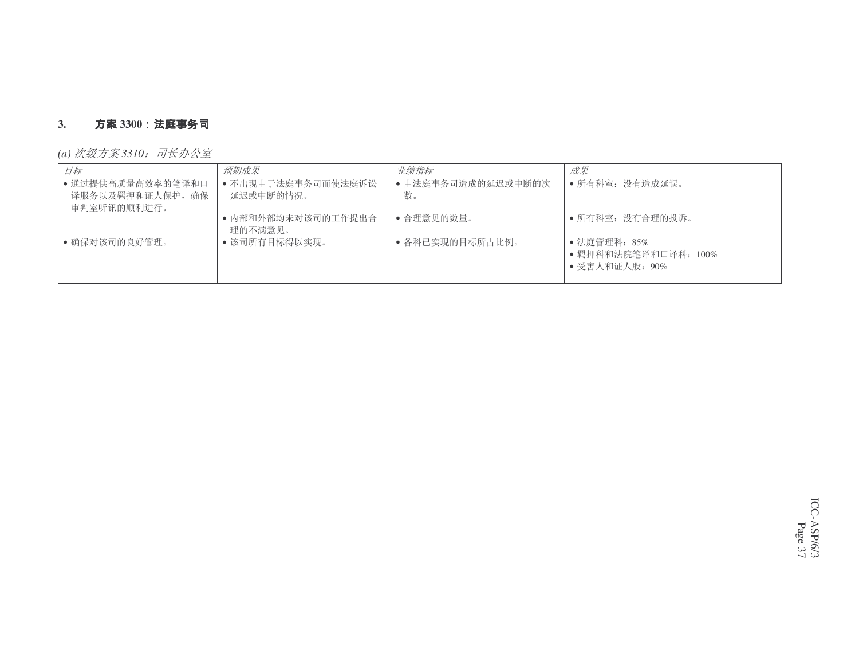#### **3.. 方案** 3300:法**庭事务**司

*(a) 次级方案* 3310*:司长办公室* 

| 目标                                                   | 预期成果                            | 业绩指标                     | 成果                                                     |
|------------------------------------------------------|---------------------------------|--------------------------|--------------------------------------------------------|
| • 通过提供高质量高效率的笔译和口<br>译服务以及羁押和证人保护, 确保<br>审判室听讯的顺利进行。 | • 不出现由于法庭事务司而使法庭诉讼<br>延迟或中断的情况。 | • 由法庭事务司造成的延迟或中断的次<br>数。 | • 所有科室: 没有造成延误。                                        |
|                                                      | • 内部和外部均未对该司的工作提出合<br>理的不满意见。   | • 合理意见的数量。               | • 所有科室: 没有合理的投诉。                                       |
| • 确保对该司的良好管理。                                        | • 该司所有目标得以实现。                   | • 各科已实现的目标所占比例。          | ● 法庭管理科: 85%<br>• 羁押科和法院笔译和口译科: 100%<br>• 受害人和证人股: 90% |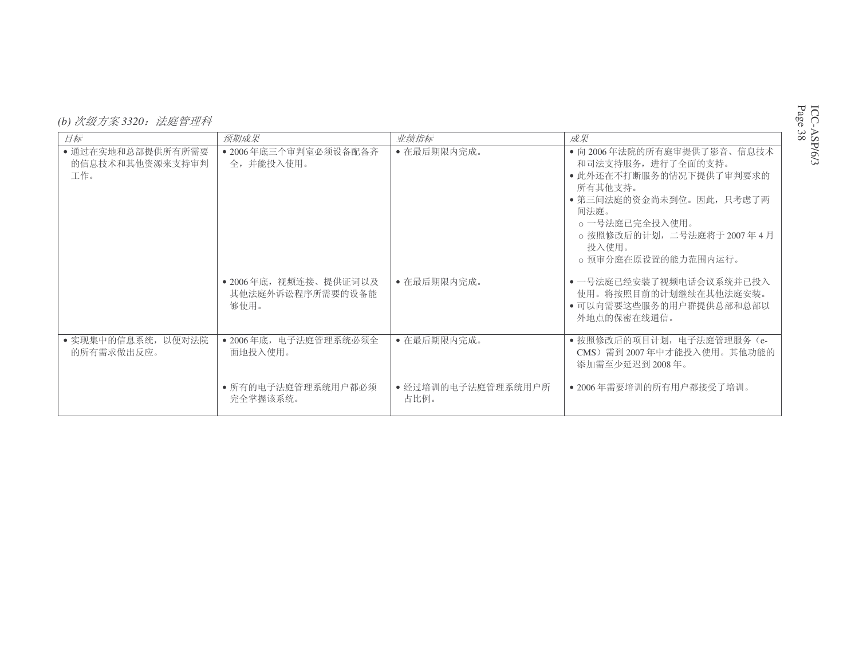| (b) 次级方案 3320: 法庭管理科 |  |
|----------------------|--|
|----------------------|--|

| 目标                                          | 预期成果                                              | 业绩指标                       | 成果                                                                                                                                                                                                     |
|---------------------------------------------|---------------------------------------------------|----------------------------|--------------------------------------------------------------------------------------------------------------------------------------------------------------------------------------------------------|
| • 通过在实地和总部提供所有所需要<br>的信息技术和其他资源来支持审判<br>工作。 | • 2006年底三个审判室必须设备配备齐<br>全,并能投入使用。                 | • 在最后期限内完成。                | • 向 2006年法院的所有庭审提供了影音、信息技术<br>和司法支持服务, 进行了全面的支持。<br>• 此外还在不打断服务的情况下提供了审判要求的<br>所有其他支持。<br>• 第三间法庭的资金尚未到位。因此,只考虑了两<br>间法庭。<br>。一号法庭已完全投入使用。<br>。按照修改后的计划, 二号法庭将于 2007年4月<br>投入使用。<br>。预审分庭在原设置的能力范围内运行。 |
|                                             | • 2006年底, 视频连接、提供证词以及<br>其他法庭外诉讼程序所需要的设备能<br>够使用。 | • 在最后期限内完成。                | • 一号法庭已经安装了视频电话会议系统并已投入<br>使用。将按照目前的计划继续在其他法庭安装。<br>• 可以向需要这些服务的用户群提供总部和总部以<br>外地点的保密在线通信。                                                                                                             |
| • 实现集中的信息系统, 以便对法院<br>的所有需求做出反应。            | • 2006年底, 电子法庭管理系统必须全<br>面地投入使用。                  | • 在最后期限内完成。                | · 按照修改后的项目计划, 电子法庭管理服务 (e-<br>CMS) 需到 2007年中才能投入使用。其他功能的<br>添加需至少延迟到 2008年。                                                                                                                            |
|                                             | • 所有的电子法庭管理系统用户都必须<br>完全掌握该系统。                    | • 经过培训的电子法庭管理系统用户所<br>占比例。 | • 2006年需要培训的所有用户都接受了培训。                                                                                                                                                                                |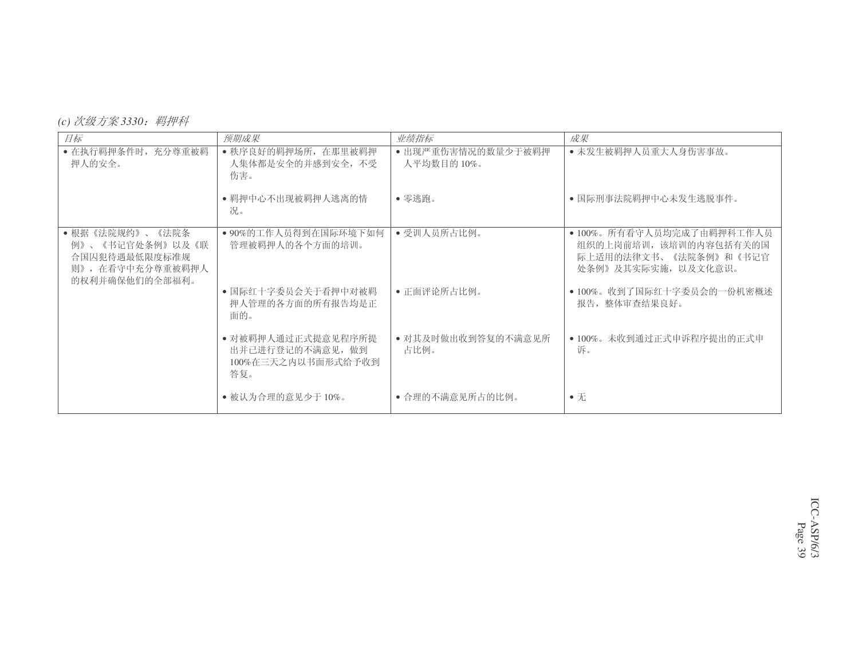|  |  | (c) 次级方案 3330: | 羁押科 |
|--|--|----------------|-----|
|--|--|----------------|-----|

| 目标                                                                                               | 预期成果                                                                | 业绩指标                              | 成果                                                                                                  |
|--------------------------------------------------------------------------------------------------|---------------------------------------------------------------------|-----------------------------------|-----------------------------------------------------------------------------------------------------|
| • 在执行羁押条件时, 充分尊重被羁<br>押人的安全。                                                                     | • 秩序良好的羁押场所, 在那里被羁押<br>人集体都是安全的并感到安全, 不受<br>伤害。                     | • 出现严重伤害情况的数量少于被羁押<br>人平均数目的 10%。 | • 未发生被羁押人员重大人身伤害事故。                                                                                 |
|                                                                                                  | • 羁押中心不出现被羁押人逃离的情<br>况。                                             | • 零逃跑。                            | • 国际刑事法院羁押中心未发生逃脱事件。                                                                                |
| •根据《法院规约》、<br>《法院条<br>《书记官处条例》以及《联<br>例》、<br>合国囚犯待遇最低限度标准规<br>则》, 在看守中充分尊重被羁押人<br>的权利并确保他们的全部福利。 | • 90%的工作人员得到在国际环境下如何<br>管理被羁押人的各个方面的培训。                             | • 受训人员所占比例。                       | • 100%。所有看守人员均完成了由羁押科工作人员<br>组织的上岗前培训, 该培训的内容包括有关的国<br>际上适用的法律文书、《法院条例》和《书记官<br>处条例》及其实际实施, 以及文化意识。 |
|                                                                                                  | • 国际红十字委员会关于看押中对被羁<br>押人管理的各方面的所有报告均是正<br>面的。                       | • 正面评论所占比例。                       | • 100%。收到了国际红十字委员会的一份机密概述<br>报告, 整体审杳结果良好。                                                          |
|                                                                                                  | • 对被羁押人通过正式提意见程序所提<br>出并已进行登记的不满意见, 做到<br>100%在三天之内以书面形式给予收到<br>答复。 | • 对其及时做出收到答复的不满意见所<br>占比例。        | • 100%。未收到通过正式申诉程序提出的正式申<br>诉。                                                                      |
|                                                                                                  | • 被认为合理的意见少于10%。                                                    | • 合理的不满意见所占的比例。                   | $\bullet$ $\overline{\pi}$                                                                          |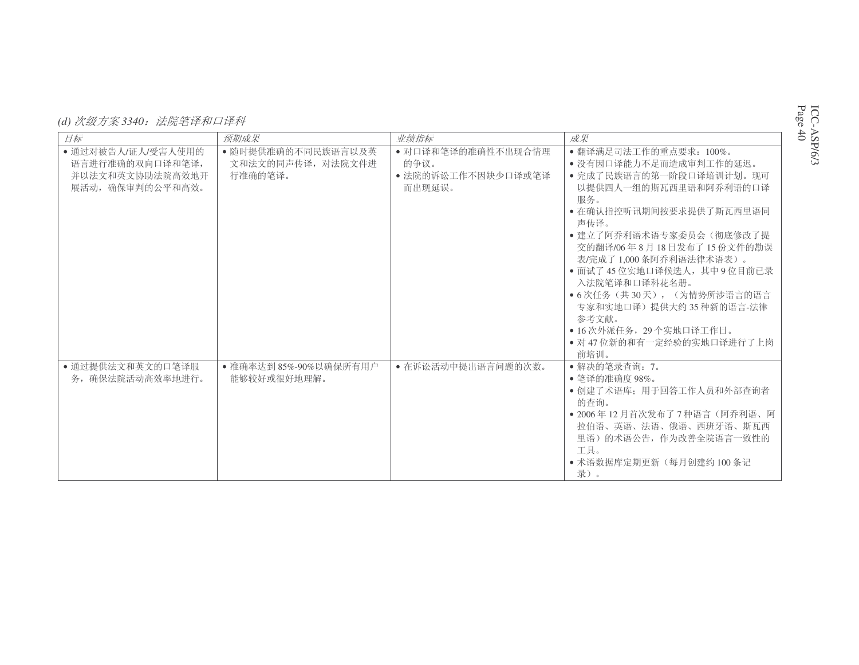| (d) 次级方案 3340: 法院笔译和口译科 |  |
|-------------------------|--|
|-------------------------|--|

| 目标                                                                           | 预期成果                                               | 业绩指标                                                       | 成果                                                                                                                                                                                                                                                                                                                                                                                                                |
|------------------------------------------------------------------------------|----------------------------------------------------|------------------------------------------------------------|-------------------------------------------------------------------------------------------------------------------------------------------------------------------------------------------------------------------------------------------------------------------------------------------------------------------------------------------------------------------------------------------------------------------|
|                                                                              |                                                    |                                                            |                                                                                                                                                                                                                                                                                                                                                                                                                   |
| • 通过对被告人/证人/受害人使用的<br>语言讲行准确的双向口译和笔译,<br>并以法文和英文协助法院高效地开<br>展活动, 确保审判的公平和高效。 | • 随时提供准确的不同民族语言以及英<br>文和法文的同声传译, 对法院文件讲<br>行准确的笔译。 | • 对口译和笔译的准确性不出现合情理<br>的争议。<br>• 法院的诉讼工作不因缺少口译或笔译<br>而出现延误。 | • 翻译满足司法工作的重点要求: 100%。<br>• 没有因口译能力不足而造成审判工作的延迟。<br>• 完成了民族语言的第一阶段口译培训计划。现可<br>以提供四人一组的斯瓦西里语和阿乔利语的口译<br>服务。<br>• 在确认指控听讯期间按要求提供了斯瓦西里语同<br>声传译。<br>• 建立了阿乔利语术语专家委员会(彻底修改了提<br>交的翻译/06年8月18日发布了15份文件的勘误<br>表/完成了1,000条阿乔利语法律术语表)。<br>• 面试了45位实地口译候选人, 其中9位目前已录<br>入法院笔译和口译科花名册。<br>• 6次任务(共30天), (为情势所涉语言的语言<br>专家和实地口译)提供大约 35 种新的语言-法律<br>参考文献。<br>• 16 次外派任务, 29 个实地口译工作日。<br>• 对 47 位新的和有一定经验的实地口译进行了上岗<br>前培训。 |
| • 通过提供法文和英文的口笔译服<br>务, 确保法院活动高效率地进行。                                         | • 准确率达到 85%-90%以确保所有用户<br>能够较好或很好地理解。              | • 在诉讼活动中提出语言问题的次数。                                         | • 解决的笔录查询: 7。<br>• 笔译的准确度 98%。<br>• 创建了术语库: 用于回答工作人员和外部杳询者<br>的杳询。<br>• 2006年12月首次发布了7种语言(阿乔利语、阿<br>拉伯语、英语、法语、俄语、西班牙语、斯瓦西<br>里语)的术语公告, 作为改善全院语言一致性的<br>工具。<br>• 术语数据库定期更新(每月创建约100条记<br>录)。                                                                                                                                                                                                                       |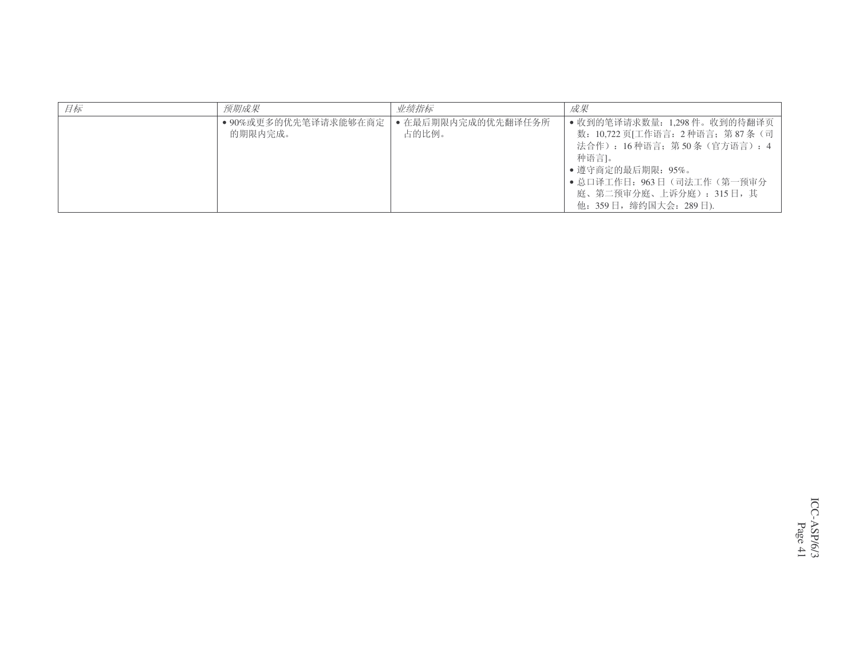| 目标 | 预期成果                            | 业绩指标                        | 成果                                                                                                                                                                                                              |
|----|---------------------------------|-----------------------------|-----------------------------------------------------------------------------------------------------------------------------------------------------------------------------------------------------------------|
|    | ● 90%或更多的优先笔译请求能够在商定<br>的期限内完成。 | • 在最后期限内完成的优先翻译任务所<br>占的比例。 | • 收到的笔译请求数量: 1,298件。收到的待翻译页<br>数: 10,722 页[工作语言: 2种语言; 第87条 (司  <br>法合作): 16种语言; 第50条(官方语言): 4<br>种语言1。<br>• 遵守商定的最后期限: 95%。<br>• 总口译工作日: 963日 (司法工作 (第一预审分)<br>庭、第二预审分庭、上诉分庭): 315日,其<br>他: 359日,缔约国大会: 289日). |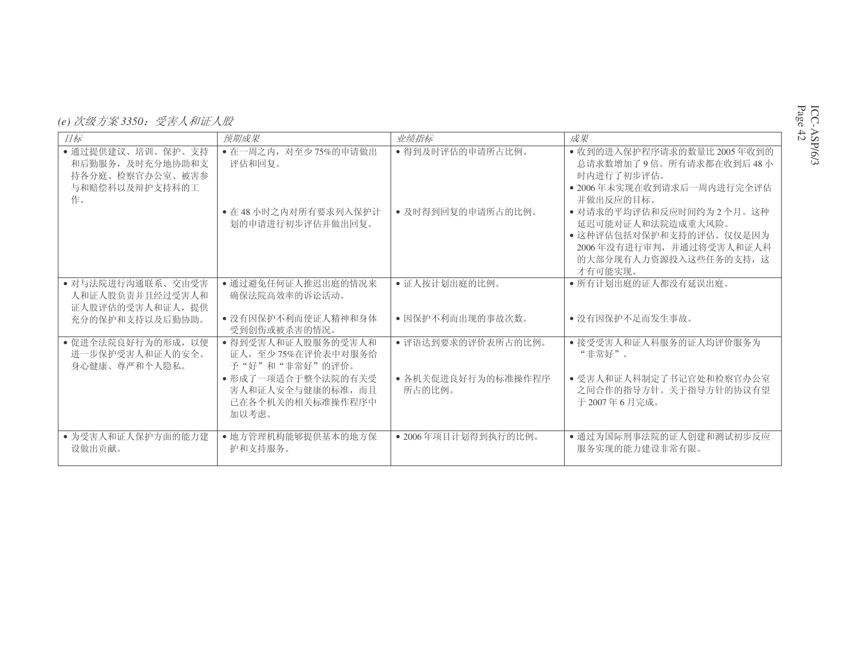*(e) 次级方案* 3350*:受害人和证人股* 

| 日标                                                                               | 预期成果                                                                 | 业绩指标                         | 成果                                                                                                                                      |
|----------------------------------------------------------------------------------|----------------------------------------------------------------------|------------------------------|-----------------------------------------------------------------------------------------------------------------------------------------|
| • 通过提供建议、培训、保护、支持<br>和后勤服务, 及时充分地协助和支<br>持各分庭、检察官办公室、被害参<br>与和赔偿科以及辩护支持科的工<br>作。 | • 在一周之内, 对至少75%的申请做出<br>评估和回复。                                       | • 得到及时评估的申请所占比例。             | • 收到的进入保护程序请求的数量比 2005 年收到的<br>总请求数增加了9倍。所有请求都在收到后48小<br>时内讲行了初步评估。<br>• 2006年未实现在收到请求后一周内进行完全评估<br>并做出反应的目标。                           |
|                                                                                  | • 在48小时之内对所有要求列入保护计<br>划的申请讲行初步评估并做出回复。                              | • 及时得到回复的申请所占的比例。            | • 对请求的平均评估和反应时间约为2个月。这种<br>延迟可能对证人和法院造成重大风险。<br>• 这种评估包括对保护和支持的评估。仅仅是因为<br>2006年没有进行审判,并通过将受害人和证人科<br>的大部分现有人力资源投入这些任务的支持, 这<br>才有可能实现。 |
| • 对与法院进行沟通联系、交由受害<br>人和证人股负责并且经过受害人和<br>证人股评估的受害人和证人, 提供                         | • 通过避免任何证人推迟出庭的情况来<br>确保法院高效率的诉讼活动。                                  | • 证人按计划出庭的比例。                | • 所有计划出庭的证人都没有延误出庭。                                                                                                                     |
| 充分的保护和支持以及后勤协助。                                                                  | • 没有因保护不利而使证人精神和身体<br>受到创伤或被杀害的情况。                                   | • 因保护不利而出现的事故次数。             | • 没有因保护不足而发生事故。                                                                                                                         |
| • 促进全法院良好行为的形成, 以便<br>讲一步保护受害人和证人的安全、<br>身心健康、尊严和个人隐私。                           | • 得到受害人和证人股服务的受害人和<br>证人, 至少75%在评价表中对服务给<br>予"好"和"非常好"的评价。           | • 评语达到要求的评价表所占的比例。           | • 接受受害人和证人科服务的证人均评价服务为<br>"非常好"。                                                                                                        |
|                                                                                  | • 形成了一项适合于整个法院的有关受<br>害人和证人安全与健康的标准, 而且<br>已在各个机关的相关标准操作程序中<br>加以考虑。 | • 各机关促进良好行为的标准操作程序<br>所占的比例。 | • 受害人和证人科制定了书记官处和检察官办公室<br>之间合作的指导方针。关于指导方针的协议有望<br>于 2007年6月完成。                                                                        |
| • 为受害人和证人保护方面的能力建<br>设做出贡献。                                                      | • 地方管理机构能够提供基本的地方保<br>护和支持服务。                                        | • 2006年项目计划得到执行的比例。          | • 通过为国际刑事法院的证人创建和测试初步反应<br>服务实现的能力建设非常有限。                                                                                               |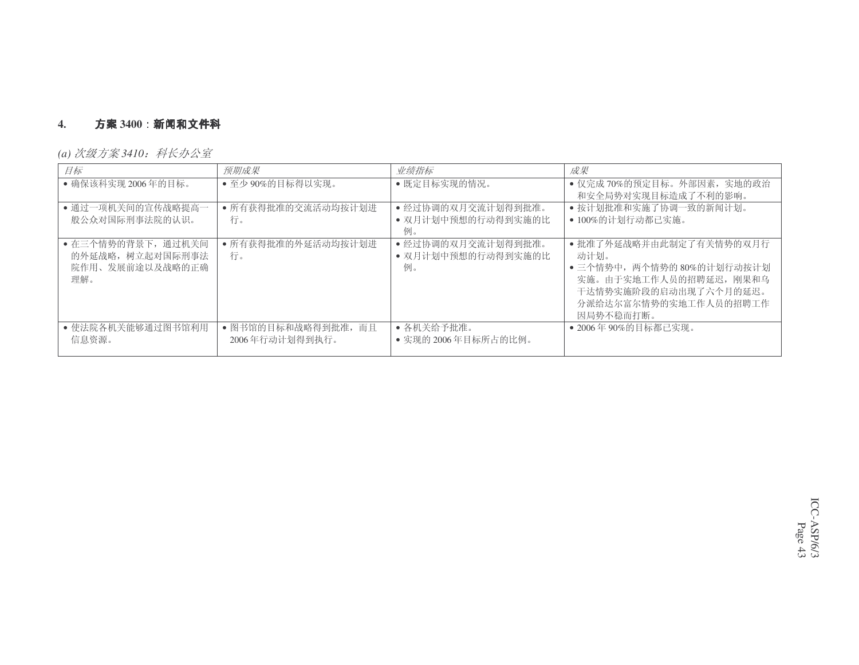#### **4.**. **方案** 3400:新闻和文件科

*(a) 次级方案 3410:科长办公室* 

| 目标                                                               | 预期成果                                  | 业绩指标                                           | 成果                                                                                                                                                     |
|------------------------------------------------------------------|---------------------------------------|------------------------------------------------|--------------------------------------------------------------------------------------------------------------------------------------------------------|
| • 确保该科实现 2006年的目标。                                               | • 至少90%的目标得以实现。                       | • 既定目标实现的情况。                                   | • 仅完成70%的预定目标。外部因素, 实地的政治<br>和安全局势对实现目标造成了不利的影响。                                                                                                       |
| • 通过一项机关间的宣传战略提高一<br>般公众对国际刑事法院的认识。                              | • 所有获得批准的交流活动均按计划进<br>行。              | • 经过协调的双月交流计划得到批准。<br>• 双月计划中预想的行动得到实施的比<br>例。 | • 按计划批准和实施了协调一致的新闻计划。<br>• 100%的计划行动都已实施。                                                                                                              |
| • 在三个情势的背景下, 通过机关间<br>的外延战略, 树立起对国际刑事法<br>院作用、发展前途以及战略的正确<br>理解。 | • 所有获得批准的外延活动均按计划进<br>行。              | • 经过协调的双月交流计划得到批准。<br>• 双月计划中预想的行动得到实施的比<br>例。 | • 批准了外延战略并由此制定了有关情势的双月行<br>动计划。<br>• 三个情势中, 两个情势的 80%的计划行动按计划<br>实施。由于实地工作人员的招聘延迟, 刚果和乌<br>干达情势实施阶段的启动出现了六个月的延迟。<br>分派给达尔富尔情势的实地工作人员的招聘工作<br>因局势不稳而打断。 |
| • 使法院各机关能够通过图书馆利用<br>信息资源。                                       | • 图书馆的目标和战略得到批准, 而且<br>2006年行动计划得到执行。 | • 各机关给予批准。<br>• 实现的 2006年目标所占的比例。              | ● 2006年90%的目标都已实现。                                                                                                                                     |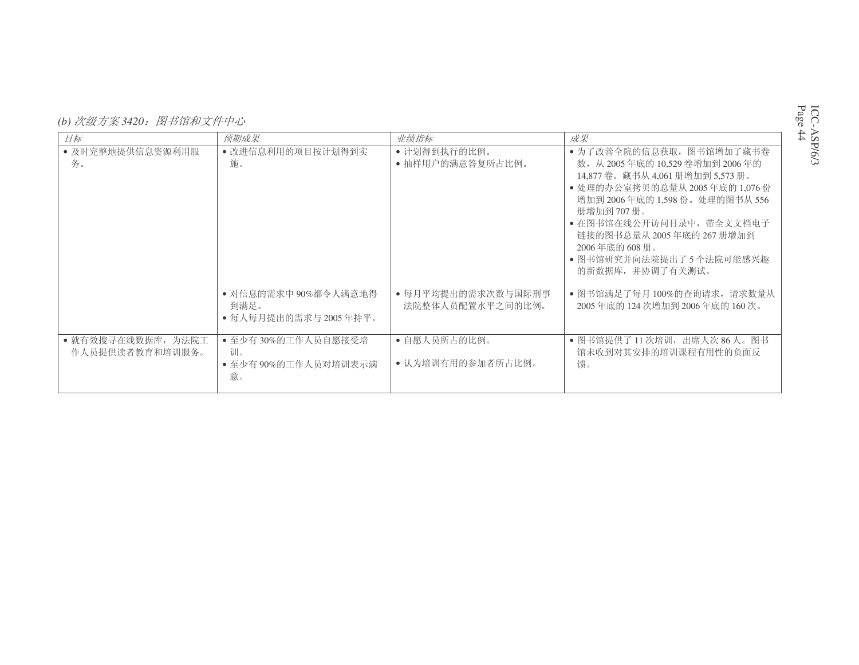*(b) 次级方案 3420:图书馆和文件中心* 

| 目标                                    | 预期成果                                                   | 业绩指标                                   | 成果                                                                                                                                                                                                                                                                                                            |
|---------------------------------------|--------------------------------------------------------|----------------------------------------|---------------------------------------------------------------------------------------------------------------------------------------------------------------------------------------------------------------------------------------------------------------------------------------------------------------|
| • 及时完整地提供信息资源利用服<br>务。                | • 改进信息利用的项目按计划得到实<br>施。                                | • 计划得到执行的比例。<br>• 抽样用户的满意答复所占比例。       | • 为了改善全院的信息获取, 图书馆增加了藏书卷<br>数, 从 2005年底的 10.529 卷增加到 2006年的<br>14,877卷。藏书从 4,061 册增加到 5,573 册。<br>• 处理的办公室拷贝的总量从 2005年底的 1,076 份<br>增加到 2006年底的 1.598 份。处理的图书从 556<br>册增加到 707 册。<br>• 在图书馆在线公开访问目录中, 带全文文档电子<br>链接的图书总量从 2005 年底的 267 册增加到<br>2006年底的 608册。<br>● 图书馆研究并向法院提出了 5 个法院可能感兴趣<br>的新数据库, 并协调了有关测试。 |
|                                       | • 对信息的需求中 90%都令人满意地得<br>到满足。<br>• 每人每月提出的需求与 2005 年持平。 | • 每月平均提出的需求次数与国际刑事<br>法院整体人员配置水平之间的比例。 | • 图书馆满足了每月100%的查询请求,请求数量从<br>2005 年底的 124 次增加到 2006 年底的 160 次。                                                                                                                                                                                                                                                |
| • 就有效搜寻在线数据库, 为法院工<br>作人员提供读者教育和培训服务。 | • 至少有30%的工作人员自愿接受培<br>训。<br>• 至少有90%的工作人员对培训表示满<br>意。  | • 自愿人员所占的比例。<br>• 认为培训有用的参加者所占比例。      | • 图书馆提供了 11 次培训,出席人次 86 人。图书<br>馆未收到对其安排的培训课程有用性的负面反<br>馈。                                                                                                                                                                                                                                                    |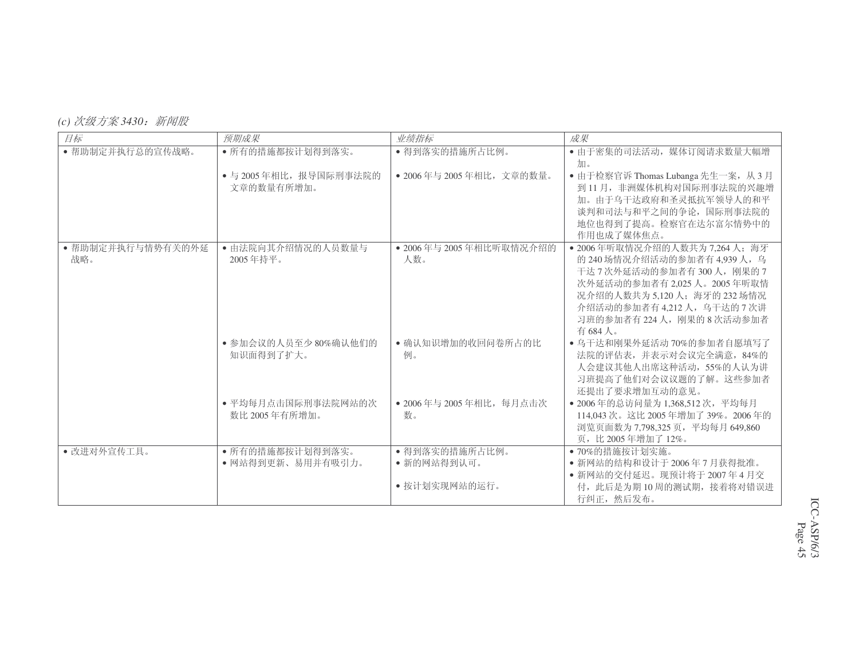## *(c) 次级方案 3430:新闻股*

| 目标                | 预期成果                                | 业绩指标                          | 成果                                                                |
|-------------------|-------------------------------------|-------------------------------|-------------------------------------------------------------------|
| • 帮助制定并执行总的宣传战略。  | • 所有的措施都按计划得到落实。                    | • 得到落实的措施所占比例。                | • 由于密集的司法活动, 媒体订阅请求数量大幅增                                          |
|                   |                                     |                               | 加。                                                                |
|                   | • 与 2005年相比, 报导国际刑事法院的              | • 2006年与 2005年相比, 文章的数量。      | • 由于检察官诉 Thomas Lubanga 先生一案, 从3月                                 |
|                   | 文章的数量有所增加。                          |                               | 到11月, 非洲媒体机构对国际刑事法院的兴趣增<br>加。由于乌干达政府和圣灵抵抗军领导人的和平                  |
|                   |                                     |                               | 谈判和司法与和平之间的争论, 国际刑事法院的                                            |
|                   |                                     |                               | 地位也得到了提高。检察官在达尔富尔情势中的                                             |
|                   |                                     |                               | 作用也成了媒体焦点。                                                        |
| • 帮助制定并执行与情势有关的外延 | • 由法院向其介绍情况的人员数量与                   | • 2006年与 2005年相比听取情况介绍的       | • 2006年听取情况介绍的人数共为 7.264 人; 海牙                                    |
| 战略。               | 2005年持平。                            | 人数。                           | 的 240 场情况介绍活动的参加者有 4.939 人, 乌                                     |
|                   |                                     |                               | 干达7次外延活动的参加者有300人,刚果的7                                            |
|                   |                                     |                               | 次外延活动的参加者有 2,025 人。2005年听取情                                       |
|                   |                                     |                               | 况介绍的人数共为 5,120人; 海牙的 232 场情况<br>介绍活动的参加者有 4.212 人, 乌干达的 7 次讲      |
|                   |                                     |                               | 习班的参加者有224人, 刚果的 8次活动参加者                                          |
|                   |                                     |                               | 有684人。                                                            |
|                   | • 参加会议的人员至少80%确认他们的                 | • 确认知识增加的收回问卷所占的比             | • 乌干达和刚果外延活动70%的参加者自愿填写了                                          |
|                   | 知识面得到了扩大。                           | 例。                            | 法院的评估表, 并表示对会议完全满意, 84%的                                          |
|                   |                                     |                               | 人会建议其他人出席这种活动, 55%的人认为讲                                           |
|                   |                                     |                               | 习班提高了他们对会议议题的了解。这些参加者                                             |
|                   |                                     |                               | 还提出了要求增加互动的意见。                                                    |
|                   | • 平均每月点击国际刑事法院网站的次<br>数比 2005年有所增加。 | • 2006年与 2005年相比, 每月点击次<br>数。 | • 2006年的总访问量为 1,368,512次, 平均每月<br>114.043次。这比 2005年增加了 39%。2006年的 |
|                   |                                     |                               | 浏览页面数为 7,798,325 页, 平均每月 649,860                                  |
|                   |                                     |                               | 页, 比 2005年增加了12%。                                                 |
| • 改讲对外宣传工具。       | • 所有的措施都按计划得到落实。                    | • 得到落实的措施所占比例。                | • 70%的措施按计划实施。                                                    |
|                   | • 网站得到更新、易用并有吸引力。                   | • 新的网站得到认可。                   | • 新网站的结构和设计于2006年7月获得批准。                                          |
|                   |                                     |                               | • 新网站的交付延迟。现预计将于2007年4月交                                          |
|                   |                                     | • 按计划实现网站的运行。                 | 付, 此后是为期10周的测试期, 接着将对错误进                                          |
|                   |                                     |                               | 行纠正, 然后发布。                                                        |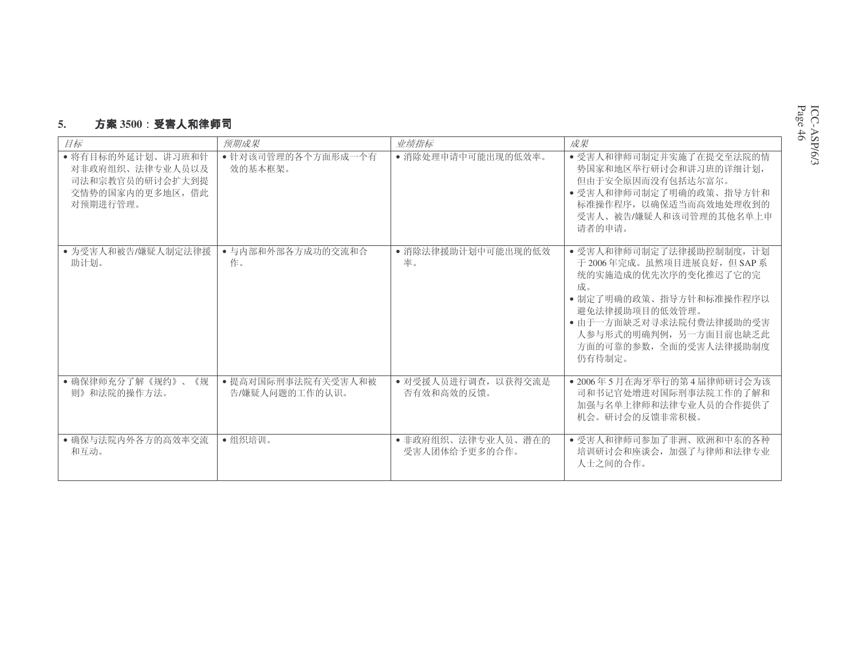#### **5.**. **方案** 3500**:受害人和律**师司

| 目标                                                                                      | 预期成果                                 | 业绩指标                                | 成果                                                                                                                                                                                                                          |
|-----------------------------------------------------------------------------------------|--------------------------------------|-------------------------------------|-----------------------------------------------------------------------------------------------------------------------------------------------------------------------------------------------------------------------------|
| • 将有目标的外延计划、讲习班和针<br>对非政府组织、法律专业人员以及<br>司法和宗教官员的研讨会扩大到提<br>交情势的国家内的更多地区, 借此<br>对预期进行管理。 | • 针对该司管理的各个方面形成一个有<br>效的基本框架。        | • 消除处理申请中可能出现的低效率。                  | • 受害人和律师司制定并实施了在提交至法院的情<br>势国家和地区举行研讨会和讲习班的详细计划,<br>但由于安全原因而没有包括达尔富尔。<br>• 受害人和律师司制定了明确的政策、指导方针和<br>标准操作程序, 以确保适当而高效地处理收到的<br>受害人、被告/嫌疑人和该司管理的其他名单上申<br>请者的申请。                                                              |
| • 为受害人和被告/嫌疑人制定法律援<br>助计划。                                                              | • 与内部和外部各方成功的交流和合<br>作。              | • 消除法律援助计划中可能出现的低效<br>率。            | • 受害人和律师司制定了法律援助控制制度, 计划<br>于 2006年完成。虽然项目进展良好, 但 SAP 系<br>统的实施造成的优先次序的变化推迟了它的完<br>成。<br>• 制定了明确的政策、指导方针和标准操作程序以<br>避免法律援助项目的低效管理。<br>• 由于一方面缺乏对寻求法院付费法律援助的受害<br>人参与形式的明确判例, 另一方面目前也缺乏此<br>方面的可靠的参数, 全面的受害人法律援助制度<br>仍有待制定。 |
| • 确保律师充分了解《规约》、<br>《规<br>则》和法院的操作方法。                                                    | • 提高对国际刑事法院有关受害人和被<br>告/嫌疑人问题的工作的认识。 | • 对受援人员讲行调查, 以获得交流是<br>否有效和高效的反馈。   | • 2006年5月在海牙举行的第4届律师研讨会为该<br>司和书记官处增进对国际刑事法院工作的了解和<br>加强与名单上律师和法律专业人员的合作提供了<br>机会。研讨会的反馈非常积极。                                                                                                                               |
| • 确保与法院内外各方的高效率交流<br>和互动。                                                               | •组织培训。                               | • 非政府组织、法律专业人员、潜在的<br>受害人团体给予更多的合作。 | • 受害人和律师司参加了非洲、欧洲和中东的各种<br>培训研讨会和座谈会,加强了与律师和法律专业<br>人士之间的合作。                                                                                                                                                                |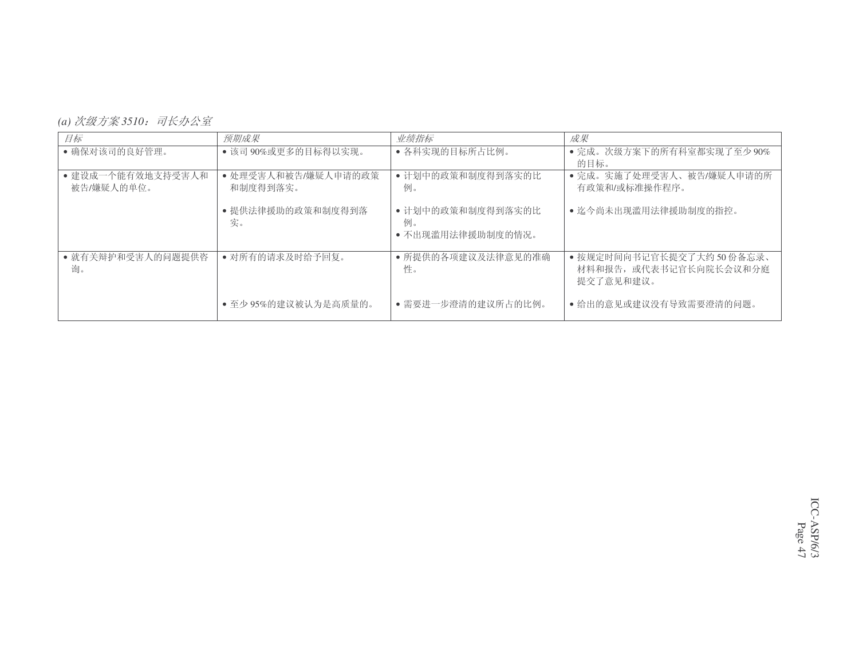*(a) 次级方案 3510:司长办公室* 

| 目标                              | 预期成果                            | 业绩指标                                         | 成果                                                              |
|---------------------------------|---------------------------------|----------------------------------------------|-----------------------------------------------------------------|
| • 确保对该司的良好管理。                   | • 该司 90%或更多的目标得以实现。             | • 各科实现的目标所占比例。                               | • 完成。次级方案下的所有科室都实现了至少90%<br>的目标。                                |
| • 建设成一个能有效地支持受害人和<br>被告/嫌疑人的单位。 | • 处理受害人和被告/嫌疑人申请的政策<br>和制度得到落实。 | • 计划中的政策和制度得到落实的比<br>例。                      | • 完成。实施了处理受害人、被告/嫌疑人申请的所<br>有政策和/或标准操作程序。                       |
|                                 | • 提供法律援助的政策和制度得到落<br>实。         | • 计划中的政策和制度得到落实的比<br>例。<br>• 不出现滥用法律援助制度的情况。 | • 迄今尚未出现滥用法律援助制度的指控。                                            |
| • 就有关辩护和受害人的问题提供咨<br>询。         | • 对所有的请求及时给予回复。                 | • 所提供的各项建议及法律意见的准确<br>性。                     | • 按规定时间向书记官长提交了大约50份备忘录、<br>材料和报告, 或代表书记官长向院长会议和分庭<br>提交了意见和建议。 |
|                                 | • 至少 95%的建议被认为是高质量的。            | • 需要讲一步澄清的建议所占的比例。                           | • 给出的意见或建议没有导致需要澄清的问题。                                          |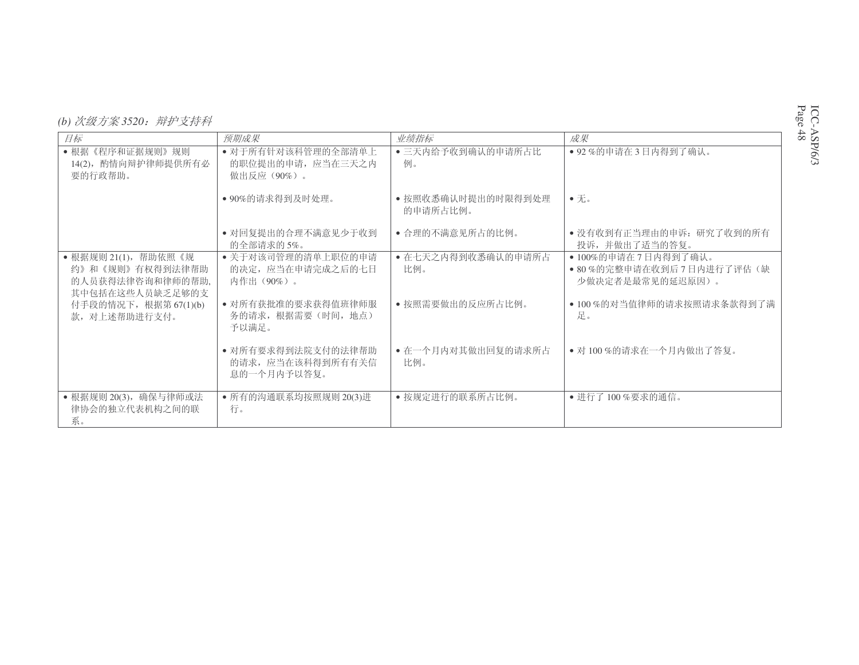| (b) 次级方案 3520: 辩护支持科 |  |
|----------------------|--|
|----------------------|--|

| 目标                                                                             | 预期成果                                                    | 业绩指标                           | 成果                                                                     |
|--------------------------------------------------------------------------------|---------------------------------------------------------|--------------------------------|------------------------------------------------------------------------|
| •根据《程序和证据规则》规则<br>14(2), 酌情向辩护律师提供所有必<br>要的行政帮助。                               | • 对于所有针对该科管理的全部清单上<br>的职位提出的申请, 应当在三天之内<br>做出反应 (90%) 。 | • 三天内给予收到确认的申请所占比<br>例。        | • 92 %的申请在3日内得到了确认。                                                    |
|                                                                                | • 90%的请求得到及时处理。                                         | • 按照收悉确认时提出的时限得到处理<br>的申请所占比例。 | $\bullet$ $\overline{\mathcal{F}}$ .                                   |
|                                                                                | • 对回复提出的合理不满意见少于收到<br>的全部请求的5%。                         | • 合理的不满意见所占的比例。                | • 没有收到有正当理由的申诉: 研究了收到的所有<br>投诉,并做出了适当的答复。                              |
| • 根据规则 21(1), 帮助依照《规<br>约》和《规则》有权得到法律帮助<br>的人员获得法律咨询和律师的帮助,<br>其中包括在这些人员缺乏足够的支 | • 关于对该司管理的清单上职位的申请<br>的决定, 应当在申请完成之后的七日<br>内作出(90%)。    | • 在七天之内得到收悉确认的申请所占<br>比例。      | • 100%的申请在7日内得到了确认。<br>● 80%的完整申请在收到后 7 日内进行了评估 (缺<br>少做决定者是最常见的延迟原因)。 |
| 付手段的情况下, 根据第 67(1)(b)<br>款, 对上述帮助进行支付。                                         | • 对所有获批准的要求获得值班律师服<br>务的请求, 根据需要(时间, 地点)<br>予以满足。       | • 按照需要做出的反应所占比例。               | • 100%的对当值律师的请求按照请求条款得到了满<br>足。                                        |
|                                                                                | • 对所有要求得到法院支付的法律帮助<br>的请求, 应当在该科得到所有有关信<br>息的一个月内予以答复。  | • 在一个月内对其做出回复的请求所占<br>比例。      | • 对 100%的请求在一个月内做出了答复。                                                 |
| • 根据规则 20(3), 确保与律师或法<br>律协会的独立代表机构之间的联<br>系。                                  | • 所有的沟通联系均按照规则 20(3)进<br>行。                             | • 按规定进行的联系所占比例。                | • 进行了100%要求的通信。                                                        |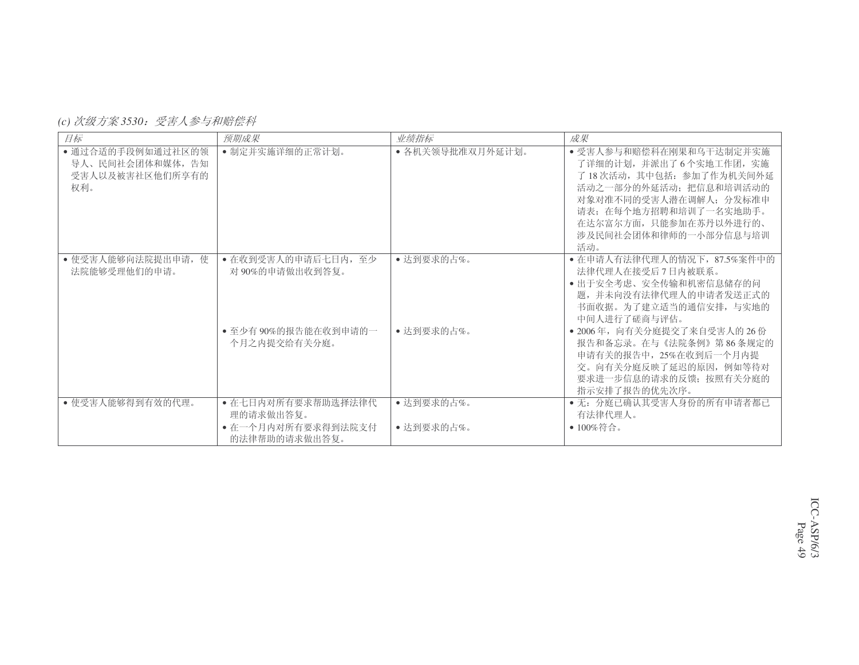*(c) 次级方案* 3530:受害人参与和赔偿科

| 目标                                                              | 预期成果                                  | 业绩指标             | 成果                                                                                                                                                                                                                    |
|-----------------------------------------------------------------|---------------------------------------|------------------|-----------------------------------------------------------------------------------------------------------------------------------------------------------------------------------------------------------------------|
| • 通过合适的手段例如通过社区的领<br>导人、民间社会团体和媒体, 告知<br>受害人以及被害社区他们所享有的<br>权利。 | • 制定并实施详细的正常计划。                       | • 各机关领导批准双月外延计划。 | • 受害人参与和赔偿科在刚果和乌干达制定并实施<br>了详细的计划, 并派出了6个实地工作团, 实施<br>了18次活动,其中包括: 参加了作为机关间外延<br>活动之一部分的外延活动: 把信息和培训活动的<br>对象对准不同的受害人潜在调解人; 分发标准申<br>请表: 在每个地方招聘和培训了一名实地助手。<br>在达尔富尔方面, 只能参加在苏丹以外进行的、<br>涉及民间社会团体和律师的一小部分信息与培训<br>活动。 |
| • 使受害人能够向法院提出申请, 使<br>法院能够受理他们的申请。                              | • 在收到受害人的申请后七日内, 至少<br>对90%的申请做出收到答复。 | • 达到要求的占%。       | • 在申请人有法律代理人的情况下, 87.5%案件中的<br>法律代理人在接受后7日内被联系。<br>• 出于安全考虑、安全传输和机密信息储存的问<br>题,并未向没有法律代理人的申请者发送正式的<br>书面收据。为了建立适当的通信安排, 与实地的<br>中间人讲行了磋商与评估。                                                                          |
|                                                                 | • 至少有 90%的报告能在收到申请的一<br>个月之内提交给有关分庭。  | • 达到要求的占%。       | • 2006年, 向有关分庭提交了来自受害人的 26 份<br>报告和备忘录。在与《法院条例》第86条规定的<br>申请有关的报告中, 25%在收到后一个月内提<br>交。向有关分庭反映了延迟的原因, 例如等待对<br>要求进一步信息的请求的反馈; 按照有关分庭的<br>指示安排了报告的优先次序。                                                                 |
| • 使受害人能够得到有效的代理。                                                | • 在七日内对所有要求帮助选择法律代<br>理的请求做出答复。       | •达到要求的占%。        | • 无: 分庭已确认其受害人身份的所有申请者都已<br>有法律代理人。                                                                                                                                                                                   |
|                                                                 | • 在一个月内对所有要求得到法院支付<br>的法律帮助的请求做出答复。   | •达到要求的占%。        | • $100\%$ 符合。                                                                                                                                                                                                         |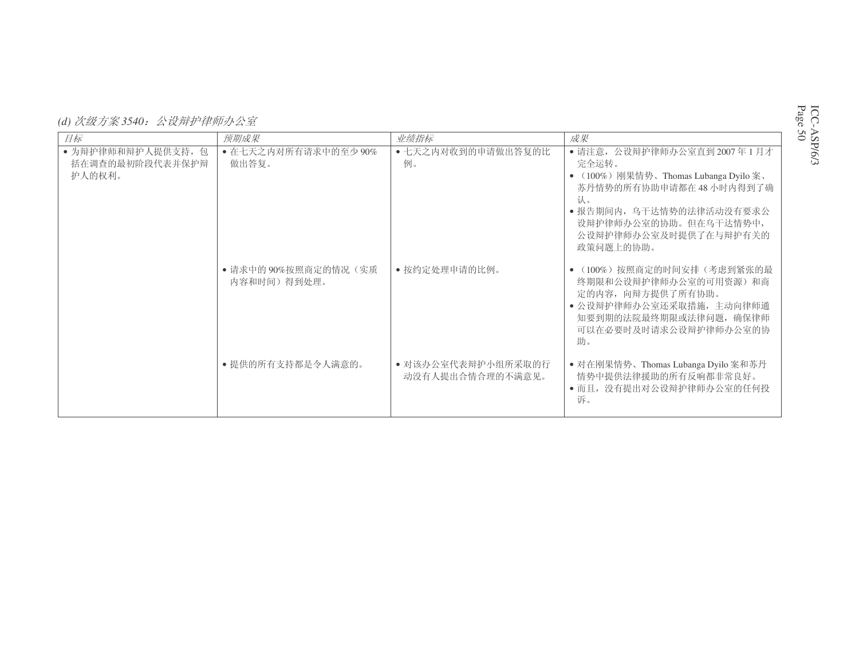*(d) 次级方案 3540:公设辩护律师办公室* 

| 目标                                              | 预期成果                              | 业绩指标                                   | 成果                                                                                                                                                                                                         |
|-------------------------------------------------|-----------------------------------|----------------------------------------|------------------------------------------------------------------------------------------------------------------------------------------------------------------------------------------------------------|
| • 为辩护律师和辩护人提供支持, 包<br>括在调查的最初阶段代表并保护辩<br>护人的权利。 | • 在七天之内对所有请求中的至少 90%<br>做出答复。     | • 七天之内对收到的申请做出答复的比<br>例。               | • 请注意, 公设辩护律师办公室直到 2007年1月才<br>完全运转。<br>• (100%) 刚果情势、Thomas Lubanga Dyilo 案、<br>苏丹情势的所有协助申请都在 48 小时内得到了确<br>认。<br>• 报告期间内, 乌干达情势的法律活动没有要求公<br>设辩护律师办公室的协助。但在乌干达情势中,<br>公设辩护律师办公室及时提供了在与辩护有关的<br>政策问题上的协助。 |
|                                                 | •请求中的90%按照商定的情况(实质<br>内容和时间)得到处理。 | • 按约定处理申请的比例。                          | (100%) 按照商定的时间安排 (考虑到紧张的最<br>终期限和公设辩护律师办公室的可用资源) 和商<br>定的内容, 向辩方提供了所有协助。<br>• 公设辩护律师办公室还采取措施, 主动向律师通<br>知要到期的法院最终期限或法律问题, 确保律师<br>可以在必要时及时请求公设辩护律师办公室的协<br>助。                                              |
|                                                 | • 提供的所有支持都是令人满意的。                 | • 对该办公室代表辩护小组所采取的行<br>动没有人提出合情合理的不满意见。 | • 对在刚果情势、Thomas Lubanga Dyilo 案和苏丹<br>情势中提供法律援助的所有反响都非常良好。<br>• 而且, 没有提出对公设辩护律师办公室的任何投<br>诉。                                                                                                               |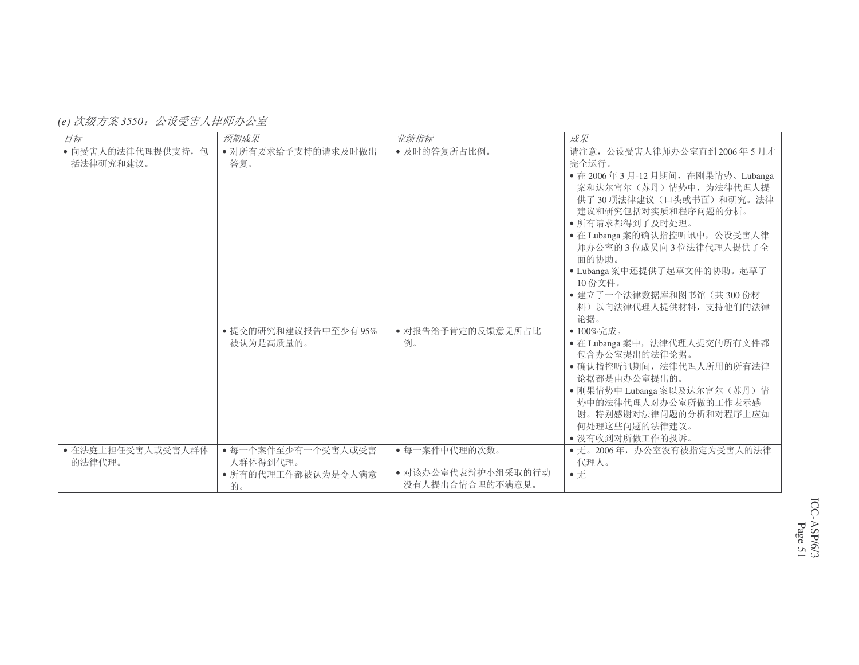| (e) 次级方案 3550: 公设受害人律师办公室 |  |  |  |
|---------------------------|--|--|--|
|---------------------------|--|--|--|

| 目标                              | 预期成果                                                           | 业绩指标                                                   | 成果                                                                                                                                                                                                                                                                                                                                                                                                                                                                                         |
|---------------------------------|----------------------------------------------------------------|--------------------------------------------------------|--------------------------------------------------------------------------------------------------------------------------------------------------------------------------------------------------------------------------------------------------------------------------------------------------------------------------------------------------------------------------------------------------------------------------------------------------------------------------------------------|
| • 向受害人的法律代理提供支持, 包<br>括法律研究和建议。 | • 对所有要求给予支持的请求及时做出<br>答复。<br>• 提交的研究和建议报告中至少有 95%<br>被认为是高质量的。 | • 及时的答复所占比例。<br>• 对报告给予肯定的反馈意见所占比<br>例。                | 请注意, 公设受害人律师办公室直到2006年5月才<br>完全运行。<br>• 在 2006年3月-12月期间, 在刚果情势、Lubanga<br>案和达尔富尔(苏丹)情势中,为法律代理人提<br>供了30项法律建议(口头或书面)和研究。法律<br>建议和研究包括对实质和程序问题的分析。<br>• 所有请求都得到了及时处理。<br>· 在 Lubanga 案的确认指控听讯中, 公设受害人律<br>师办公室的3位成员向3位法律代理人提供了全<br>面的协助。<br>· Lubanga 案中还提供了起草文件的协助。起草了<br>10份文件。<br>• 建立了一个法律数据库和图书馆(共300份材<br>料)以向法律代理人提供材料, 支持他们的法律<br>论据。<br>• $100\%$ 完成。<br>· 在 Lubanga 案中, 法律代理人提交的所有文件都<br>包含办公室提出的法律论据。<br>• 确认指控听讯期间, 法律代理人所用的所有法律<br>论据都是由办公室提出的。<br>· 刚果情势中 Lubanga 案以及达尔富尔(苏丹)情 |
|                                 |                                                                |                                                        | 势中的法律代理人对办公室所做的工作表示感<br>谢。特别感谢对法律问题的分析和对程序上应如<br>何处理这些问题的法律建议。<br>• 没有收到对所做工作的投诉。                                                                                                                                                                                                                                                                                                                                                                                                          |
| • 在法庭上担任受害人或受害人群体<br>的法律代理。     | • 每一个案件至少有一个受害人或受害<br>人群体得到代理。<br>• 所有的代理工作都被认为是令人满意<br>的。     | • 每一案件中代理的次数。<br>• 对该办公室代表辩护小组采取的行动<br>没有人提出合情合理的不满意见。 | • 无。2006年, 办公室没有被指定为受害人的法律<br>代理人。<br>$\bullet$ $\overline{\text{h}}$                                                                                                                                                                                                                                                                                                                                                                                                                      |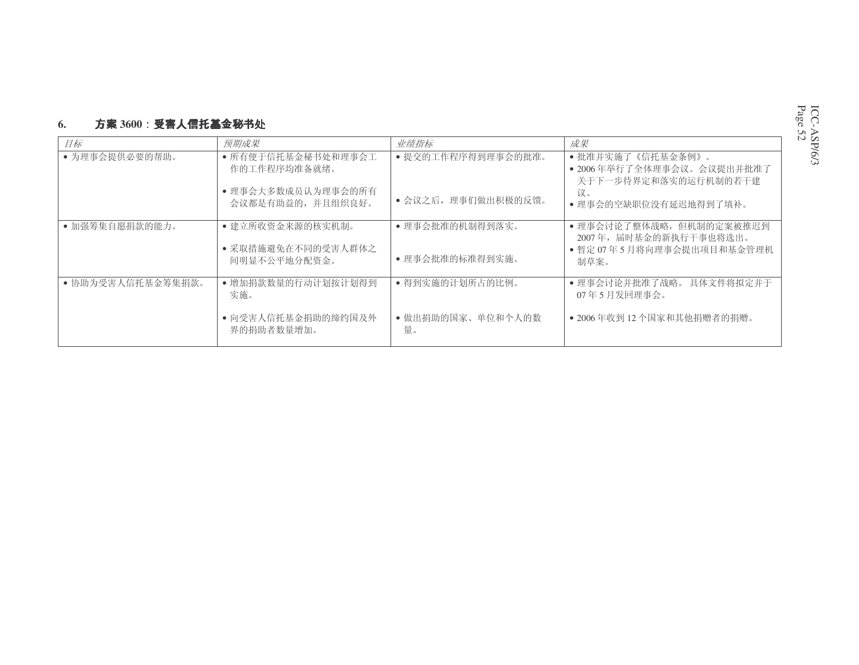#### **6.**. 方案 3600:受害人信托基金秘书

| 目标                | 预期成果                                                   | 业绩指标                              | 成果                                                                                      |
|-------------------|--------------------------------------------------------|-----------------------------------|-----------------------------------------------------------------------------------------|
| • 为理事会提供必要的帮助。    | • 所有便于信托基金秘书处和理事会工<br>作的工作程序均准备就绪。                     | • 提交的工作程序得到理事会的批准。                | •批准并实施了《信托基金条例》。<br>• 2006年举行了全体理事会议。会议提出并批准了<br>关于下一步待界定和落实的运行机制的若干建                   |
|                   | • 理事会大多数成员认为理事会的所有<br>会议都是有助益的, 并且组织良好。                | • 会议之后, 理事们做出积极的反馈。               | 议。<br>• 理事会的空缺职位没有延迟地得到了填补。                                                             |
| • 加强筹集自愿捐款的能力。    | • 建立所收资金来源的核实机制。<br>• 采取措施避免在不同的受害人群体之<br>间明显不公平地分配资金。 | • 理事会批准的机制得到落实。<br>•理事会批准的标准得到实施。 | • 理事会讨论了整体战略, 但机制的定案被推迟到<br>2007年, 届时基金的新执行干事也将选出。<br>• 暂定 07年5月将向理事会提出项目和基金管理机<br>制草案。 |
| • 协助为受害人信托基金筹集捐款。 | • 增加捐款数量的行动计划按计划得到<br>实施。                              | • 得到实施的计划所占的比例。                   | • 理事会讨论并批准了战略。具体文件将拟定并于<br>07年5月发回理事会。                                                  |
|                   | • 向受害人信托基金捐助的缔约国及外<br>界的捐助者数量增加。                       | • 做出捐助的国家、单位和个人的数<br>量。           | • 2006年收到12个国家和其他捐赠者的捐赠。                                                                |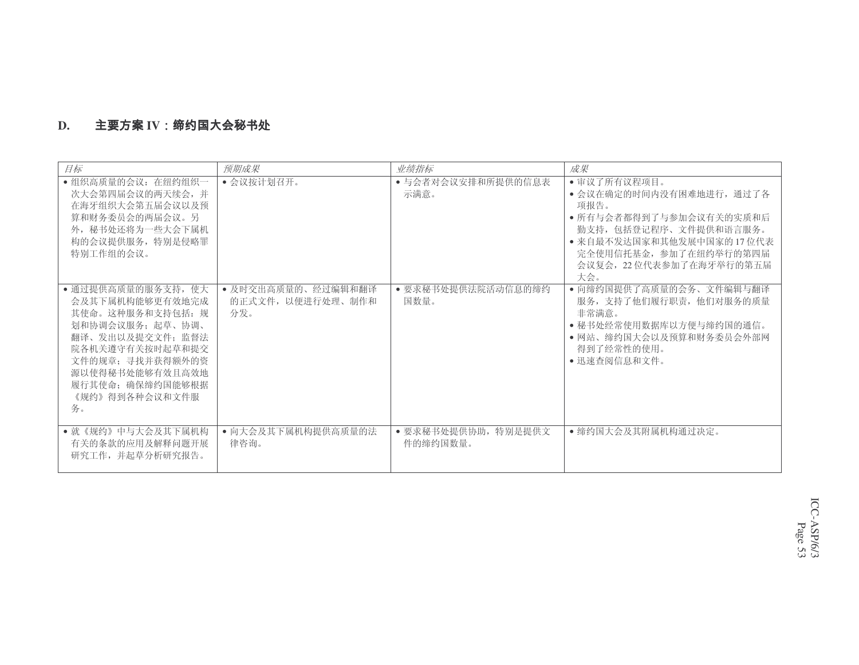#### **D.**. 主要方案 IV

| 目标                                                                                                                                                                                                      | 预期成果                                           | 业绩指标                            | 成果                                                                                                                                                                                            |
|---------------------------------------------------------------------------------------------------------------------------------------------------------------------------------------------------------|------------------------------------------------|---------------------------------|-----------------------------------------------------------------------------------------------------------------------------------------------------------------------------------------------|
| • 组织高质量的会议: 在纽约组织一<br>次大会第四届会议的两天续会, 并<br>在海牙组织大会第五届会议以及预<br>算和财务委员会的两届会议。另<br>外, 秘书处还将为一些大会下属机<br>构的会议提供服务, 特别是侵略罪<br>特别工作组的会议。                                                                        | • 会议按计划召开。                                     | • 与会者对会议安排和所提供的信息表<br>示满意。      | • 审议了所有议程项目。<br>• 会议在确定的时间内没有困难地进行, 通过了各<br>项报告。<br>• 所有与会者都得到了与参加会议有关的实质和后<br>勤支持, 包括登记程序、文件提供和语言服务。<br>• 来自最不发达国家和其他发展中国家的17位代表<br>完全使用信托基金, 参加了在纽约举行的第四届<br>会议复会, 22位代表参加了在海牙举行的第五届<br>大会。 |
| • 通过提供高质量的服务支持, 使大<br>会及其下属机构能够更有效地完成<br>其使命。这种服务和支持包括: 规<br>划和协调会议服务: 起草、协调、<br>翻译、发出以及提交文件: 监督法<br>院各机关遵守有关按时起草和提交<br>文件的规章; 寻找并获得额外的资<br>源以使得秘书处能够有效且高效地<br>履行其使命: 确保缔约国能够根据<br>《规约》得到各种会议和文件服<br>务。 | • 及时交出高质量的、经过编辑和翻译<br>的正式文件, 以便进行处理、制作和<br>分发。 | • 要求秘书处提供法院活动信息的缔约<br>国数量。      | • 向缔约国提供了高质量的会务、文件编辑与翻译<br>服务, 支持了他们履行职责, 他们对服务的质量<br>非常满意。<br>• 秘书处经常使用数据库以方便与缔约国的通信。<br>• 网站、缔约国大会以及预算和财务委员会外部网<br>得到了经常性的使用。<br>• 迅速杳阅信息和文件。                                               |
| • 就《规约》中与大会及其下属机构<br>有关的条款的应用及解释问题开展<br>研究工作, 并起草分析研究报告。                                                                                                                                                | • 向大会及其下属机构提供高质量的法<br>律咨询。                     | • 要求秘书处提供协助, 特别是提供文<br>件的缔约国数量。 | • 缔约国大会及其附属机构通过决定。                                                                                                                                                                            |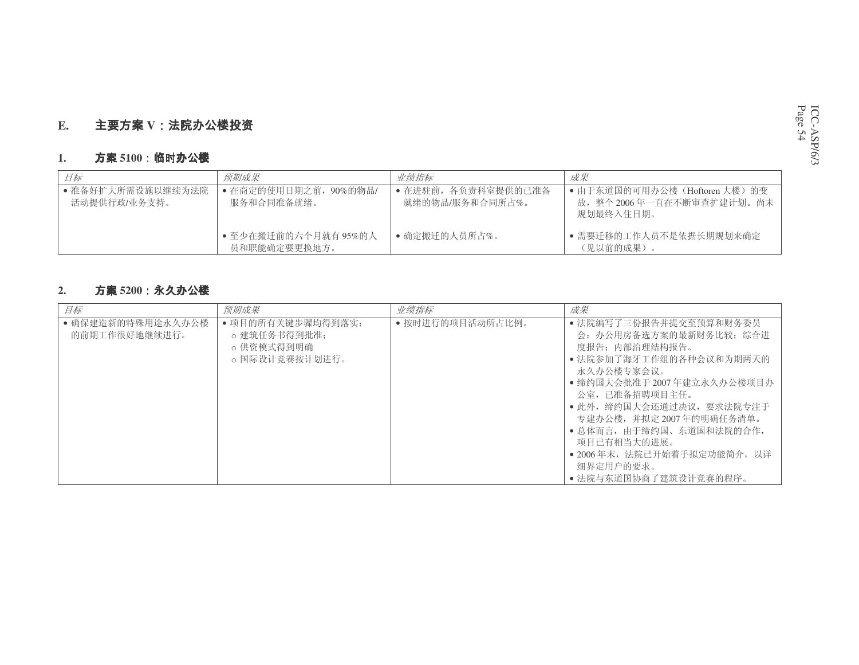#### **E.V**

#### **1.**. 方案 5100:**临时**办公楼

| 目标                                | 预期成果                                 | 业绩指标                                   | 成果                                                                    |
|-----------------------------------|--------------------------------------|----------------------------------------|-----------------------------------------------------------------------|
| ● 准备好扩大所需设施以继续为法院<br>活动提供行政/业务支持。 | • 在商定的使用日期之前, 90%的物品/<br>服务和合同准备就绪。  | • 在讲驻前, 各负责科室提供的已准备<br>就绪的物品/服务和合同所占%。 | ● 由于东道国的可用办公楼(Hoftoren 大楼)的变<br>故,整个 2006年一直在不断审查扩建计划。尚未<br>规划最终入住日期。 |
|                                   | • 至少在搬迁前的六个月就有 95%的人<br>员和职能确定要更换地方。 | • 确定搬迁的人员所占%。                          | • 需要迁移的工作人员不是依据长期规划来确定<br>(见以前的成果)。                                   |

#### **2.**. 方案 5200 **:永久**办公楼

| 目标                                 | 预期成果                                                              | 业绩指标             | 成果                                                                                                                                                                                                                                                                                                                                  |
|------------------------------------|-------------------------------------------------------------------|------------------|-------------------------------------------------------------------------------------------------------------------------------------------------------------------------------------------------------------------------------------------------------------------------------------------------------------------------------------|
| • 确保建造新的特殊用途永久办公楼<br>的前期工作很好地继续进行。 | • 项目的所有关键步骤均得到落实:<br>o 建筑任务书得到批准:<br>○ 供资模式得到明确<br>o 国际设计竞赛按计划进行。 | • 按时进行的项目活动所占比例。 | • 法院编写了三份报告并提交至预算和财务委员<br>会: 办公用房备选方案的最新财务比较; 综合进<br>度报告: 内部治理结构报告。<br>• 法院参加了海牙工作组的各种会议和为期两天的<br>永久办公楼专家会议。<br>● 缔约国大会批准于 2007 年建立永久办公楼项目办<br>公室, 已准备招聘项目主任。<br>• 此外, 缔约国大会还通过决议, 要求法院专注于<br>专建办公楼,并拟定2007年的明确任务清单。<br>• 总体而言,由于缔约国、东道国和法院的合作,<br>项目已有相当大的进展。<br>• 2006年末, 法院已开始着手拟定功能简介, 以详<br>细界定用户的要求。<br>• 法院与东道国协商了建筑设计竞赛的程序。 |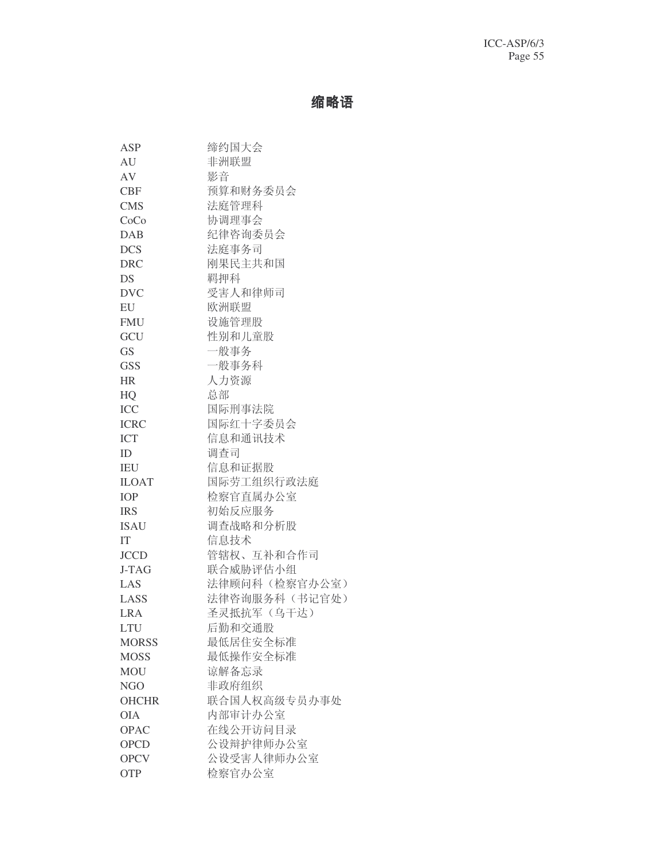# 缩略语

| ASP          | 缔约国大会          |
|--------------|----------------|
| AU           | 非洲联盟           |
| AV           | 影音             |
| <b>CBF</b>   | 预算和财务委员会       |
| <b>CMS</b>   | 法庭管理科          |
| CoCo         | 协调理事会          |
| <b>DAB</b>   | 纪律咨询委员会        |
| <b>DCS</b>   | 法庭事务司          |
| <b>DRC</b>   | 刚果民主共和国        |
| DS           | 羁押科            |
| <b>DVC</b>   | 受害人和律师司        |
| EU           | 欧洲联盟           |
| <b>FMU</b>   | 设施管理股          |
| GCU          | 性别和儿童股         |
| <b>GS</b>    | 一般事务           |
| <b>GSS</b>   | 一般事务科          |
| <b>HR</b>    | 人力资源           |
| HQ           | 总部             |
| ICC          | 国际刑事法院         |
| <b>ICRC</b>  | 国际红十字委员会       |
| <b>ICT</b>   | 信息和通讯技术        |
| ID           | 调查司            |
| <b>IEU</b>   | 信息和证据股         |
| <b>ILOAT</b> | 国际劳工组织行政法庭     |
| IOP          | 检察官直属办公室       |
| <b>IRS</b>   | 初始反应服务         |
| <b>ISAU</b>  | 调查战略和分析股       |
| IT           | 信息技术           |
| <b>JCCD</b>  | 管辖权、互补和合作司     |
| J-TAG        | 联合威胁评估小组       |
| LAS          | 法律顾问科 (检察官办公室) |
| LASS         | 法律咨询服务科 (书记官处) |
| <b>LRA</b>   | 圣灵抵抗军(乌干达)     |
| <b>LTU</b>   | 后勤和交通股         |
| <b>MORSS</b> | 最低居住安全标准       |
| <b>MOSS</b>  | 最低操作安全标准       |
| <b>MOU</b>   | 谅解备忘录          |
| NGO          | 非政府组织          |
| <b>OHCHR</b> | 联合国人权高级专员办事处   |
| <b>OIA</b>   | 内部审计办公室        |
| <b>OPAC</b>  | 在线公开访问目录       |
| <b>OPCD</b>  | 公设辩护律师办公室      |
| <b>OPCV</b>  | 公设受害人律师办公室     |
| <b>OTP</b>   | 检察官办公室         |